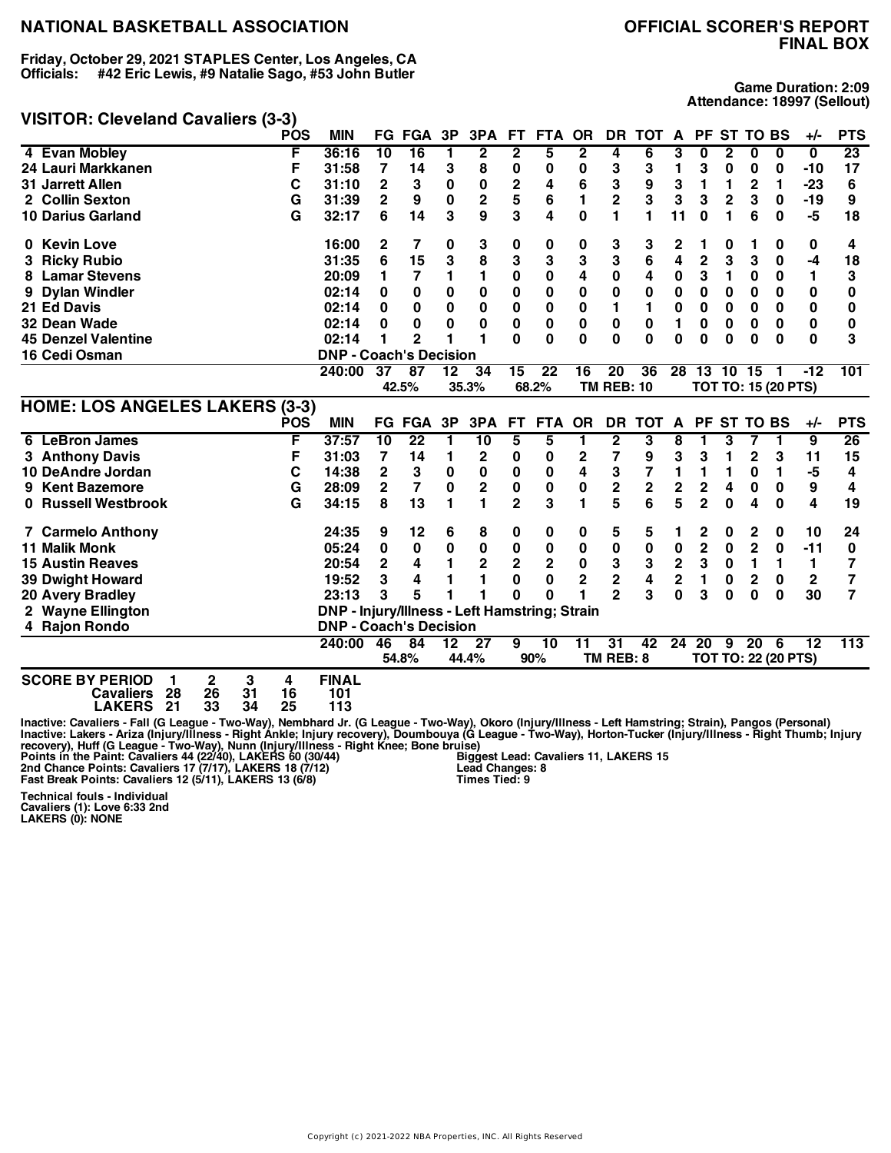**Friday, October 29, 2021 STAPLES Center, Los Angeles, CA Officials: #42 Eric Lewis, #9 Natalie Sago, #53 John Butler**

#### **VISITOR: Cleveland Cavaliers (3-3)**

**Game Duration: 2:09 Attendance: 18997 (Sellout)**

| 23<br>4 Evan Mobley<br>F<br>36:16<br>$\overline{10}$<br>$\overline{16}$<br>$\overline{2}$<br>$\mathbf{2}$<br>5<br>$\mathbf{2}$<br>4<br>1<br>6<br>3<br>0<br>2<br>0<br>$\bf{0}$<br>0<br>24 Lauri Markkanen<br>F<br>7<br>3<br>8<br>0<br>3<br>3<br>17<br>31:58<br>14<br>0<br>0<br>3<br>1<br>0<br>0<br>0<br>$-10$<br>$\mathbf 2$<br>3<br>C<br>$\overline{2}$<br>6<br>9<br>3<br>1<br><b>31 Jarrett Allen</b><br>31:10<br>3<br>0<br>0<br>4<br>1<br>2<br>1<br>$-23$<br>6<br>5<br>3<br>$\overline{2}$<br>3<br>3<br>G<br>$\overline{2}$<br>$\mathbf{0}$<br>1<br>$\overline{2}$<br>3<br>9<br>31:39<br>9<br>2<br>6<br>0<br>$-19$<br>2 Collin Sexton<br>3<br>G<br>3<br>9<br>4<br>$\bf{0}$<br>1<br>11<br>6<br>14<br>1<br>0<br>1<br>6<br>0<br>-5<br>18<br><b>10 Darius Garland</b><br>32:17<br>0 Kevin Love<br>16:00<br>3<br>0<br>3<br>3<br>2<br>7<br>0<br>0<br>0<br>2<br>0<br>0<br>0<br>4<br>1<br>1<br>3<br>8<br>3<br>3<br>3<br>6<br>4<br>$\overline{2}$<br>6<br>15<br>3<br>3<br>3<br>0<br>$-4$<br>31:35<br>18<br><b>Ricky Rubio</b><br>3.<br>$\mathbf{1}$<br>$\bf{0}$<br>4<br>$\mathbf 0$<br>3<br>$\bf{0}$<br>4<br>0<br>$\bf{0}$<br>$\bf{0}$<br>1<br>3<br>1<br>7<br>1<br>1<br><b>Lamar Stevens</b><br>20:09<br>8<br>$\bf{0}$<br>$\mathbf 0$<br>$\mathbf 0$<br>$\mathbf 0$<br>$\mathbf 0$<br>$\bf{0}$<br>$\bf{0}$<br>0<br>0<br>$\bf{0}$<br>$\bf{0}$<br>$\bf{0}$<br>$\mathbf{0}$<br><b>Dylan Windler</b><br>02:14<br>0<br>$\bf{0}$<br>0<br>9<br>$\bf{0}$<br>$\mathbf 0$<br>$\bf{0}$<br>$\bf{0}$<br>0<br>0<br>0<br>$\bf{0}$<br>$\mathbf{0}$<br>21 Ed Davis<br>0<br>0<br>1<br>1<br>$\bf{0}$<br>0<br>02:14<br>0<br>$\mathbf 0$<br>$\bf{0}$<br>$\mathbf 0$<br>$\mathbf 0$<br>$\bf{0}$<br>$\bf{0}$<br>$\bf{0}$<br>1<br>0<br>$\bf{0}$<br>0<br>32 Dean Wade<br>0<br>0<br>0<br>0<br>0<br>02:14<br>$\mathbf{0}$<br>$\mathbf{0}$<br>$\Omega$<br>$\Omega$<br>$\Omega$<br>$\mathbf{0}$<br>$\bf{0}$<br>$\Omega$<br>3<br>1<br>$\Omega$<br>$\Omega$<br>$\Omega$<br><b>45 Denzel Valentine</b><br>02:14<br>1<br>$\mathbf{2}$<br><b>DNP - Coach's Decision</b><br>16 Cedi Osman<br>$\overline{22}$<br>37<br>34<br>15<br>16<br>20<br>36<br>28 13 10 15<br>$-12$<br>101<br>240:00<br>87<br>12<br>-1<br>42.5%<br>35.3%<br>68.2%<br><b>TM REB: 10</b><br><b>TOT TO: 15 (20 PTS)</b><br><b>HOME: LOS ANGELES LAKERS (3-3)</b><br><b>POS</b><br><b>MIN</b><br><b>FG FGA</b><br>3P<br>3PA<br><b>FT</b><br><b>OR</b><br>DR.<br><b>TOT</b><br><b>PF</b><br><b>ST TO BS</b><br><b>PTS</b><br><b>FTA</b><br>$\mathbf{A}$<br>+/-<br>26<br>6 LeBron James<br>F<br>$\overline{10}$<br>$\overline{22}$<br>10<br>5<br>5<br>2<br>3<br>$\overline{9}$<br>37:57<br>1<br>8<br>3<br>7<br>1<br>1<br>1<br>F<br>$\mathbf 2$<br>7<br>9<br>3<br>3<br>$\overline{2}$<br>15<br>3 Anthony Davis<br>31:03<br>7<br>14<br>1<br>$\boldsymbol{2}$<br>0<br>0<br>1<br>3<br>11<br>4<br>$\overline{\mathbf{c}}$<br>3<br>C<br>3<br>$\bf{0}$<br>0<br>0<br>$\bf{0}$<br>7<br>1<br>1<br>-5<br>10 DeAndre Jordan<br>14:38<br>1<br>0<br>4<br>1<br>$\overline{\mathbf{c}}$<br>$\mathbf 2$<br>$\overline{2}$<br>$\bf{0}$<br>$\mathbf 2$<br>0<br>0<br>$\mathbf 2$<br>$\mathbf{2}$<br>4<br>0<br>G<br>7<br>0<br>0<br>9<br>4<br><b>Kent Bazemore</b><br>28:09<br>9<br>5<br>5<br>$\blacksquare$<br>$\overline{2}$<br>6<br>$\overline{2}$<br>8<br>1<br>3<br>1<br>4<br>$\overline{\mathbf{4}}$<br>0 Russell Westbrook<br>G<br>13<br>$\bf{0}$<br>$\bf{0}$<br>19<br>34:15<br>24:35<br>9<br>12<br>5<br>2<br>$\mathbf 2$<br>10<br><b>7 Carmelo Anthony</b><br>6<br>8<br>0<br>0<br>5<br>1<br>0<br>0<br>24<br>0<br>$\pmb{0}$<br>$\overline{2}$<br>$\overline{2}$<br>$\pmb{0}$<br>$\pmb{0}$<br>$\pmb{0}$<br>0<br>$\bf{0}$<br>$\bf{0}$<br>$\bf{0}$<br>$-11$<br><b>11 Malik Monk</b><br>05:24<br>0<br>0<br>$\bf{0}$<br>0<br>$\bf{0}$<br>$\overline{\mathbf{2}}$<br>$\overline{2}$<br>$\mathbf 2$<br>$\mathbf 2$<br>$\mathbf 2$<br>0<br>3<br>3<br>3<br><b>15 Austin Reaves</b><br>20:54<br>1<br>0<br>1<br>1<br>$\mathbf{1}$<br>7<br>4<br>3<br>$\mathbf 2$<br>2<br>4<br>1<br>0<br>0<br>$\mathbf 2$<br>1<br>$\overline{2}$<br>$\mathbf{2}$<br>7<br><b>39 Dwight Howard</b><br>19:52<br>4<br>1<br>0<br>0<br>5<br>$\overline{2}$<br>3<br>3<br>1<br>1<br>$\Omega$<br>$\bf{0}$<br>3<br>$\bf{0}$<br>$\bf{0}$<br>30<br>7<br>20 Avery Bradley<br>23:13<br>0<br>$\bf{0}$<br>DNP - Injury/Illness - Left Hamstring; Strain<br>2 Wayne Ellington<br><b>DNP - Coach's Decision</b><br>4 Rajon Rondo<br>31<br>113<br>84<br>$\overline{27}$<br>9<br>10<br>$\overline{11}$<br>42<br>24<br>$\overline{20}$<br>20<br>12<br>240:00<br>46<br>$\overline{12}$<br>9<br>6<br>TM REB: 8<br><b>TOT TO: 22 (20 PTS)</b><br>54.8%<br>44.4%<br>90%<br><b>SCORE BY PERIOD</b><br>3<br><b>FINAL</b><br>2<br>4<br>1<br>31<br>28<br>26<br>16<br>101<br><b>Cavaliers</b> |  | <b>POS</b> | <b>MIN</b> | <b>FG FGA</b> | 3P | 3PA | FT. | <b>FTA</b> | <b>OR</b> | <b>DR</b> | <b>TOT</b> | A | <b>PF</b> | <b>ST TO BS</b> | $+/-$ | <b>PTS</b> |
|-----------------------------------------------------------------------------------------------------------------------------------------------------------------------------------------------------------------------------------------------------------------------------------------------------------------------------------------------------------------------------------------------------------------------------------------------------------------------------------------------------------------------------------------------------------------------------------------------------------------------------------------------------------------------------------------------------------------------------------------------------------------------------------------------------------------------------------------------------------------------------------------------------------------------------------------------------------------------------------------------------------------------------------------------------------------------------------------------------------------------------------------------------------------------------------------------------------------------------------------------------------------------------------------------------------------------------------------------------------------------------------------------------------------------------------------------------------------------------------------------------------------------------------------------------------------------------------------------------------------------------------------------------------------------------------------------------------------------------------------------------------------------------------------------------------------------------------------------------------------------------------------------------------------------------------------------------------------------------------------------------------------------------------------------------------------------------------------------------------------------------------------------------------------------------------------------------------------------------------------------------------------------------------------------------------------------------------------------------------------------------------------------------------------------------------------------------------------------------------------------------------------------------------------------------------------------------------------------------------------------------------------------------------------------------------------------------------------------------------------------------------------------------------------------------------------------------------------------------------------------------------------------------------------------------------------------------------------------------------------------------------------------------------------------------------------------------------------------------------------------------------------------------------------------------------------------------------------------------------------------------------------------------------------------------------------------------------------------------------------------------------------------------------------------------------------------------------------------------------------------------------------------------------------------------------------------------------------------------------------------------------------------------------------------------------------------------------------------------------------------------------------------------------------------------------------------------------------------------------------------------------------------------------------------------------------------------------------------------------------------------------------------------------------------------------------------------------------------------------------------------------------------------------------------------------------------------------------------------------------------------------------------------------------------------------------------------------------------------------------------------------------------------------------------------------------------------------------------------------------------------------------------------------------------------------------------------------------------------------------------------------------------------------------------------------------------------------------------------------------|--|------------|------------|---------------|----|-----|-----|------------|-----------|-----------|------------|---|-----------|-----------------|-------|------------|
|                                                                                                                                                                                                                                                                                                                                                                                                                                                                                                                                                                                                                                                                                                                                                                                                                                                                                                                                                                                                                                                                                                                                                                                                                                                                                                                                                                                                                                                                                                                                                                                                                                                                                                                                                                                                                                                                                                                                                                                                                                                                                                                                                                                                                                                                                                                                                                                                                                                                                                                                                                                                                                                                                                                                                                                                                                                                                                                                                                                                                                                                                                                                                                                                                                                                                                                                                                                                                                                                                                                                                                                                                                                                                                                                                                                                                                                                                                                                                                                                                                                                                                                                                                                                                                                                                                                                                                                                                                                                                                                                                                                                                                                                                                                                         |  |            |            |               |    |     |     |            |           |           |            |   |           |                 |       |            |
|                                                                                                                                                                                                                                                                                                                                                                                                                                                                                                                                                                                                                                                                                                                                                                                                                                                                                                                                                                                                                                                                                                                                                                                                                                                                                                                                                                                                                                                                                                                                                                                                                                                                                                                                                                                                                                                                                                                                                                                                                                                                                                                                                                                                                                                                                                                                                                                                                                                                                                                                                                                                                                                                                                                                                                                                                                                                                                                                                                                                                                                                                                                                                                                                                                                                                                                                                                                                                                                                                                                                                                                                                                                                                                                                                                                                                                                                                                                                                                                                                                                                                                                                                                                                                                                                                                                                                                                                                                                                                                                                                                                                                                                                                                                                         |  |            |            |               |    |     |     |            |           |           |            |   |           |                 |       |            |
|                                                                                                                                                                                                                                                                                                                                                                                                                                                                                                                                                                                                                                                                                                                                                                                                                                                                                                                                                                                                                                                                                                                                                                                                                                                                                                                                                                                                                                                                                                                                                                                                                                                                                                                                                                                                                                                                                                                                                                                                                                                                                                                                                                                                                                                                                                                                                                                                                                                                                                                                                                                                                                                                                                                                                                                                                                                                                                                                                                                                                                                                                                                                                                                                                                                                                                                                                                                                                                                                                                                                                                                                                                                                                                                                                                                                                                                                                                                                                                                                                                                                                                                                                                                                                                                                                                                                                                                                                                                                                                                                                                                                                                                                                                                                         |  |            |            |               |    |     |     |            |           |           |            |   |           |                 |       |            |
|                                                                                                                                                                                                                                                                                                                                                                                                                                                                                                                                                                                                                                                                                                                                                                                                                                                                                                                                                                                                                                                                                                                                                                                                                                                                                                                                                                                                                                                                                                                                                                                                                                                                                                                                                                                                                                                                                                                                                                                                                                                                                                                                                                                                                                                                                                                                                                                                                                                                                                                                                                                                                                                                                                                                                                                                                                                                                                                                                                                                                                                                                                                                                                                                                                                                                                                                                                                                                                                                                                                                                                                                                                                                                                                                                                                                                                                                                                                                                                                                                                                                                                                                                                                                                                                                                                                                                                                                                                                                                                                                                                                                                                                                                                                                         |  |            |            |               |    |     |     |            |           |           |            |   |           |                 |       |            |
|                                                                                                                                                                                                                                                                                                                                                                                                                                                                                                                                                                                                                                                                                                                                                                                                                                                                                                                                                                                                                                                                                                                                                                                                                                                                                                                                                                                                                                                                                                                                                                                                                                                                                                                                                                                                                                                                                                                                                                                                                                                                                                                                                                                                                                                                                                                                                                                                                                                                                                                                                                                                                                                                                                                                                                                                                                                                                                                                                                                                                                                                                                                                                                                                                                                                                                                                                                                                                                                                                                                                                                                                                                                                                                                                                                                                                                                                                                                                                                                                                                                                                                                                                                                                                                                                                                                                                                                                                                                                                                                                                                                                                                                                                                                                         |  |            |            |               |    |     |     |            |           |           |            |   |           |                 |       |            |
|                                                                                                                                                                                                                                                                                                                                                                                                                                                                                                                                                                                                                                                                                                                                                                                                                                                                                                                                                                                                                                                                                                                                                                                                                                                                                                                                                                                                                                                                                                                                                                                                                                                                                                                                                                                                                                                                                                                                                                                                                                                                                                                                                                                                                                                                                                                                                                                                                                                                                                                                                                                                                                                                                                                                                                                                                                                                                                                                                                                                                                                                                                                                                                                                                                                                                                                                                                                                                                                                                                                                                                                                                                                                                                                                                                                                                                                                                                                                                                                                                                                                                                                                                                                                                                                                                                                                                                                                                                                                                                                                                                                                                                                                                                                                         |  |            |            |               |    |     |     |            |           |           |            |   |           |                 |       |            |
|                                                                                                                                                                                                                                                                                                                                                                                                                                                                                                                                                                                                                                                                                                                                                                                                                                                                                                                                                                                                                                                                                                                                                                                                                                                                                                                                                                                                                                                                                                                                                                                                                                                                                                                                                                                                                                                                                                                                                                                                                                                                                                                                                                                                                                                                                                                                                                                                                                                                                                                                                                                                                                                                                                                                                                                                                                                                                                                                                                                                                                                                                                                                                                                                                                                                                                                                                                                                                                                                                                                                                                                                                                                                                                                                                                                                                                                                                                                                                                                                                                                                                                                                                                                                                                                                                                                                                                                                                                                                                                                                                                                                                                                                                                                                         |  |            |            |               |    |     |     |            |           |           |            |   |           |                 |       |            |
|                                                                                                                                                                                                                                                                                                                                                                                                                                                                                                                                                                                                                                                                                                                                                                                                                                                                                                                                                                                                                                                                                                                                                                                                                                                                                                                                                                                                                                                                                                                                                                                                                                                                                                                                                                                                                                                                                                                                                                                                                                                                                                                                                                                                                                                                                                                                                                                                                                                                                                                                                                                                                                                                                                                                                                                                                                                                                                                                                                                                                                                                                                                                                                                                                                                                                                                                                                                                                                                                                                                                                                                                                                                                                                                                                                                                                                                                                                                                                                                                                                                                                                                                                                                                                                                                                                                                                                                                                                                                                                                                                                                                                                                                                                                                         |  |            |            |               |    |     |     |            |           |           |            |   |           |                 |       |            |
|                                                                                                                                                                                                                                                                                                                                                                                                                                                                                                                                                                                                                                                                                                                                                                                                                                                                                                                                                                                                                                                                                                                                                                                                                                                                                                                                                                                                                                                                                                                                                                                                                                                                                                                                                                                                                                                                                                                                                                                                                                                                                                                                                                                                                                                                                                                                                                                                                                                                                                                                                                                                                                                                                                                                                                                                                                                                                                                                                                                                                                                                                                                                                                                                                                                                                                                                                                                                                                                                                                                                                                                                                                                                                                                                                                                                                                                                                                                                                                                                                                                                                                                                                                                                                                                                                                                                                                                                                                                                                                                                                                                                                                                                                                                                         |  |            |            |               |    |     |     |            |           |           |            |   |           |                 |       |            |
|                                                                                                                                                                                                                                                                                                                                                                                                                                                                                                                                                                                                                                                                                                                                                                                                                                                                                                                                                                                                                                                                                                                                                                                                                                                                                                                                                                                                                                                                                                                                                                                                                                                                                                                                                                                                                                                                                                                                                                                                                                                                                                                                                                                                                                                                                                                                                                                                                                                                                                                                                                                                                                                                                                                                                                                                                                                                                                                                                                                                                                                                                                                                                                                                                                                                                                                                                                                                                                                                                                                                                                                                                                                                                                                                                                                                                                                                                                                                                                                                                                                                                                                                                                                                                                                                                                                                                                                                                                                                                                                                                                                                                                                                                                                                         |  |            |            |               |    |     |     |            |           |           |            |   |           |                 |       |            |
|                                                                                                                                                                                                                                                                                                                                                                                                                                                                                                                                                                                                                                                                                                                                                                                                                                                                                                                                                                                                                                                                                                                                                                                                                                                                                                                                                                                                                                                                                                                                                                                                                                                                                                                                                                                                                                                                                                                                                                                                                                                                                                                                                                                                                                                                                                                                                                                                                                                                                                                                                                                                                                                                                                                                                                                                                                                                                                                                                                                                                                                                                                                                                                                                                                                                                                                                                                                                                                                                                                                                                                                                                                                                                                                                                                                                                                                                                                                                                                                                                                                                                                                                                                                                                                                                                                                                                                                                                                                                                                                                                                                                                                                                                                                                         |  |            |            |               |    |     |     |            |           |           |            |   |           |                 |       |            |
|                                                                                                                                                                                                                                                                                                                                                                                                                                                                                                                                                                                                                                                                                                                                                                                                                                                                                                                                                                                                                                                                                                                                                                                                                                                                                                                                                                                                                                                                                                                                                                                                                                                                                                                                                                                                                                                                                                                                                                                                                                                                                                                                                                                                                                                                                                                                                                                                                                                                                                                                                                                                                                                                                                                                                                                                                                                                                                                                                                                                                                                                                                                                                                                                                                                                                                                                                                                                                                                                                                                                                                                                                                                                                                                                                                                                                                                                                                                                                                                                                                                                                                                                                                                                                                                                                                                                                                                                                                                                                                                                                                                                                                                                                                                                         |  |            |            |               |    |     |     |            |           |           |            |   |           |                 |       |            |
|                                                                                                                                                                                                                                                                                                                                                                                                                                                                                                                                                                                                                                                                                                                                                                                                                                                                                                                                                                                                                                                                                                                                                                                                                                                                                                                                                                                                                                                                                                                                                                                                                                                                                                                                                                                                                                                                                                                                                                                                                                                                                                                                                                                                                                                                                                                                                                                                                                                                                                                                                                                                                                                                                                                                                                                                                                                                                                                                                                                                                                                                                                                                                                                                                                                                                                                                                                                                                                                                                                                                                                                                                                                                                                                                                                                                                                                                                                                                                                                                                                                                                                                                                                                                                                                                                                                                                                                                                                                                                                                                                                                                                                                                                                                                         |  |            |            |               |    |     |     |            |           |           |            |   |           |                 |       |            |
|                                                                                                                                                                                                                                                                                                                                                                                                                                                                                                                                                                                                                                                                                                                                                                                                                                                                                                                                                                                                                                                                                                                                                                                                                                                                                                                                                                                                                                                                                                                                                                                                                                                                                                                                                                                                                                                                                                                                                                                                                                                                                                                                                                                                                                                                                                                                                                                                                                                                                                                                                                                                                                                                                                                                                                                                                                                                                                                                                                                                                                                                                                                                                                                                                                                                                                                                                                                                                                                                                                                                                                                                                                                                                                                                                                                                                                                                                                                                                                                                                                                                                                                                                                                                                                                                                                                                                                                                                                                                                                                                                                                                                                                                                                                                         |  |            |            |               |    |     |     |            |           |           |            |   |           |                 |       |            |
|                                                                                                                                                                                                                                                                                                                                                                                                                                                                                                                                                                                                                                                                                                                                                                                                                                                                                                                                                                                                                                                                                                                                                                                                                                                                                                                                                                                                                                                                                                                                                                                                                                                                                                                                                                                                                                                                                                                                                                                                                                                                                                                                                                                                                                                                                                                                                                                                                                                                                                                                                                                                                                                                                                                                                                                                                                                                                                                                                                                                                                                                                                                                                                                                                                                                                                                                                                                                                                                                                                                                                                                                                                                                                                                                                                                                                                                                                                                                                                                                                                                                                                                                                                                                                                                                                                                                                                                                                                                                                                                                                                                                                                                                                                                                         |  |            |            |               |    |     |     |            |           |           |            |   |           |                 |       |            |
|                                                                                                                                                                                                                                                                                                                                                                                                                                                                                                                                                                                                                                                                                                                                                                                                                                                                                                                                                                                                                                                                                                                                                                                                                                                                                                                                                                                                                                                                                                                                                                                                                                                                                                                                                                                                                                                                                                                                                                                                                                                                                                                                                                                                                                                                                                                                                                                                                                                                                                                                                                                                                                                                                                                                                                                                                                                                                                                                                                                                                                                                                                                                                                                                                                                                                                                                                                                                                                                                                                                                                                                                                                                                                                                                                                                                                                                                                                                                                                                                                                                                                                                                                                                                                                                                                                                                                                                                                                                                                                                                                                                                                                                                                                                                         |  |            |            |               |    |     |     |            |           |           |            |   |           |                 |       |            |
|                                                                                                                                                                                                                                                                                                                                                                                                                                                                                                                                                                                                                                                                                                                                                                                                                                                                                                                                                                                                                                                                                                                                                                                                                                                                                                                                                                                                                                                                                                                                                                                                                                                                                                                                                                                                                                                                                                                                                                                                                                                                                                                                                                                                                                                                                                                                                                                                                                                                                                                                                                                                                                                                                                                                                                                                                                                                                                                                                                                                                                                                                                                                                                                                                                                                                                                                                                                                                                                                                                                                                                                                                                                                                                                                                                                                                                                                                                                                                                                                                                                                                                                                                                                                                                                                                                                                                                                                                                                                                                                                                                                                                                                                                                                                         |  |            |            |               |    |     |     |            |           |           |            |   |           |                 |       |            |
|                                                                                                                                                                                                                                                                                                                                                                                                                                                                                                                                                                                                                                                                                                                                                                                                                                                                                                                                                                                                                                                                                                                                                                                                                                                                                                                                                                                                                                                                                                                                                                                                                                                                                                                                                                                                                                                                                                                                                                                                                                                                                                                                                                                                                                                                                                                                                                                                                                                                                                                                                                                                                                                                                                                                                                                                                                                                                                                                                                                                                                                                                                                                                                                                                                                                                                                                                                                                                                                                                                                                                                                                                                                                                                                                                                                                                                                                                                                                                                                                                                                                                                                                                                                                                                                                                                                                                                                                                                                                                                                                                                                                                                                                                                                                         |  |            |            |               |    |     |     |            |           |           |            |   |           |                 |       |            |
|                                                                                                                                                                                                                                                                                                                                                                                                                                                                                                                                                                                                                                                                                                                                                                                                                                                                                                                                                                                                                                                                                                                                                                                                                                                                                                                                                                                                                                                                                                                                                                                                                                                                                                                                                                                                                                                                                                                                                                                                                                                                                                                                                                                                                                                                                                                                                                                                                                                                                                                                                                                                                                                                                                                                                                                                                                                                                                                                                                                                                                                                                                                                                                                                                                                                                                                                                                                                                                                                                                                                                                                                                                                                                                                                                                                                                                                                                                                                                                                                                                                                                                                                                                                                                                                                                                                                                                                                                                                                                                                                                                                                                                                                                                                                         |  |            |            |               |    |     |     |            |           |           |            |   |           |                 |       |            |
|                                                                                                                                                                                                                                                                                                                                                                                                                                                                                                                                                                                                                                                                                                                                                                                                                                                                                                                                                                                                                                                                                                                                                                                                                                                                                                                                                                                                                                                                                                                                                                                                                                                                                                                                                                                                                                                                                                                                                                                                                                                                                                                                                                                                                                                                                                                                                                                                                                                                                                                                                                                                                                                                                                                                                                                                                                                                                                                                                                                                                                                                                                                                                                                                                                                                                                                                                                                                                                                                                                                                                                                                                                                                                                                                                                                                                                                                                                                                                                                                                                                                                                                                                                                                                                                                                                                                                                                                                                                                                                                                                                                                                                                                                                                                         |  |            |            |               |    |     |     |            |           |           |            |   |           |                 |       |            |
|                                                                                                                                                                                                                                                                                                                                                                                                                                                                                                                                                                                                                                                                                                                                                                                                                                                                                                                                                                                                                                                                                                                                                                                                                                                                                                                                                                                                                                                                                                                                                                                                                                                                                                                                                                                                                                                                                                                                                                                                                                                                                                                                                                                                                                                                                                                                                                                                                                                                                                                                                                                                                                                                                                                                                                                                                                                                                                                                                                                                                                                                                                                                                                                                                                                                                                                                                                                                                                                                                                                                                                                                                                                                                                                                                                                                                                                                                                                                                                                                                                                                                                                                                                                                                                                                                                                                                                                                                                                                                                                                                                                                                                                                                                                                         |  |            |            |               |    |     |     |            |           |           |            |   |           |                 |       |            |
|                                                                                                                                                                                                                                                                                                                                                                                                                                                                                                                                                                                                                                                                                                                                                                                                                                                                                                                                                                                                                                                                                                                                                                                                                                                                                                                                                                                                                                                                                                                                                                                                                                                                                                                                                                                                                                                                                                                                                                                                                                                                                                                                                                                                                                                                                                                                                                                                                                                                                                                                                                                                                                                                                                                                                                                                                                                                                                                                                                                                                                                                                                                                                                                                                                                                                                                                                                                                                                                                                                                                                                                                                                                                                                                                                                                                                                                                                                                                                                                                                                                                                                                                                                                                                                                                                                                                                                                                                                                                                                                                                                                                                                                                                                                                         |  |            |            |               |    |     |     |            |           |           |            |   |           |                 |       |            |
|                                                                                                                                                                                                                                                                                                                                                                                                                                                                                                                                                                                                                                                                                                                                                                                                                                                                                                                                                                                                                                                                                                                                                                                                                                                                                                                                                                                                                                                                                                                                                                                                                                                                                                                                                                                                                                                                                                                                                                                                                                                                                                                                                                                                                                                                                                                                                                                                                                                                                                                                                                                                                                                                                                                                                                                                                                                                                                                                                                                                                                                                                                                                                                                                                                                                                                                                                                                                                                                                                                                                                                                                                                                                                                                                                                                                                                                                                                                                                                                                                                                                                                                                                                                                                                                                                                                                                                                                                                                                                                                                                                                                                                                                                                                                         |  |            |            |               |    |     |     |            |           |           |            |   |           |                 |       |            |
|                                                                                                                                                                                                                                                                                                                                                                                                                                                                                                                                                                                                                                                                                                                                                                                                                                                                                                                                                                                                                                                                                                                                                                                                                                                                                                                                                                                                                                                                                                                                                                                                                                                                                                                                                                                                                                                                                                                                                                                                                                                                                                                                                                                                                                                                                                                                                                                                                                                                                                                                                                                                                                                                                                                                                                                                                                                                                                                                                                                                                                                                                                                                                                                                                                                                                                                                                                                                                                                                                                                                                                                                                                                                                                                                                                                                                                                                                                                                                                                                                                                                                                                                                                                                                                                                                                                                                                                                                                                                                                                                                                                                                                                                                                                                         |  |            |            |               |    |     |     |            |           |           |            |   |           |                 |       |            |
|                                                                                                                                                                                                                                                                                                                                                                                                                                                                                                                                                                                                                                                                                                                                                                                                                                                                                                                                                                                                                                                                                                                                                                                                                                                                                                                                                                                                                                                                                                                                                                                                                                                                                                                                                                                                                                                                                                                                                                                                                                                                                                                                                                                                                                                                                                                                                                                                                                                                                                                                                                                                                                                                                                                                                                                                                                                                                                                                                                                                                                                                                                                                                                                                                                                                                                                                                                                                                                                                                                                                                                                                                                                                                                                                                                                                                                                                                                                                                                                                                                                                                                                                                                                                                                                                                                                                                                                                                                                                                                                                                                                                                                                                                                                                         |  |            |            |               |    |     |     |            |           |           |            |   |           |                 |       |            |
|                                                                                                                                                                                                                                                                                                                                                                                                                                                                                                                                                                                                                                                                                                                                                                                                                                                                                                                                                                                                                                                                                                                                                                                                                                                                                                                                                                                                                                                                                                                                                                                                                                                                                                                                                                                                                                                                                                                                                                                                                                                                                                                                                                                                                                                                                                                                                                                                                                                                                                                                                                                                                                                                                                                                                                                                                                                                                                                                                                                                                                                                                                                                                                                                                                                                                                                                                                                                                                                                                                                                                                                                                                                                                                                                                                                                                                                                                                                                                                                                                                                                                                                                                                                                                                                                                                                                                                                                                                                                                                                                                                                                                                                                                                                                         |  |            |            |               |    |     |     |            |           |           |            |   |           |                 |       |            |
|                                                                                                                                                                                                                                                                                                                                                                                                                                                                                                                                                                                                                                                                                                                                                                                                                                                                                                                                                                                                                                                                                                                                                                                                                                                                                                                                                                                                                                                                                                                                                                                                                                                                                                                                                                                                                                                                                                                                                                                                                                                                                                                                                                                                                                                                                                                                                                                                                                                                                                                                                                                                                                                                                                                                                                                                                                                                                                                                                                                                                                                                                                                                                                                                                                                                                                                                                                                                                                                                                                                                                                                                                                                                                                                                                                                                                                                                                                                                                                                                                                                                                                                                                                                                                                                                                                                                                                                                                                                                                                                                                                                                                                                                                                                                         |  |            |            |               |    |     |     |            |           |           |            |   |           |                 |       |            |
|                                                                                                                                                                                                                                                                                                                                                                                                                                                                                                                                                                                                                                                                                                                                                                                                                                                                                                                                                                                                                                                                                                                                                                                                                                                                                                                                                                                                                                                                                                                                                                                                                                                                                                                                                                                                                                                                                                                                                                                                                                                                                                                                                                                                                                                                                                                                                                                                                                                                                                                                                                                                                                                                                                                                                                                                                                                                                                                                                                                                                                                                                                                                                                                                                                                                                                                                                                                                                                                                                                                                                                                                                                                                                                                                                                                                                                                                                                                                                                                                                                                                                                                                                                                                                                                                                                                                                                                                                                                                                                                                                                                                                                                                                                                                         |  |            |            |               |    |     |     |            |           |           |            |   |           |                 |       |            |
|                                                                                                                                                                                                                                                                                                                                                                                                                                                                                                                                                                                                                                                                                                                                                                                                                                                                                                                                                                                                                                                                                                                                                                                                                                                                                                                                                                                                                                                                                                                                                                                                                                                                                                                                                                                                                                                                                                                                                                                                                                                                                                                                                                                                                                                                                                                                                                                                                                                                                                                                                                                                                                                                                                                                                                                                                                                                                                                                                                                                                                                                                                                                                                                                                                                                                                                                                                                                                                                                                                                                                                                                                                                                                                                                                                                                                                                                                                                                                                                                                                                                                                                                                                                                                                                                                                                                                                                                                                                                                                                                                                                                                                                                                                                                         |  |            |            |               |    |     |     |            |           |           |            |   |           |                 |       |            |
|                                                                                                                                                                                                                                                                                                                                                                                                                                                                                                                                                                                                                                                                                                                                                                                                                                                                                                                                                                                                                                                                                                                                                                                                                                                                                                                                                                                                                                                                                                                                                                                                                                                                                                                                                                                                                                                                                                                                                                                                                                                                                                                                                                                                                                                                                                                                                                                                                                                                                                                                                                                                                                                                                                                                                                                                                                                                                                                                                                                                                                                                                                                                                                                                                                                                                                                                                                                                                                                                                                                                                                                                                                                                                                                                                                                                                                                                                                                                                                                                                                                                                                                                                                                                                                                                                                                                                                                                                                                                                                                                                                                                                                                                                                                                         |  |            |            |               |    |     |     |            |           |           |            |   |           |                 |       |            |
|                                                                                                                                                                                                                                                                                                                                                                                                                                                                                                                                                                                                                                                                                                                                                                                                                                                                                                                                                                                                                                                                                                                                                                                                                                                                                                                                                                                                                                                                                                                                                                                                                                                                                                                                                                                                                                                                                                                                                                                                                                                                                                                                                                                                                                                                                                                                                                                                                                                                                                                                                                                                                                                                                                                                                                                                                                                                                                                                                                                                                                                                                                                                                                                                                                                                                                                                                                                                                                                                                                                                                                                                                                                                                                                                                                                                                                                                                                                                                                                                                                                                                                                                                                                                                                                                                                                                                                                                                                                                                                                                                                                                                                                                                                                                         |  |            |            |               |    |     |     |            |           |           |            |   |           |                 |       |            |
|                                                                                                                                                                                                                                                                                                                                                                                                                                                                                                                                                                                                                                                                                                                                                                                                                                                                                                                                                                                                                                                                                                                                                                                                                                                                                                                                                                                                                                                                                                                                                                                                                                                                                                                                                                                                                                                                                                                                                                                                                                                                                                                                                                                                                                                                                                                                                                                                                                                                                                                                                                                                                                                                                                                                                                                                                                                                                                                                                                                                                                                                                                                                                                                                                                                                                                                                                                                                                                                                                                                                                                                                                                                                                                                                                                                                                                                                                                                                                                                                                                                                                                                                                                                                                                                                                                                                                                                                                                                                                                                                                                                                                                                                                                                                         |  |            |            |               |    |     |     |            |           |           |            |   |           |                 |       |            |
| 33<br>34<br><b>LAKERS</b><br>21<br>25<br>113                                                                                                                                                                                                                                                                                                                                                                                                                                                                                                                                                                                                                                                                                                                                                                                                                                                                                                                                                                                                                                                                                                                                                                                                                                                                                                                                                                                                                                                                                                                                                                                                                                                                                                                                                                                                                                                                                                                                                                                                                                                                                                                                                                                                                                                                                                                                                                                                                                                                                                                                                                                                                                                                                                                                                                                                                                                                                                                                                                                                                                                                                                                                                                                                                                                                                                                                                                                                                                                                                                                                                                                                                                                                                                                                                                                                                                                                                                                                                                                                                                                                                                                                                                                                                                                                                                                                                                                                                                                                                                                                                                                                                                                                                            |  |            |            |               |    |     |     |            |           |           |            |   |           |                 |       |            |

Inactive: Cavaliers - Fall (G League - Two-Way), Nembhard Jr. (G League - Two-Way), Okoro (Injury/Illness - Left Hamstring; Strain), Pangos (Personal)<br>Inactive: Lakers - Ariza (Injury/Illness - Right Ankle; Injury recovery **Biggest Lead: Cavaliers 11, LAKERS 15 Lead Changes: 8 Times Tied: 9**

**Technical fouls - Individual Cavaliers (1): Love 6:33 2nd LAKERS (0): NONE**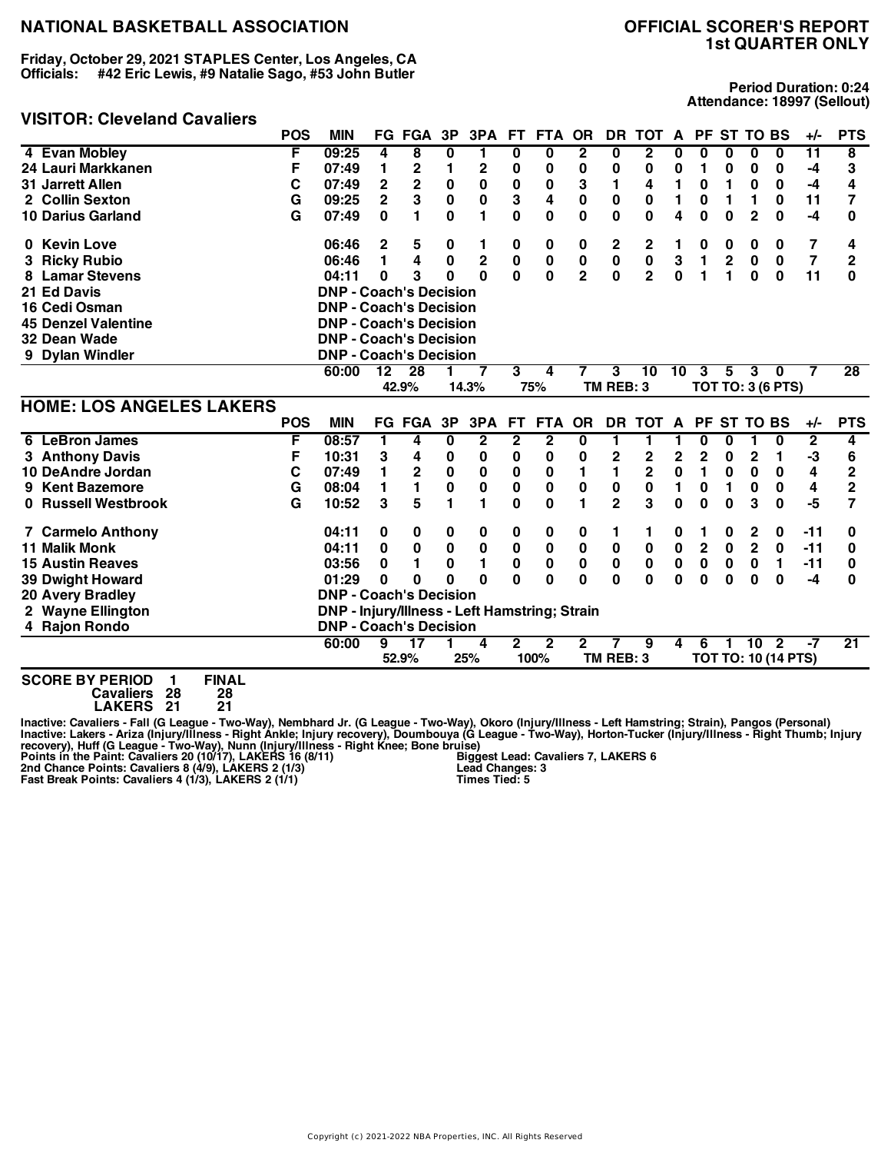**Friday, October 29, 2021 STAPLES Center, Los Angeles, CA Officials: #42 Eric Lewis, #9 Natalie Sago, #53 John Butler**

#### **VISITOR: Cleveland Cavaliers**

# **1st QUARTER ONLY**

**Period Duration: 0:24 Attendance: 18997 (Sellout)**

|                                             | <b>POS</b> | <b>MIN</b>                                    |                         | <b>FG FGA</b>   | 3P           | 3PA          | FT.                     | FTA          | <b>OR</b>      | DR.            | <b>TOT</b>              | A            |                | PF ST TO BS |                |                            | $+/-$          | <b>PTS</b>              |
|---------------------------------------------|------------|-----------------------------------------------|-------------------------|-----------------|--------------|--------------|-------------------------|--------------|----------------|----------------|-------------------------|--------------|----------------|-------------|----------------|----------------------------|----------------|-------------------------|
| 4 Evan Mobley                               | F          | 09:25                                         | 4                       | 8               | 0            | 1            | 0                       | $\bf{0}$     | $\overline{2}$ | 0              | $\overline{\mathbf{2}}$ | 0            | 0              | 0           | 0              | $\bf{0}$                   | 11             | $\overline{\mathbf{8}}$ |
| 24 Lauri Markkanen                          | F          | 07:49                                         | 1                       | 2               | 1            | $\mathbf{2}$ | 0                       | 0            | 0              | 0              | 0                       | 0            | 1              | 0           | 0              | 0                          | -4             | 3                       |
| <b>31 Jarrett Allen</b>                     | C          | 07:49                                         | $\overline{\mathbf{2}}$ | $\overline{2}$  | $\bf{0}$     | $\mathbf 0$  | $\bf{0}$                | 0            | 3              | $\blacksquare$ | 4                       | 1            | 0              | 1           | 0              | $\bf{0}$                   | $-4$           | 4                       |
| 2 Collin Sexton                             | G          | 09:25                                         | $\overline{2}$          | 3               | $\bf{0}$     | 0            | 3                       | 4            | $\bf{0}$       | 0              | $\bf{0}$                | 1            | 0              | 1           | 1              | $\bf{0}$                   | 11             | 7                       |
| 10 Darius Garland                           | G          | 07:49                                         | $\bf{0}$                | 1.              | $\mathbf{0}$ | 1            | 0                       | $\bf{0}$     | $\bf{0}$       | 0              | $\bf{0}$                | 4            | $\mathbf 0$    | $\bf{0}$    | $\overline{2}$ | $\bf{0}$                   | $-4$           | 0                       |
| 0 Kevin Love                                |            | 06:46                                         | 2                       | 5               | 0            | 1            | 0                       | 0            | 0              | 2              | 2                       | 1            | 0              | 0           | 0              | 0                          | 7              | 4                       |
| <b>Ricky Rubio</b>                          |            | 06:46                                         | 1                       | 4               | $\mathbf{0}$ | $\mathbf 2$  | $\pmb{0}$               | $\bf{0}$     | $\pmb{0}$      | 0              | $\pmb{0}$               | 3            | $\blacksquare$ | $\mathbf 2$ | $\bf{0}$       | 0                          | $\overline{7}$ | $\overline{2}$          |
| <b>Lamar Stevens</b>                        |            | 04:11                                         | 0                       | 3               | U            | $\Omega$     | $\mathbf{0}$            | 0            | $\overline{2}$ | 0              | $\overline{2}$          | $\bf{0}$     | 1              | 1           | 0              | $\bf{0}$                   | 11             | $\bf{0}$                |
| 21 Ed Davis                                 |            | <b>DNP - Coach's Decision</b>                 |                         |                 |              |              |                         |              |                |                |                         |              |                |             |                |                            |                |                         |
| 16 Cedi Osman                               |            | <b>DNP - Coach's Decision</b>                 |                         |                 |              |              |                         |              |                |                |                         |              |                |             |                |                            |                |                         |
| <b>45 Denzel Valentine</b>                  |            | <b>DNP - Coach's Decision</b>                 |                         |                 |              |              |                         |              |                |                |                         |              |                |             |                |                            |                |                         |
| 32 Dean Wade                                |            | <b>DNP - Coach's Decision</b>                 |                         |                 |              |              |                         |              |                |                |                         |              |                |             |                |                            |                |                         |
| 9 Dylan Windler                             |            | <b>DNP - Coach's Decision</b>                 |                         |                 |              |              |                         |              |                |                |                         |              |                |             |                |                            |                |                         |
|                                             |            | 60:00                                         | 12                      | 28              |              | 7            | 3                       | 4            | 7              | 3              | 10                      | 10           | 3              | 5           | 3              | $\bf{0}$                   |                | $\overline{28}$         |
|                                             |            |                                               |                         | 42.9%           |              | 14.3%        |                         | 75%          |                | TM REB: 3      |                         |              |                |             |                | <b>TOT TO: 3 (6 PTS)</b>   |                |                         |
| <b>HOME: LOS ANGELES LAKERS</b>             |            |                                               |                         |                 |              |              |                         |              |                |                |                         |              |                |             |                |                            |                |                         |
|                                             | <b>POS</b> | <b>MIN</b>                                    |                         | FG FGA          | 3P           | 3PA          | FT.                     | <b>FTA</b>   | <b>OR</b>      |                | DR TOT A                |              |                | PF ST TO BS |                |                            | +/-            | <b>PTS</b>              |
| 6 LeBron James                              | F          | 08:57                                         | 1                       | 4               | 0            | $\mathbf 2$  | $\overline{\mathbf{2}}$ | $\mathbf 2$  | 0              | 1              | 1                       |              | 0              | 0           | 1              | 0                          | $\overline{2}$ | 4                       |
| 3 Anthony Davis                             | F          | 10:31                                         | 3                       | 4               | 0            | 0            | 0                       | 0            | 0              | 2              | 2                       | 2            | $\mathbf 2$    | 0           | $\overline{2}$ | 1                          | -3             | 6                       |
| 10 DeAndre Jordan                           | C          | 07:49                                         | 1                       | $\mathbf 2$     | $\bf{0}$     | 0            | $\bf{0}$                | 0            | 1              | 1              | $\overline{\mathbf{c}}$ | 0            | $\blacksquare$ | 0           | 0              | 0                          | 4              | $\overline{2}$          |
| <b>Kent Bazemore</b><br>9                   | G          | 08:04                                         | 1                       | 1.              | $\bf{0}$     | 0            | $\bf{0}$                | 0            | $\bf{0}$       | 0              | $\bf{0}$                | 1            | $\mathbf{0}$   | 1           | $\bf{0}$       | 0                          | 4              | $\overline{2}$          |
| 0 Russell Westbrook                         | G          | 10:52                                         | 3                       | 5               | 1            | 1            | $\mathbf 0$             | $\bf{0}$     | 1              | $\overline{2}$ | 3                       | $\mathbf{0}$ | 0              | 0           | 3              | 0                          | $-5$           | 7                       |
| <b>7 Carmelo Anthony</b>                    |            | 04:11                                         | 0                       | 0               | 0            | 0            | 0                       | 0            | 0              | 1              | 1                       | 0            | 1              | 0           | 2              | 0                          | $-11$          | 0                       |
| <b>11 Malik Monk</b>                        |            | 04:11                                         | 0                       | $\bf{0}$        | 0            | 0            | $\bf{0}$                | 0            | 0              | 0              | 0                       | 0            | $\overline{2}$ | $\mathbf 0$ | $\mathbf 2$    | 0                          | $-11$          | 0                       |
| <b>15 Austin Reaves</b>                     |            | 03:56                                         | 0                       | 1               | $\mathbf{0}$ | 1            | 0                       | 0            | $\mathbf 0$    | 0              | $\bf{0}$                | $\pmb{0}$    | 0              | $\bf{0}$    | $\bf{0}$       | 1                          | $-11$          | 0                       |
| 39 Dwight Howard                            |            | 01:29                                         | 0                       | 0               | O            | $\Omega$     | 0                       | 0            | $\bf{0}$       | 0              | $\bf{0}$                | $\bf{0}$     | $\bf{0}$       | $\bf{0}$    | $\bf{0}$       | $\bf{0}$                   | -4             | 0                       |
| 20 Avery Bradley                            |            | <b>DNP - Coach's Decision</b>                 |                         |                 |              |              |                         |              |                |                |                         |              |                |             |                |                            |                |                         |
| 2 Wayne Ellington                           |            | DNP - Injury/Illness - Left Hamstring; Strain |                         |                 |              |              |                         |              |                |                |                         |              |                |             |                |                            |                |                         |
| 4 Rajon Rondo                               |            | <b>DNP - Coach's Decision</b>                 |                         |                 |              |              |                         |              |                |                |                         |              |                |             |                |                            |                |                         |
|                                             |            | 60:00                                         | 9                       | $\overline{17}$ |              | 4            | $\mathbf{2}$            | $\mathbf{2}$ | $\mathbf{2}$   |                | 9                       | 4            | 6              | 1           | 10             | $\overline{\mathbf{2}}$    | -7             | $\overline{21}$         |
|                                             |            |                                               |                         | 52.9%           |              | 25%          |                         | 100%         |                | TM REB: 3      |                         |              |                |             |                | <b>TOT TO: 10 (14 PTS)</b> |                |                         |
| <b>FINAL</b><br><b>SCORE BY PERIOD</b><br>1 |            |                                               |                         |                 |              |              |                         |              |                |                |                         |              |                |             |                |                            |                |                         |

**Cavaliers 28 28**

**LAKERS 21 21**

Inactive: Cavaliers - Fall (G League - Two-Way), Nembhard Jr. (G League - Two-Way), Okoro (Injury/Illness - Left Hamstring; Strain), Pangos (Personal)<br>Inactive: Lakers - Ariza (Injury/Illness - Right Ankle; Injury recovery **Biggest Lead: Cavaliers 7, LAKERS 6 Lead Changes: 3 Times Tied: 5**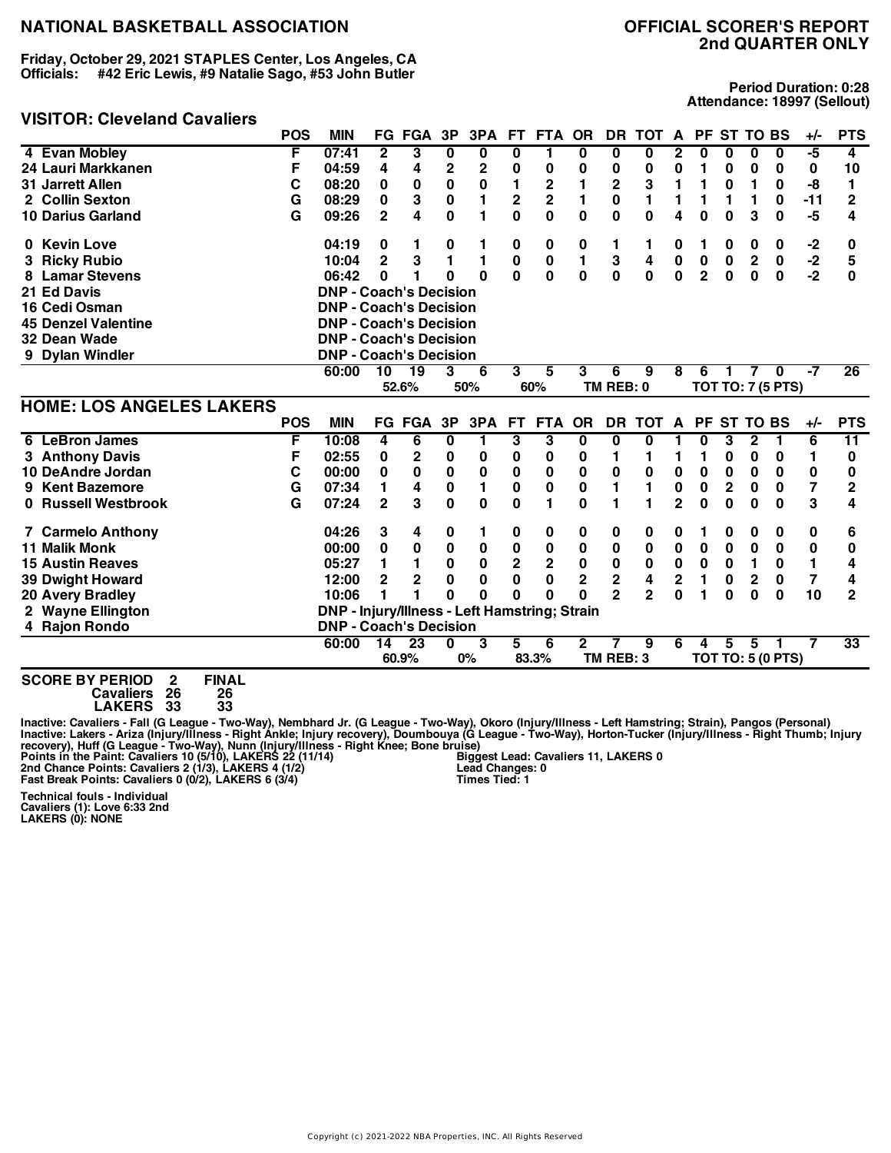**Friday, October 29, 2021 STAPLES Center, Los Angeles, CA Officials: #42 Eric Lewis, #9 Natalie Sago, #53 John Butler**

#### **VISITOR: Cleveland Cavaliers**

**Period Duration: 0:28 Attendance: 18997 (Sellout)**

|                                 | <b>POS</b> | <b>MIN</b>                                    |                | <b>FG FGA</b> | 3P           | 3PA          | FT.                     | <b>FTA</b>              | <b>OR</b>    | DR.                     | <b>TOT</b>     | A            | <b>PF</b>      | <b>ST TO BS</b> |              |                          | $+/-$          | <b>PTS</b>      |
|---------------------------------|------------|-----------------------------------------------|----------------|---------------|--------------|--------------|-------------------------|-------------------------|--------------|-------------------------|----------------|--------------|----------------|-----------------|--------------|--------------------------|----------------|-----------------|
| 4 Evan Mobley                   | F          | 07:41                                         | 2              | 3             | 0            | 0            | 0                       | 1                       | 0            | 0                       | 0              | 2            | 0              | 0               | 0            | 0                        | -5             | 4               |
| 24 Lauri Markkanen              | F          | 04:59                                         | 4              | 4             | 2            | $\mathbf{2}$ | 0                       | 0                       | 0            | 0                       | 0              | 0            | 1              | 0               | 0            | 0                        | 0              | 10              |
| 31 Jarrett Allen                | C          | 08:20                                         | 0              | 0             | 0            | 0            | 1                       | 2                       |              | $\overline{\mathbf{c}}$ | 3              | 1            | 1              | $\bf{0}$        | 1            | 0                        | -8             | 1               |
| 2 Collin Sexton                 | G          | 08:29                                         | 0              | 3             | $\pmb{0}$    | 1            | 2                       | $\overline{\mathbf{c}}$ |              | 0                       | 1              |              | 1              | 1               | 1            | 0                        | $-11$          | $\mathbf{2}$    |
| <b>10 Darius Garland</b>        | G          | 09:26                                         | $\overline{2}$ | 4             | $\mathbf{0}$ | 1            | 0                       | 0                       | $\mathbf 0$  | 0                       | $\mathbf{0}$   | 4            | 0              | $\bf{0}$        | 3            | 0                        | -5             | 4               |
| 0 Kevin Love                    |            | 04:19                                         | 0              |               | 0            | 1            | 0                       | 0                       | 0            | 1                       | 1              | 0            | 1              | 0               | 0            | 0                        | -2             | 0               |
| 3 Ricky Rubio                   |            | 10:04                                         | $\overline{2}$ | 3             | 1            | 1            | 0                       | $\mathbf 0$             | 1            | 3                       | 4              | $\pmb{0}$    | $\pmb{0}$      | $\mathbf 0$     | $\mathbf 2$  | $\mathbf 0$              | $-2$           | 5               |
| <b>Lamar Stevens</b>            |            | 06:42                                         | $\bf{0}$       | 1             | $\Omega$     | $\Omega$     | $\mathbf{0}$            | 0                       | $\mathbf 0$  | $\mathbf{0}$            | $\mathbf 0$    | $\bf{0}$     | $\overline{2}$ | $\bf{0}$        | $\bf{0}$     | $\bf{0}$                 | $-2$           | 0               |
| 21 Ed Davis                     |            | <b>DNP - Coach's Decision</b>                 |                |               |              |              |                         |                         |              |                         |                |              |                |                 |              |                          |                |                 |
| 16 Cedi Osman                   |            | <b>DNP - Coach's Decision</b>                 |                |               |              |              |                         |                         |              |                         |                |              |                |                 |              |                          |                |                 |
| <b>45 Denzel Valentine</b>      |            | <b>DNP - Coach's Decision</b>                 |                |               |              |              |                         |                         |              |                         |                |              |                |                 |              |                          |                |                 |
| 32 Dean Wade                    |            | <b>DNP - Coach's Decision</b>                 |                |               |              |              |                         |                         |              |                         |                |              |                |                 |              |                          |                |                 |
| 9 Dylan Windler                 |            | <b>DNP - Coach's Decision</b>                 |                |               |              |              |                         |                         |              |                         |                |              |                |                 |              |                          |                |                 |
|                                 |            | 60:00                                         | 10             | 19            | 3            | 6            | 3                       | 5                       | 3            | 6                       | 9              | 8            | 6              | 1               | 7            | $\bf{0}$                 | -7             | $\overline{26}$ |
|                                 |            |                                               |                | 52.6%         |              | 50%          |                         | 60%                     |              | TM REB: 0               |                |              |                |                 |              | <b>TOT TO: 7 (5 PTS)</b> |                |                 |
| <b>HOME: LOS ANGELES LAKERS</b> |            |                                               |                |               |              |              |                         |                         |              |                         |                |              |                |                 |              |                          |                |                 |
|                                 | <b>POS</b> | <b>MIN</b>                                    |                | <b>FG FGA</b> | 3P           | 3PA          | <b>FT</b>               | <b>FTA</b>              | <b>OR</b>    | <b>DR</b>               | TOT A          |              |                | PF ST TO BS     |              |                          | $+/-$          | <b>PTS</b>      |
| <b>LeBron James</b><br>6        | F          | 10:08                                         | 4              | 6             | 0            | 1            | 3                       | 3                       | 0            | 0                       | 0              |              | 0              | 3               | $\mathbf 2$  | 1                        | 6              | $\overline{11}$ |
| 3 Anthony Davis                 | F          | 02:55                                         | 0              | 2             | 0            | 0            | 0                       | 0                       | 0            | 1                       | 1              | 1            | 1              | 0               | 0            | 0                        | 1              | 0               |
| 10 DeAndre Jordan               | С          | 00:00                                         | 0              | $\mathbf{0}$  | $\bf{0}$     | 0            | 0                       | 0                       | $\mathbf 0$  | 0                       | $\bf{0}$       | $\pmb{0}$    | 0              | $\bf{0}$        | 0            | $\mathbf 0$              | $\pmb{0}$      | 0               |
| 9 Kent Bazemore                 | G          | 07:34                                         | 1              | 4             | 0            | 1            | $\mathbf 0$             | $\bf{0}$                | 0            | 1                       | 1              | $\bf{0}$     | 0              | 2               | 0            | $\mathbf 0$              | $\overline{7}$ | 2               |
| 0 Russell Westbrook             | G          | 07:24                                         | $\overline{2}$ | 3             | $\mathbf{0}$ | 0            | $\mathbf{0}$            | 1                       | $\bf{0}$     | 1                       | 1              | $\mathbf{2}$ | 0              | $\bf{0}$        | 0            | 0                        | 3              | 4               |
| <b>7 Carmelo Anthony</b>        |            | 04:26                                         | 3              | 4             | 0            | 1            | 0                       | 0                       | 0            | 0                       | 0              | 0            | 1              | 0               | 0            | 0                        | 0              | 6               |
| <b>11 Malik Monk</b>            |            | 00:00                                         | 0              | 0             | 0            | 0            | 0                       | 0                       | 0            | 0                       | 0              | $\mathbf 0$  | 0              | 0               | 0            | 0                        | 0              | 0               |
| <b>15 Austin Reaves</b>         |            | 05:27                                         | 1              | 1             | 0            | 0            | $\overline{\mathbf{c}}$ | $\overline{\mathbf{2}}$ | $\bf{0}$     | $\pmb{0}$               | $\bf{0}$       | $\mathbf 0$  | 0              | 0               | 1            | 0                        | $\mathbf{1}$   | 4               |
| <b>39 Dwight Howard</b>         |            | 12:00                                         | $\mathbf{2}$   | $\mathbf 2$   | 0            | 0            | 0                       | 0                       | $\mathbf{2}$ | 2                       | 4              | 2            | 1              | 0               | $\mathbf{2}$ | 0                        | 7              | 4               |
| <b>20 Avery Bradley</b>         |            | 10:06                                         | 1              |               | $\Omega$     | $\Omega$     | O                       | 0                       | 0            | $\overline{2}$          | $\overline{2}$ | O            | 1              | $\bf{0}$        | $\bf{0}$     | $\bf{0}$                 | 10             | $\overline{2}$  |
| 2 Wayne Ellington               |            | DNP - Injury/Illness - Left Hamstring; Strain |                |               |              |              |                         |                         |              |                         |                |              |                |                 |              |                          |                |                 |
| 4 Rajon Rondo                   |            | <b>DNP - Coach's Decision</b>                 |                |               |              |              |                         |                         |              |                         |                |              |                |                 |              |                          |                |                 |
|                                 |            | 60:00                                         | 14             | 23            | U            | 3            | 5                       | 6                       | $\mathbf{2}$ |                         | 9              | 6            | 4              | 5               | 5            |                          |                | $\overline{33}$ |
|                                 |            |                                               |                | 60.9%         |              | 0%           |                         | 83.3%                   |              | TM REB: 3               |                |              |                |                 |              | <b>TOT TO: 5 (0 PTS)</b> |                |                 |
|                                 |            |                                               |                |               |              |              |                         |                         |              |                         |                |              |                |                 |              |                          |                |                 |

**SCORE BY PERIOD 2 FINAL Cavaliers 26 26 LAKERS 33 33**

Inactive: Cavaliers - Fall (G League - Two-Way), Nembhard Jr. (G League - Two-Way), Okoro (Injury/Illness - Left Hamstring; Strain), Pangos (Personal)<br>Inactive: Lakers - Ariza (Injury/Illness - Right Ankle; Injury recovery **Biggest Lead: Cavaliers 11, LAKERS 0 Lead Changes: 0 Times Tied: 1**

**Technical fouls - Individual Cavaliers (1): Love 6:33 2nd LAKERS (0): NONE**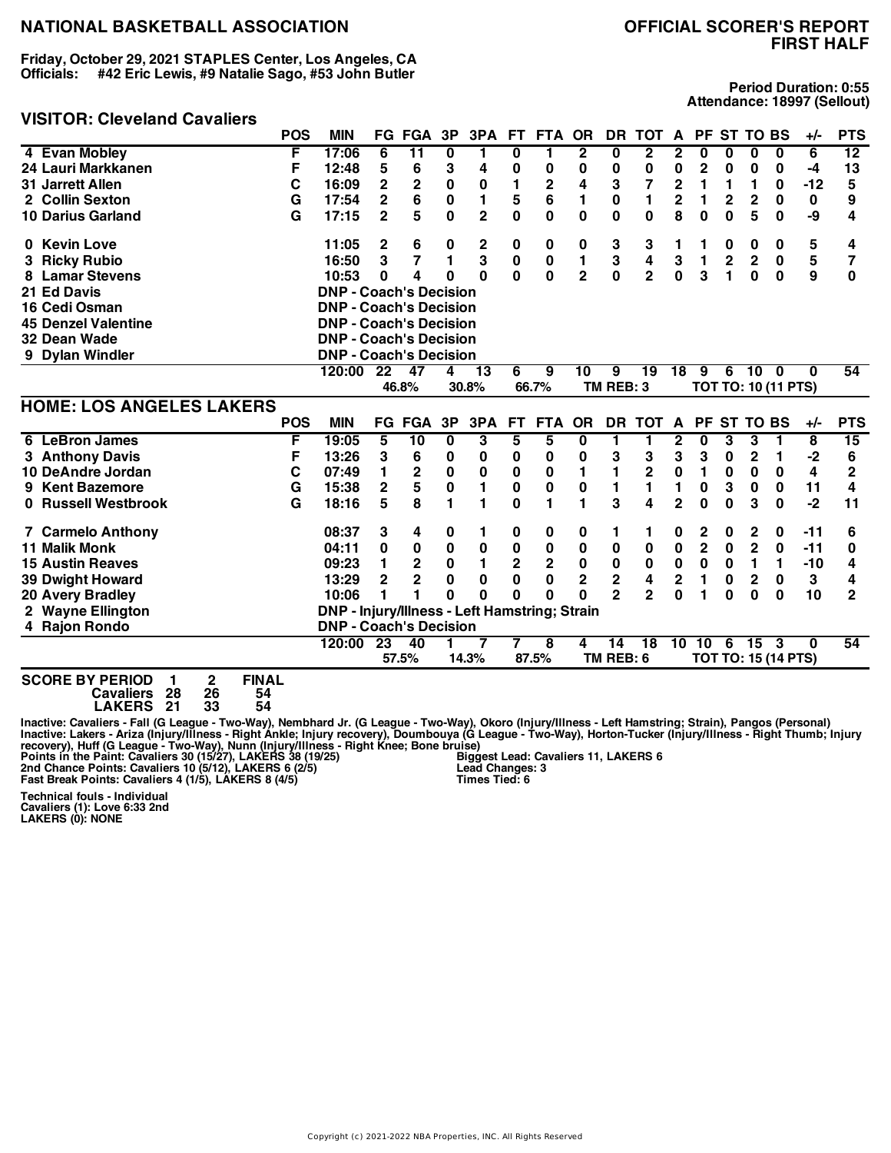**Friday, October 29, 2021 STAPLES Center, Los Angeles, CA Officials: #42 Eric Lewis, #9 Natalie Sago, #53 John Butler**

## **VISITOR: Cleveland Cavaliers**

# **FIRST HALF**

**Period Duration: 0:55 Attendance: 18997 (Sellout)**

|                                                                   | <b>POS</b> | <b>MIN</b>                                    |                         | FG FGA          | 3P           | 3PA            |                | FT FTA                  | <b>OR</b>      | DR                      | TOT             | $\mathsf{A}$   |                         |                | PF ST TO BS     |                            | +/-   | <b>PTS</b>      |
|-------------------------------------------------------------------|------------|-----------------------------------------------|-------------------------|-----------------|--------------|----------------|----------------|-------------------------|----------------|-------------------------|-----------------|----------------|-------------------------|----------------|-----------------|----------------------------|-------|-----------------|
| 4 Evan Mobley                                                     | F          | 17:06                                         | 6                       | $\overline{11}$ | $\bf{0}$     | 1              | 0              | 1                       | $\overline{2}$ | $\overline{\mathbf{0}}$ | $\overline{2}$  | $\mathbf{2}$   | 0                       | 0              | 0               | 0                          | 6     | $\overline{12}$ |
| 24 Lauri Markkanen                                                | F          | 12:48                                         | 5                       | 6               | 3            | 4              | 0              | 0                       | 0              | 0                       | 0               | 0              | $\mathbf 2$             | 0              | 0               | 0                          | -4    | 13              |
| <b>31 Jarrett Allen</b>                                           | С          | 16:09                                         | $\overline{\mathbf{c}}$ | $\mathbf 2$     | $\bf{0}$     | 0              | 1              | $\mathbf 2$             | 4              | 3                       | $\overline{7}$  | $\mathbf 2$    | 1                       | 1              | 1               | 0                          | $-12$ | 5               |
| 2 Collin Sexton                                                   | G          | 17:54                                         | $\mathbf{2}$            | 6               | $\bf{0}$     | 1              | 5              | 6                       | 1              | 0                       | 1               | $\mathbf{2}$   | 1                       | $\mathbf{2}$   | $\overline{2}$  | $\bf{0}$                   | 0     | 9               |
| <b>10 Darius Garland</b>                                          | G          | 17:15                                         | $\overline{2}$          | 5               | $\mathbf 0$  | $\overline{2}$ | $\bf{0}$       | $\bf{0}$                | $\mathbf 0$    | 0                       | $\mathbf 0$     | 8              | $\mathbf{0}$            | $\bf{0}$       | 5               | 0                          | -9    | 4               |
| 0 Kevin Love                                                      |            | 11:05                                         | 2                       | 6               | 0            | 2              | 0              | 0                       | 0              | 3                       | 3               | 1              | 1                       | 0              | 0               | 0                          | 5     | 4               |
| <b>Ricky Rubio</b>                                                |            | 16:50                                         | 3                       | $\overline{7}$  | 1            | 3              | $\pmb{0}$      | $\bf{0}$                | 1              | 3                       | 4               | 3              | $\blacksquare$          | $\overline{2}$ | $\overline{2}$  | 0                          | 5     | 7               |
| <b>Lamar Stevens</b>                                              |            | 10:53                                         | 0                       | 4               | 0            | $\bf{0}$       | 0              | $\mathbf 0$             | $\overline{2}$ | $\mathbf 0$             | $\overline{2}$  | 0              | 3                       | 1              | 0               | 0                          | 9     | 0               |
| 21 Ed Davis                                                       |            | <b>DNP - Coach's Decision</b>                 |                         |                 |              |                |                |                         |                |                         |                 |                |                         |                |                 |                            |       |                 |
| 16 Cedi Osman                                                     |            | <b>DNP - Coach's Decision</b>                 |                         |                 |              |                |                |                         |                |                         |                 |                |                         |                |                 |                            |       |                 |
| <b>45 Denzel Valentine</b>                                        |            | <b>DNP - Coach's Decision</b>                 |                         |                 |              |                |                |                         |                |                         |                 |                |                         |                |                 |                            |       |                 |
| 32 Dean Wade                                                      |            | <b>DNP - Coach's Decision</b>                 |                         |                 |              |                |                |                         |                |                         |                 |                |                         |                |                 |                            |       |                 |
| 9 Dylan Windler                                                   |            | <b>DNP - Coach's Decision</b>                 |                         |                 |              |                |                |                         |                |                         |                 |                |                         |                |                 |                            |       |                 |
|                                                                   |            | 120:00                                        | 22                      | 47              | 4            | 13             | 6              | 9                       | 10             | 9                       | 19              | 18             | 9                       | 6              | 10 <sup>1</sup> | - 0                        | 0     | 54              |
|                                                                   |            |                                               |                         | 46.8%           |              | 30.8%          |                | 66.7%                   |                | TM REB: 3               |                 |                |                         |                |                 | <b>TOT TO: 10 (11 PTS)</b> |       |                 |
| <b>HOME: LOS ANGELES LAKERS</b>                                   |            |                                               |                         |                 |              |                |                |                         |                |                         |                 |                |                         |                |                 |                            |       |                 |
|                                                                   | <b>POS</b> | <b>MIN</b>                                    |                         | <b>FG FGA</b>   | 3P           | 3PA            | <b>FT</b>      | <b>FTA</b>              | <b>OR</b>      | DR.                     | <b>TOT</b>      | $\mathbf{A}$   | <b>PF</b>               |                | <b>ST TO BS</b> |                            | $+/-$ | <b>PTS</b>      |
| <b>LeBron James</b><br>6                                          | F          | 19:05                                         | 5                       | $\overline{10}$ | $\bf{0}$     | 3              | 5              | 5                       | 0              | 1                       | 1               | 2              | 0                       | 3              | 3               | 1                          | 8     | $\overline{15}$ |
| 3 Anthony Davis                                                   | F          | 13:26                                         | 3                       | 6               | 0            | 0              | 0              | 0                       | 0              | 3                       | 3               | 3              | 3                       | 0              | 2               | 1                          | -2    | 6               |
| 10 DeAndre Jordan                                                 | C          | 07:49                                         | 1                       | $\mathbf 2$     | $\bf{0}$     | $\pmb{0}$      | 0              | 0                       | 1              | 1                       | $\mathbf{2}$    | $\pmb{0}$      | 1                       | 0              | 0               | 0                          | 4     | $\overline{2}$  |
| <b>Kent Bazemore</b><br>9                                         | G          | 15:38                                         | $\overline{\mathbf{c}}$ | 5               | $\pmb{0}$    | $\mathbf{1}$   | 0              | $\bf{0}$                | $\pmb{0}$      | 1                       | 1               | 1              | $\pmb{0}$               | 3              | 0               | 0                          | 11    | 4               |
| 0 Russell Westbrook                                               | G          | 18:16                                         | 5                       | 8               | 1            | $\blacksquare$ | $\bf{0}$       | 1                       | 1              | 3                       | 4               | $\mathbf{2}$   | $\Omega$                | $\Omega$       | 3               | $\bf{0}$                   | $-2$  | 11              |
| <b>7 Carmelo Anthony</b>                                          |            | 08:37                                         | 3                       | 4               | 0            | 1              | 0              | 0                       | 0              | 1                       | 1               | 0              | 2                       | 0              | 2               | 0                          | $-11$ | 6               |
| <b>11 Malik Monk</b>                                              |            | 04:11                                         | 0                       | 0               | 0            | 0              | $\bf{0}$       | 0                       | 0              | 0                       | 0               | $\mathbf 0$    | $\overline{\mathbf{2}}$ | $\mathbf 0$    | $\overline{2}$  | 0                          | $-11$ | 0               |
| <b>15 Austin Reaves</b>                                           |            | 09:23                                         | 1                       | $\overline{2}$  | 0            | 1              | $\overline{2}$ | $\mathbf 2$             | 0              | $\pmb{0}$               | $\bf{0}$        | $\mathbf 0$    | $\mathbf 0$             | 0              | 1               | 1                          | $-10$ | 4               |
| <b>39 Dwight Howard</b>                                           |            | 13:29                                         | $\overline{2}$          | $\mathbf{2}$    | $\mathbf{0}$ | $\bf{0}$       | 0              | $\bf{0}$                | $\overline{2}$ | $\overline{2}$          | 4               | $\overline{2}$ | 1                       | 0              | $\overline{2}$  | 0                          | 3     | 4               |
| 20 Avery Bradley                                                  |            | 10:06                                         |                         | 1               | 0            | $\Omega$       | $\bf{0}$       | 0                       | $\Omega$       | $\overline{2}$          | $\overline{2}$  | $\mathbf{0}$   | 1                       | 0              | 0               | 0                          | 10    | $\overline{2}$  |
| 2 Wayne Ellington                                                 |            | DNP - Injury/Illness - Left Hamstring; Strain |                         |                 |              |                |                |                         |                |                         |                 |                |                         |                |                 |                            |       |                 |
| 4 Rajon Rondo                                                     |            | <b>DNP - Coach's Decision</b>                 |                         |                 |              |                |                |                         |                |                         |                 |                |                         |                |                 |                            |       |                 |
|                                                                   |            | 120:00                                        | 23                      | 40              |              |                |                | $\overline{\mathbf{8}}$ | 4              | 14                      | $\overline{18}$ | 10             | $\overline{10}$         | 6              | $\overline{15}$ | 3                          | 0     | 54              |
|                                                                   |            |                                               |                         | 57.5%           |              | 14.3%          |                | 87.5%                   |                | TM REB: 6               |                 |                |                         |                |                 | <b>TOT TO: 15 (14 PTS)</b> |       |                 |
| COODE BY BEBIAD<br><sup>o</sup><br><b>CINAL</b><br>$\blacksquare$ |            |                                               |                         |                 |              |                |                |                         |                |                         |                 |                |                         |                |                 |                            |       |                 |

**SCORE BY PERIOD 1 2 FINAL Cavaliers** 28<br>**LAKERS** 21 **LAKERS 21 33 54**

Inactive: Cavaliers - Fall (G League - Two-Way), Nembhard Jr. (G League - Two-Way), Okoro (Injury/Illness - Left Hamstring; Strain), Pangos (Personal)<br>Inactive: Lakers - Ariza (Injury/Illness - Right Ankle; Injury recovery **Biggest Lead: Cavaliers 11, LAKERS 6 Lead Changes: 3 Times Tied: 6**

**Technical fouls - Individual Cavaliers (1): Love 6:33 2nd LAKERS (0): NONE**

Copyright (c) 2021-2022 NBA Properties, INC. All Rights Reserved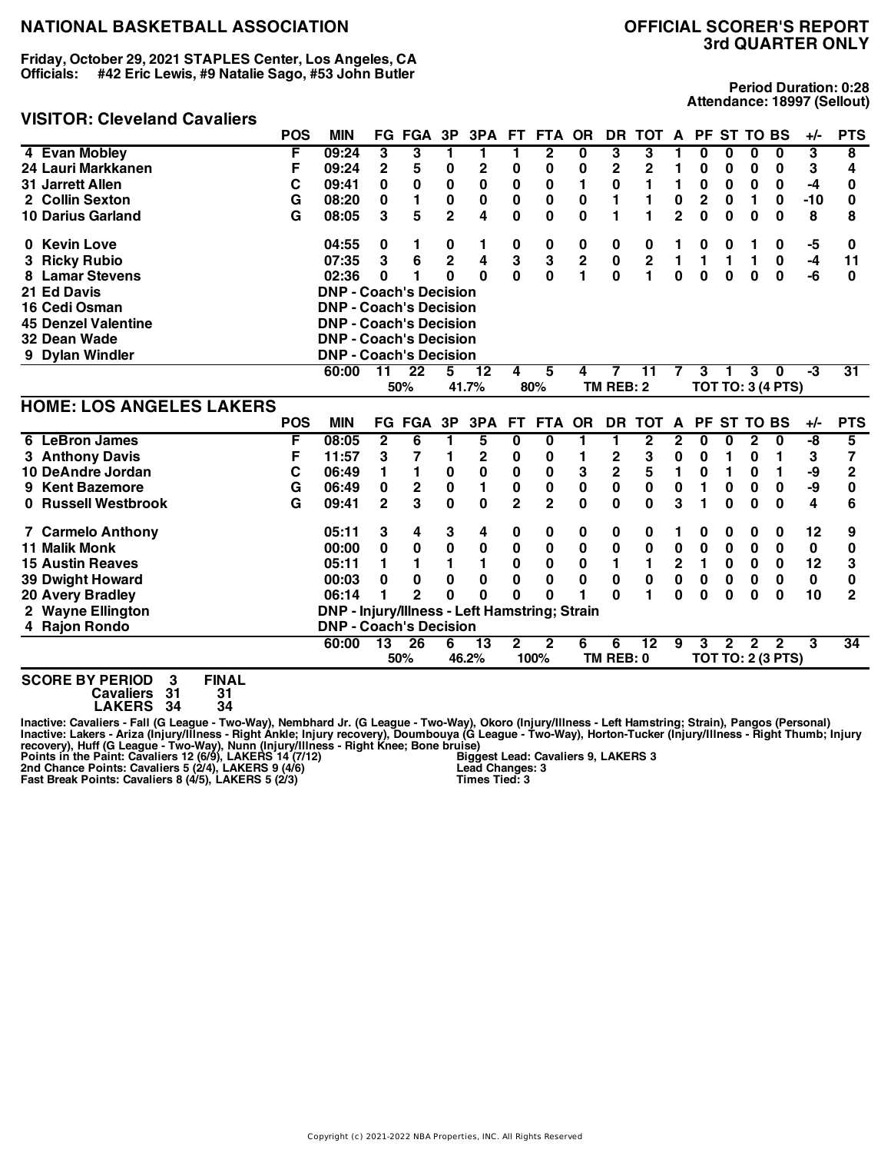**Friday, October 29, 2021 STAPLES Center, Los Angeles, CA Officials: #42 Eric Lewis, #9 Natalie Sago, #53 John Butler**

#### **VISITOR: Cleveland Cavaliers**

**Period Duration: 0:28 Attendance: 18997 (Sellout)**

|                                      | <b>POS</b> | <b>MIN</b>                                    |                 | FG FGA         | 3P             |                 |                | 3PA FT FTA              | <b>OR</b>               | DR                      | TOT A PF ST TO BS       |                |                |                 |              |                          | +/-         | <b>PTS</b>      |
|--------------------------------------|------------|-----------------------------------------------|-----------------|----------------|----------------|-----------------|----------------|-------------------------|-------------------------|-------------------------|-------------------------|----------------|----------------|-----------------|--------------|--------------------------|-------------|-----------------|
| 4 Evan Mobley                        | F          | 09:24                                         | 3               | 3              |                | 1               |                | $\mathbf{2}$            | 0                       | 3                       | 3                       |                | 0              | 0               | 0            | 0                        | 3           | 8               |
| 24 Lauri Markkanen                   | F          | 09:24                                         | $\overline{2}$  | 5              | 0              | $\mathbf 2$     | 0              | 0                       | 0                       | 2                       | 2                       |                | 0              | 0               | 0            | 0                        | 3           | 4               |
| 31 Jarrett Allen                     | С          | 09:41                                         | 0               | $\mathbf 0$    | $\bf{0}$       | $\mathbf 0$     | $\bf{0}$       | 0                       | 1                       | 0                       | 1                       | 1              | 0              | $\bf{0}$        | 0            | 0                        | -4          | 0               |
| 2 Collin Sexton                      | G          | 08:20                                         | 0               | 1              | $\bf{0}$       | 0               | $\mathbf 0$    | 0                       | 0                       | 1                       | 1                       | 0              | $\overline{2}$ | 0               | 1            | 0                        | $-10$       | 0               |
| <b>10 Darius Garland</b>             | G          | 08:05                                         | 3               | 5              | $\overline{2}$ | 4               | 0              | 0                       | $\bf{0}$                | 1                       | 1                       | $\overline{2}$ | $\mathbf 0$    | 0               | 0            | 0                        | 8           | 8               |
| 0 Kevin Love                         |            | 04:55                                         | 0               | 1.             | 0              | 1               | 0              | 0                       | 0                       | 0                       | 0                       |                | 0              | 0               | 1            | 0                        | -5          | 0               |
| <b>Ricky Rubio</b>                   |            | 07:35                                         | 3               | 6              | $\overline{2}$ | 4               | 3              | 3                       | $\overline{\mathbf{2}}$ | $\pmb{0}$               | $\overline{\mathbf{2}}$ | 1              | 1              | 1               | 1            | 0                        | $-4$        | 11              |
| <b>Lamar Stevens</b>                 |            | 02:36                                         | 0               |                | O              | $\Omega$        | $\mathbf{0}$   | $\bf{0}$                |                         | $\mathbf{0}$            | 1                       | $\bf{0}$       | $\mathbf 0$    | $\bf{0}$        | 0            | $\bf{0}$                 | -6          | 0               |
| 21 Ed Davis                          |            | <b>DNP - Coach's Decision</b>                 |                 |                |                |                 |                |                         |                         |                         |                         |                |                |                 |              |                          |             |                 |
| 16 Cedi Osman                        |            | <b>DNP - Coach's Decision</b>                 |                 |                |                |                 |                |                         |                         |                         |                         |                |                |                 |              |                          |             |                 |
| <b>45 Denzel Valentine</b>           |            | <b>DNP - Coach's Decision</b>                 |                 |                |                |                 |                |                         |                         |                         |                         |                |                |                 |              |                          |             |                 |
| 32 Dean Wade                         |            | <b>DNP - Coach's Decision</b>                 |                 |                |                |                 |                |                         |                         |                         |                         |                |                |                 |              |                          |             |                 |
| 9 Dylan Windler                      |            | <b>DNP - Coach's Decision</b>                 |                 |                |                |                 |                |                         |                         |                         |                         |                |                |                 |              |                          |             |                 |
|                                      |            | 60:00                                         | 11              | 22             | 5              | 12              | 4              | 5                       | 4                       | 7                       | 11                      | 7              | 3              | 1               | 3            | 0                        | $-3$        | $\overline{31}$ |
|                                      |            |                                               |                 | 50%            |                | 41.7%           |                | 80%                     |                         | TM REB: 2               |                         |                |                |                 |              | <b>TOT TO: 3 (4 PTS)</b> |             |                 |
| <b>HOME: LOS ANGELES LAKERS</b>      |            |                                               |                 |                |                |                 |                |                         |                         |                         |                         |                |                |                 |              |                          |             |                 |
|                                      | <b>POS</b> | <b>MIN</b>                                    |                 | FG FGA         | 3P             | 3PA             | FT.            | FTA OR                  |                         | DR                      | <b>TOT</b>              | A              | PF             | <b>ST TO BS</b> |              |                          | $+/-$       | <b>PTS</b>      |
| <b>LeBron James</b><br>6             | F          | 08:05                                         | $\mathbf{2}$    | 6              | 1              | 5               | 0              | 0                       | 1                       | 1                       | $\mathbf{2}$            | 2              | 0              | 0               | $\mathbf{2}$ | 0                        | -8          | 5               |
| 3 Anthony Davis                      | F          | 11:57                                         | 3               | 7              | 1              | $\overline{2}$  | 0              | 0                       |                         | $\mathbf 2$             | 3                       | 0              | 0              | 1               | 0            | 1                        | 3           | 7               |
| 10 DeAndre Jordan                    | С          | 06:49                                         | 1               | 1              | 0              | 0               | $\pmb{0}$      | 0                       | 3                       | $\overline{\mathbf{c}}$ | 5                       | 1              | 0              | 1               | 0            | 1                        | -9          | $\mathbf{2}$    |
| <b>Kent Bazemore</b><br>9            | G          | 06:49                                         | $\mathbf 0$     | $\mathbf 2$    | $\bf{0}$       | $\mathbf{1}$    | $\mathbf 0$    | $\bf{0}$                | $\mathbf 0$             | $\mathbf 0$             | $\mathbf 0$             | $\mathbf 0$    | 1              | $\bf{0}$        | $\bf{0}$     | $\bf{0}$                 | -9          | 0               |
| 0 Russell Westbrook                  | G          | 09:41                                         | $\mathbf{2}$    | 3              | $\bf{0}$       | $\bf{0}$        | $\overline{2}$ | $\overline{2}$          | $\bf{0}$                | $\mathbf{0}$            | $\bf{0}$                | 3              | 1              | $\bf{0}$        | $\bf{0}$     | $\bf{0}$                 | 4           | 6               |
| <b>7 Carmelo Anthony</b>             |            | 05:11                                         | 3               | 4              | 3              | 4               | 0              | 0                       | 0                       | 0                       | 0                       | 1              | 0              | 0               | 0            | 0                        | 12          | 9               |
| <b>11 Malik Monk</b>                 |            | 00:00                                         | 0               | 0              | 0              | 0               | 0              | 0                       | 0                       | 0                       | $\mathbf 0$             | 0              | 0              | $\bf{0}$        | $\bf{0}$     | 0                        | $\mathbf 0$ | 0               |
| <b>15 Austin Reaves</b>              |            | 05:11                                         | 1               | 1              | 1              | 1               | $\bf{0}$       | 0                       | $\bf{0}$                | 1                       | 1                       | $\mathbf{2}$   | 1              | $\bf{0}$        | $\bf{0}$     | 0                        | 12          | 3               |
| 39 Dwight Howard                     |            | 00:03                                         | 0               | 0              | $\bf{0}$       | 0               | 0              | 0                       | 0                       | 0                       | $\bf{0}$                | 0              | 0              | 0               | 0            | 0                        | $\mathbf 0$ | 0               |
| 20 Avery Bradley                     |            | 06:14                                         | 1               | $\overline{2}$ | O              | $\mathbf{0}$    | $\Omega$       | O                       |                         | U                       |                         | $\bf{0}$       | 0              | $\Omega$        | 0            | $\bf{0}$                 | 10          | $\overline{2}$  |
| 2 Wayne Ellington                    |            | DNP - Injury/Illness - Left Hamstring; Strain |                 |                |                |                 |                |                         |                         |                         |                         |                |                |                 |              |                          |             |                 |
| 4 Rajon Rondo                        |            | <b>DNP - Coach's Decision</b>                 |                 |                |                |                 |                |                         |                         |                         |                         |                |                |                 |              |                          |             |                 |
|                                      |            | 60:00                                         | $\overline{13}$ | 26             | 6              | $\overline{13}$ | $\mathbf{2}$   | $\overline{\mathbf{2}}$ | 6                       | 6                       | $\overline{12}$         | 9              | 3              | $\mathbf{2}$    | 2            | $\mathbf{2}$             | 3           | 34              |
|                                      |            |                                               |                 | 50%            |                | 46.2%           |                | 100%                    |                         | TM REB: 0               |                         |                |                |                 |              | <b>TOT TO: 2 (3 PTS)</b> |             |                 |
| CAARE BY BEBIAS<br>$-111.$<br>$\sim$ |            |                                               |                 |                |                |                 |                |                         |                         |                         |                         |                |                |                 |              |                          |             |                 |

**SCORE BY PERIOD 3 FINAL Cavaliers 31 31**

**LAKERS 34 34**

Inactive: Cavaliers - Fall (G League - Two-Way), Nembhard Jr. (G League - Two-Way), Okoro (Injury/Illness - Left Hamstring; Strain), Pangos (Personal)<br>Inactive: Lakers - Ariza (Injury/Illness - Right Ankle; Injury recovery **Biggest Lead: Cavaliers 9, LAKERS 3 Lead Changes: 3 Times Tied: 3**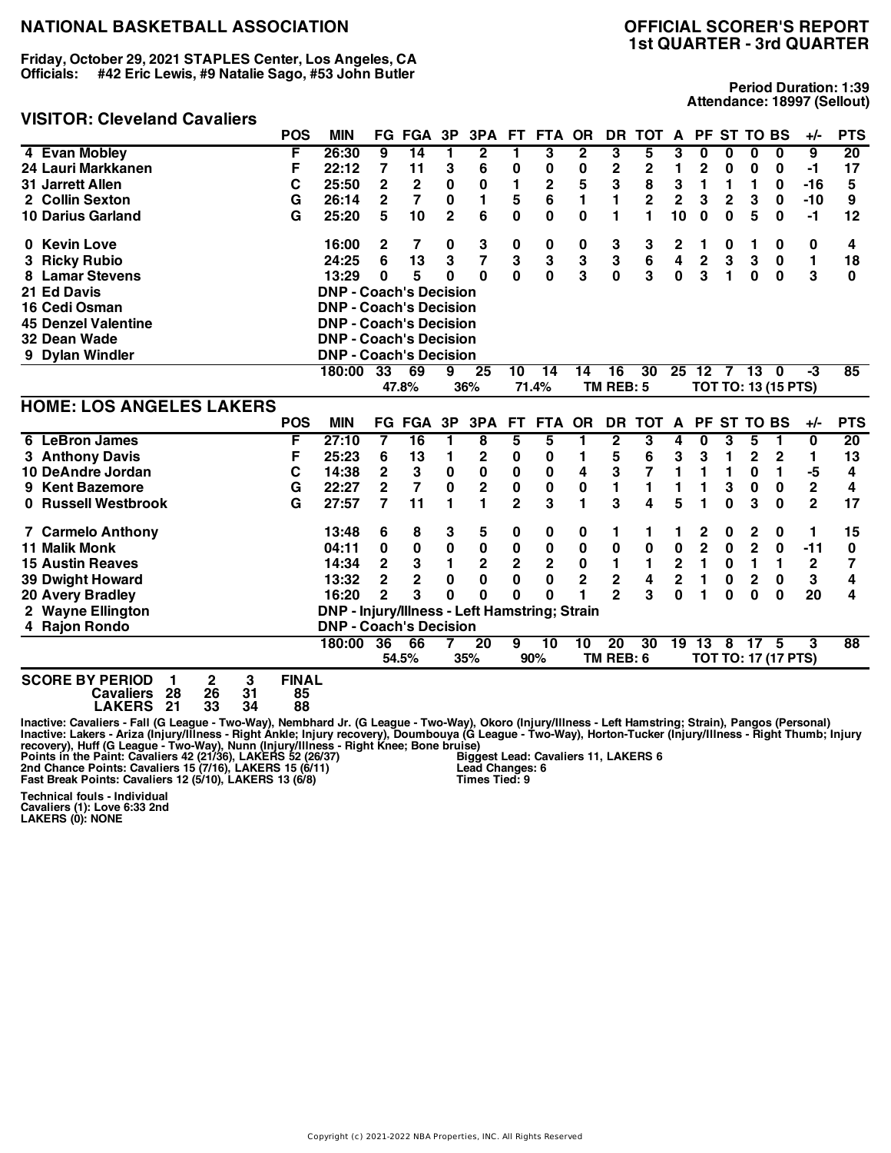**Friday, October 29, 2021 STAPLES Center, Los Angeles, CA Officials: #42 Eric Lewis, #9 Natalie Sago, #53 John Butler**

#### **VISITOR: Cleveland Cavaliers**

# **1st QUARTER - 3rd QUARTER**

**Period Duration: 1:39 Attendance: 18997 (Sellout)**

| VIJII UN. UITVTIAIIU VAVAIITI S                    | <b>POS</b>   | <b>MIN</b>                                           |                | <b>FG FGA</b>   | 3P           | 3PA                     | FT.            | FTA OR      |                | DR.             | TOT A        |                         |                         |             | PF ST TO BS     |                            | $+/-$        | <b>PTS</b>      |
|----------------------------------------------------|--------------|------------------------------------------------------|----------------|-----------------|--------------|-------------------------|----------------|-------------|----------------|-----------------|--------------|-------------------------|-------------------------|-------------|-----------------|----------------------------|--------------|-----------------|
| 4 Evan Mobley                                      | F            | 26:30                                                | 9              | 14              | 1            | 2                       | 1              | 3           | 2              | 3               | 5            | 3                       | 0                       | 0           | 0               | 0                          | 9            | 20              |
| 24 Lauri Markkanen                                 | F            | 22:12                                                | 7              | 11              | 3            | 6                       | 0              | 0           | 0              | 2               | $\mathbf 2$  | 1                       | $\overline{2}$          | 0           | 0               | 0                          | -1           | 17              |
| 31 Jarrett Allen                                   | C            | 25:50                                                | $\mathbf{2}$   | $\mathbf{2}$    | 0            | 0                       | 1              | 2           | 5              | 3               | 8            | 3                       | 1                       | 1           | 1               | 0                          | $-16$        | 5               |
| 2 Collin Sexton                                    | G            | 26:14                                                | $\mathbf 2$    | $\overline{7}$  | 0            | 1                       | 5              | 6           | 1              | 1               | $\mathbf{2}$ | $\overline{2}$          | 3                       | $\mathbf 2$ | 3               | 0                          | $-10$        | 9               |
| <b>10 Darius Garland</b>                           | G            | 25:20                                                | 5              | 10              | $\mathbf{2}$ | 6                       | 0              | 0           | $\mathbf 0$    | 1               | 1            | 10                      | $\bf{0}$                | $\bf{0}$    | 5               | 0                          | $-1$         | 12              |
| 0 Kevin Love                                       |              | 16:00                                                | $\mathbf{2}$   | 7               | 0            | 3                       | 0              | 0           | 0              | 3               | 3            | 2                       | 1                       | 0           | 1               | 0                          | 0            | 4               |
| 3 Ricky Rubio                                      |              | 24:25                                                | 6              | 13              | 3            | $\overline{\mathbf{z}}$ | 3              | 3           | 3              | 3               | 6            | 4                       | $\mathbf 2$             | 3           | 3               | $\mathbf 0$                | 1            | 18              |
| <b>Lamar Stevens</b><br>8                          |              | 13:29                                                | $\bf{0}$       | 5               | 0            | $\bf{0}$                | $\mathbf{0}$   | 0           | 3              | $\mathbf{0}$    | 3            | $\mathbf{0}$            | 3                       | 1           | $\mathbf{0}$    | $\bf{0}$                   | 3            | 0               |
| 21 Ed Davis                                        |              | <b>DNP - Coach's Decision</b>                        |                |                 |              |                         |                |             |                |                 |              |                         |                         |             |                 |                            |              |                 |
| 16 Cedi Osman                                      |              | <b>DNP - Coach's Decision</b>                        |                |                 |              |                         |                |             |                |                 |              |                         |                         |             |                 |                            |              |                 |
| <b>45 Denzel Valentine</b>                         |              | <b>DNP - Coach's Decision</b>                        |                |                 |              |                         |                |             |                |                 |              |                         |                         |             |                 |                            |              |                 |
| 32 Dean Wade                                       |              | <b>DNP - Coach's Decision</b>                        |                |                 |              |                         |                |             |                |                 |              |                         |                         |             |                 |                            |              |                 |
| 9 Dylan Windler                                    |              | <b>DNP - Coach's Decision</b>                        |                |                 |              |                         |                |             |                |                 |              |                         |                         |             |                 |                            |              |                 |
|                                                    |              | 180:00                                               | 33             | 69              | 9            | 25                      | 10             | 14          | 14             | 16              | 30           |                         | 25 12                   |             | 7 13            | $\mathbf{0}$               | $-3$         | 85              |
|                                                    |              |                                                      |                | 47.8%           |              | 36%                     |                | 71.4%       |                | TM REB: 5       |              |                         |                         |             |                 | <b>TOT TO: 13 (15 PTS)</b> |              |                 |
| <b>HOME: LOS ANGELES LAKERS</b>                    |              |                                                      |                |                 |              |                         |                |             |                |                 |              |                         |                         |             |                 |                            |              |                 |
|                                                    | <b>POS</b>   | <b>MIN</b>                                           |                | <b>FG FGA</b>   | 3P           | 3PA                     | <b>FT</b>      | FTA OR      |                | <b>DR</b>       | <b>TOT</b>   | A                       | <b>PF</b>               |             | ST TO BS        |                            | $+/-$        | <b>PTS</b>      |
| 6 LeBron James                                     | F            | 27:10                                                | 7              | $\overline{16}$ | 1            | 8                       | 5              | 5           | 1              | 2               | 3            | 4                       | 0                       | 3           | 5               | 1                          | $\bf{0}$     | 20              |
| 3 Anthony Davis                                    | F            | 25:23                                                | 6              | 13              | 1            | 2                       | 0              | 0           | 1              | 5               | 6            | 3                       | 3                       | 1           | 2               | $\mathbf{2}$               | 1            | 13              |
| 10 DeAndre Jordan                                  | C            | 14:38                                                | $\mathbf{2}$   | 3               | 0            | 0                       | 0              | 0           | 4              | 3               | 7            | 1                       | 1                       | 1           | 0               | 1                          | -5           | 4               |
| 9 Kent Bazemore                                    | G            | 22:27                                                | $\mathbf{2}$   | $\overline{7}$  | $\mathbf 0$  | $\mathbf 2$             | $\pmb{0}$      | 0           | 0              | $\blacksquare$  | 1            |                         | 1                       | 3           | 0               | 0                          | $\mathbf 2$  | 4               |
| 0 Russell Westbrook                                | G            | 27:57                                                | 7              | 11              | 1            | 1                       | $\overline{2}$ | 3           | 1              | 3               | 4            | 5                       | 1                       | 0           | 3               | $\bf{0}$                   | $\mathbf{2}$ | 17              |
| <b>7 Carmelo Anthony</b>                           |              | 13:48                                                | 6              | 8               | 3            | 5                       | 0              | 0           | 0              | 1               | 1            |                         | 2                       | 0           | 2               | 0                          | 1            | 15              |
| <b>11 Malik Monk</b>                               |              | 04:11                                                | 0              | 0               | 0            | 0                       | 0              | 0           | 0              | 0               | 0            | $\pmb{0}$               | $\overline{\mathbf{c}}$ | $\mathbf 0$ | $\mathbf 2$     | 0                          | $-11$        | 0               |
| <b>15 Austin Reaves</b>                            |              | 14:34                                                | $\mathbf{2}$   | 3               | 1            | $\mathbf 2$             | $\mathbf 2$    | $\mathbf 2$ | 0              | 1               | 1            | $\mathbf 2$             | 1                       | 0           | 1               | 1                          | $\mathbf 2$  | 7               |
| <b>39 Dwight Howard</b>                            |              | 13:32                                                | $\overline{2}$ | $\overline{2}$  | 0            | $\bf{0}$                | $\mathbf 0$    | 0           | $\overline{2}$ | $\overline{2}$  | 4            | $\overline{\mathbf{2}}$ | 1                       | 0           | $\overline{2}$  | 0                          | 3            | 4               |
| 20 Avery Bradley                                   |              | 16:20                                                | $\overline{2}$ | 3               | O            | $\bf{0}$                | $\mathbf{0}$   | O           |                | $\overline{2}$  | 3            | $\bf{0}$                | 1                       | $\Omega$    | $\bf{0}$        | $\Omega$                   | 20           | 4               |
| 2 Wayne Ellington                                  |              | <b>DNP - Injury/Illness - Left Hamstring; Strain</b> |                |                 |              |                         |                |             |                |                 |              |                         |                         |             |                 |                            |              |                 |
| 4 Rajon Rondo                                      |              | <b>DNP - Coach's Decision</b>                        |                |                 |              |                         |                |             |                |                 |              |                         |                         |             |                 |                            |              |                 |
|                                                    |              | 180:00                                               | 36             | 66              |              | 20                      | 9              | 10          | 10             | $\overline{20}$ | 30           |                         | $19 \ \ 13$             | 8           | 17 <sup>2</sup> | 5                          | 3            | $\overline{88}$ |
|                                                    |              |                                                      |                | 54.5%           |              | 35%                     |                | 90%         |                | TM REB: 6       |              |                         |                         |             |                 | TOT TO: 17 (17 PTS)        |              |                 |
| $\overline{2}$<br>3<br><b>SCORE BY PERIOD</b><br>1 | <b>FINAL</b> |                                                      |                |                 |              |                         |                |             |                |                 |              |                         |                         |             |                 |                            |              |                 |

**Cavaliers 28 26 31 85 LAKERS 21 33 34 88**

Inactive: Cavaliers - Fall (G League - Two-Way), Nembhard Jr. (G League - Two-Way), Okoro (Injury/Illness - Left Hamstring; Strain), Pangos (Personal)<br>Inactive: Lakers - Ariza (Injury/Illness - Right Ankle; Injury recovery **Biggest Lead: Cavaliers 11, LAKERS 6 Lead Changes: 6 Times Tied: 9**

**Technical fouls - Individual Cavaliers (1): Love 6:33 2nd LAKERS (0): NONE**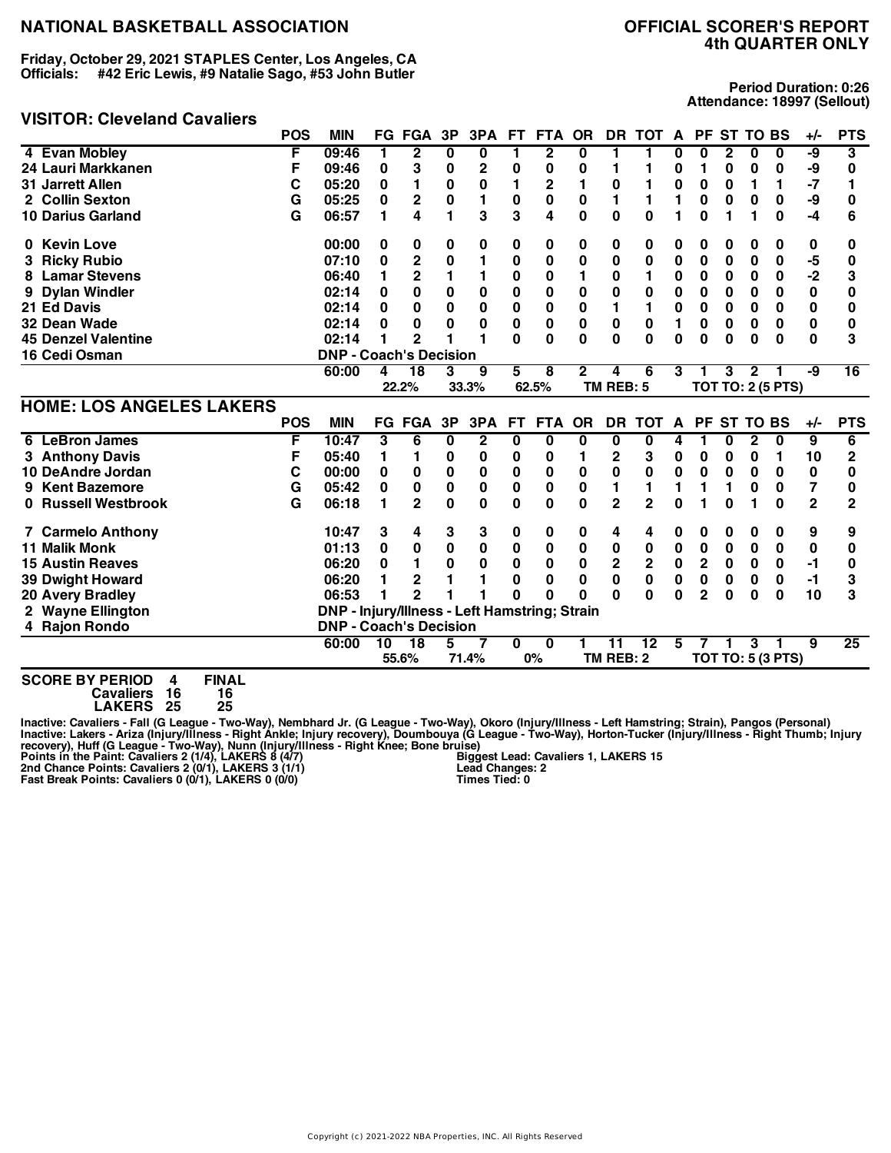**Friday, October 29, 2021 STAPLES Center, Los Angeles, CA Officials: #42 Eric Lewis, #9 Natalie Sago, #53 John Butler**

#### **VISITOR: Cleveland Cavaliers**

**Period Duration: 0:26 Attendance: 18997 (Sellout)**

|                                 | <b>POS</b> | <b>MIN</b>                                    |          | <b>FG FGA</b>  | 3P       | 3PA            | <b>FT</b>   | <b>FTA</b>     | <b>OR</b>    |                | DR TOT          | A         | <b>PF</b>      | <b>ST TO BS</b> |              |                          | $+/-$          | <b>PTS</b>      |
|---------------------------------|------------|-----------------------------------------------|----------|----------------|----------|----------------|-------------|----------------|--------------|----------------|-----------------|-----------|----------------|-----------------|--------------|--------------------------|----------------|-----------------|
| 4 Evan Mobley                   | F          | 09:46                                         | 1        | $\overline{2}$ | 0        | $\bf{0}$       | 1           | $\overline{2}$ | 0            | 1              | 1               | 0         | U              | $\mathbf{2}$    | $\bf{0}$     | $\bf{0}$                 | -9             | 3               |
| 24 Lauri Markkanen              | F          | 09:46                                         | 0        | 3              | 0        | 2              | 0           | 0              | 0            | 1              | 1               | 0         | 1              | 0               | 0            | 0                        | -9             | 0               |
| 31 Jarrett Allen                | C          | 05:20                                         | 0        | 1              | $\bf{0}$ | 0              | 1           | 2              | 1            | 0              |                 | 0         | 0              | 0               | 1            | 1                        | $-7$           | 1               |
| 2 Collin Sexton                 | G          | 05:25                                         | $\bf{0}$ | 2              | $\bf{0}$ | 1              | 0           | 0              | 0            | 1              | 1               | 1         | 0              | 0               | 0            | 0                        | -9             | 0               |
| <b>10 Darius Garland</b>        | G          | 06:57                                         | 1        | 4              | 1        | 3              | 3           | 4              | $\mathbf 0$  | 0              | $\bf{0}$        | 1         | 0              | 1               | 1            | 0                        | $-4$           | 6               |
| 0 Kevin Love                    |            | 00:00                                         | 0        | 0              | 0        | 0              | 0           | 0              | 0            | 0              | 0               | 0         | 0              | 0               | 0            | 0                        | 0              | 0               |
| <b>Ricky Rubio</b>              |            | 07:10                                         | 0        | $\mathbf 2$    | 0        | 1              | 0           | 0              | 0            | 0              | 0               | 0         | 0              | 0               | 0            | 0                        | -5             | 0               |
| <b>Lamar Stevens</b><br>8       |            | 06:40                                         | 1        | 2              | 1        | 1              | 0           | 0              |              | 0              | 1               | 0         | 0              | 0               | 0            | 0                        | $-2$           | 3               |
| <b>Dylan Windler</b>            |            | 02:14                                         | 0        | 0              | 0        | 0              | 0           | 0              | 0            | 0              | 0               | 0         | 0              | 0               | 0            | 0                        | 0              | 0               |
| 21 Ed Davis                     |            | 02:14                                         | $\bf{0}$ | 0              | 0        | 0              | 0           | 0              | 0            | 1              | 1               | 0         | 0              | 0               | 0            | 0                        | 0              | 0               |
| 32 Dean Wade                    |            | 02:14                                         | 0        | 0              | 0        | $\bf{0}$       | $\mathbf 0$ | $\mathbf 0$    | $\mathbf 0$  | $\mathbf 0$    | $\bf{0}$        | 1         | 0              | 0               | $\bf{0}$     | $\bf{0}$                 | $\bf{0}$       | 0               |
| <b>45 Denzel Valentine</b>      |            | 02:14                                         | 1        | 2              |          | 1              | U           | U              | O            | O              | $\Omega$        | 0         | U              | $\Omega$        | $\bf{0}$     | $\Omega$                 | $\Omega$       | 3               |
| 16 Cedi Osman                   |            | <b>DNP - Coach's Decision</b>                 |          |                |          |                |             |                |              |                |                 |           |                |                 |              |                          |                |                 |
|                                 |            | 60:00                                         | 4        | 18             | 3        | 9              | 5           | 8              | $\mathbf{2}$ | 4              | 6               | 3         | 1              | 3               | $\mathbf{2}$ |                          | -9             | $\overline{16}$ |
|                                 |            |                                               |          | 22.2%          |          | 33.3%          |             | 62.5%          |              | TM REB: 5      |                 |           |                |                 |              | <b>TOT TO: 2 (5 PTS)</b> |                |                 |
| <b>HOME: LOS ANGELES LAKERS</b> |            |                                               |          |                |          |                |             |                |              |                |                 |           |                |                 |              |                          |                |                 |
|                                 | <b>POS</b> | <b>MIN</b>                                    |          | <b>FG FGA</b>  | 3P       | 3PA            | FT.         | <b>FTA</b>     | <b>OR</b>    | <b>DR</b>      | <b>TOT</b>      | A         |                | PF ST TO BS     |              |                          | $+/-$          | <b>PTS</b>      |
| <b>LeBron James</b><br>6        | F          | 10:47                                         | 3        | 6              | 0        | $\overline{2}$ | 0           | 0              | 0            | 0              | 0               | 4         | 1              | 0               | $\mathbf{2}$ | $\bf{0}$                 | $\overline{9}$ | 6               |
| 3 Anthony Davis                 | F          | 05:40                                         | 1        | 1.             | 0        | 0              | 0           | 0              | 1            | 2              | 3               | 0         | 0              | 0               | 0            | 1                        | 10             | $\overline{2}$  |
| 10 DeAndre Jordan               | С          | 00:00                                         | 0        | 0              | 0        | 0              | 0           | 0              | 0            | 0              | 0               | 0         | 0              | 0               | 0            | 0                        | 0              | 0               |
| <b>Kent Bazemore</b><br>9       | G          | 05:42                                         | 0        | 0              | 0        | 0              | 0           | 0              | 0            | 1              | 1               | 1         | 1              | 1               | $\bf{0}$     | 0                        | 7              | 0               |
| 0 Russell Westbrook             | G          | 06:18                                         | 1        | 2              | $\bf{0}$ | 0              | 0           | 0              | 0            | $\overline{2}$ | $\overline{2}$  | 0         | 1              | $\bf{0}$        |              | $\bf{0}$                 | $\overline{2}$ | 2               |
| <b>7 Carmelo Anthony</b>        |            | 10:47                                         | 3        | 4              | 3        | 3              | 0           | 0              | 0            | 4              | 4               | 0         | 0              | 0               | 0            | 0                        | 9              | 9               |
| <b>11 Malik Monk</b>            |            | 01:13                                         | 0        | 0              | $\bf{0}$ | 0              | 0           | 0              | 0            | 0              | 0               | $\pmb{0}$ | 0              | 0               | 0            | 0                        | 0              | 0               |
| <b>15 Austin Reaves</b>         |            | 06:20                                         | 0        | 1              | 0        | 0              | 0           | 0              | 0            | $\mathbf 2$    | $\mathbf 2$     | 0         | 2              | 0               | 0            | 0                        | -1             | 0               |
| <b>39 Dwight Howard</b>         |            | 06:20                                         |          | 2              |          |                | 0           | 0              | 0            | 0              | 0               | 0         | 0              | 0               | 0            | 0                        | $-1$           | 3               |
| <b>20 Avery Bradley</b>         |            | 06:53                                         |          | $\overline{2}$ |          |                | U           | O              | O            | O              | $\bf{0}$        | 0         | $\overline{2}$ | 0               | $\bf{0}$     | $\bf{0}$                 | 10             | 3               |
| 2 Wayne Ellington               |            | DNP - Injury/Illness - Left Hamstring; Strain |          |                |          |                |             |                |              |                |                 |           |                |                 |              |                          |                |                 |
| 4 Rajon Rondo                   |            | <b>DNP - Coach's Decision</b>                 |          |                |          |                |             |                |              |                |                 |           |                |                 |              |                          |                |                 |
|                                 |            | 60:00                                         | 10       | 18             | 5        |                | $\bf{0}$    | 0              |              | 11             | $\overline{12}$ | 5         |                |                 | 3            |                          | 9              | 25              |
|                                 |            |                                               |          | 55.6%          |          | 71.4%          |             | 0%             |              | TM REB: 2      |                 |           |                |                 |              | <b>TOT TO: 5 (3 PTS)</b> |                |                 |

**SCORE BY PERIOD 4 FINAL Cavaliers 16 16**

**LAKERS 25 25**

Inactive: Cavaliers - Fall (G League - Two-Way), Nembhard Jr. (G League - Two-Way), Okoro (Injury/Illness - Left Hamstring; Strain), Pangos (Personal)<br>Inactive: Lakers - Ariza (Injury/Illness - Right Ankle; Injury recovery **Biggest Lead: Cavaliers 1, LAKERS 15 Lead Changes: 2 Times Tied: 0**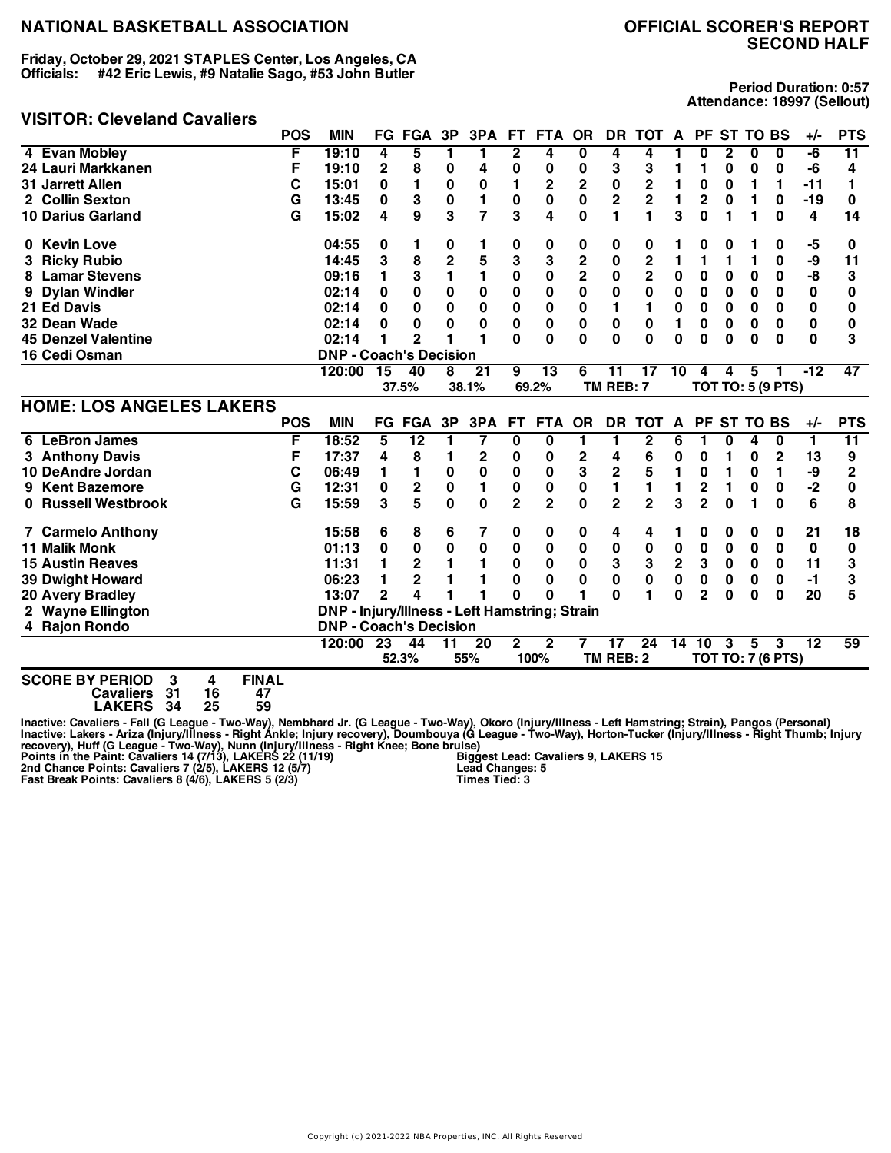**Friday, October 29, 2021 STAPLES Center, Los Angeles, CA Officials: #42 Eric Lewis, #9 Natalie Sago, #53 John Butler**

#### **VISITOR: Cleveland Cavaliers**

**Period Duration: 0:57 Attendance: 18997 (Sellout)**

|                                                    | <b>POS</b> | <b>MIN</b>                                    |                 | <b>FG FGA</b>   | 3P             | 3PA             | FT.            | <b>FTA</b>     | <b>OR</b>      | <b>DR</b>                | <b>TOT</b>      | $\mathsf{A}$   | <b>PF</b>      |              | <b>ST TO BS</b> |                          | $+/-$           | <b>PTS</b>   |
|----------------------------------------------------|------------|-----------------------------------------------|-----------------|-----------------|----------------|-----------------|----------------|----------------|----------------|--------------------------|-----------------|----------------|----------------|--------------|-----------------|--------------------------|-----------------|--------------|
| 4 Evan Mobley                                      | F          | 19:10                                         | 4               | 5               | 1              | 1               | $\overline{2}$ | 4              | 0              | 4                        | 4               |                | 0              | $\mathbf{2}$ | 0               | 0                        | -6              | 11           |
| 24 Lauri Markkanen                                 | F          | 19:10                                         | $\overline{2}$  | 8               | 0              | 4               | 0              | 0              | 0              | 3                        | 3               | 1              | 1              | 0            | 0               | 0                        | -6              | 4            |
| <b>31 Jarrett Allen</b>                            | C          | 15:01                                         | 0               | 1               | $\bf{0}$       | $\bf{0}$        | 1              | 2              | $\mathbf 2$    | 0                        | $\mathbf 2$     |                | 0              | 0            | 1               | 1                        | $-11$           | 1            |
| 2 Collin Sexton                                    | G          | 13:45                                         | 0               | 3               | $\mathbf 0$    | 1               | 0              | $\bf{0}$       | $\mathbf 0$    | $\overline{\mathbf{c}}$  | $\mathbf 2$     | 1              | 2              | 0            | 1               | 0                        | $-19$           | 0            |
| <b>10 Darius Garland</b>                           | G          | 15:02                                         | 4               | 9               | 3              | $\overline{7}$  | 3              | 4              | $\bf{0}$       | 1                        | 1               | 3              | 0              | 1            | 1               | 0                        | 4               | 14           |
| 0 Kevin Love                                       |            | 04:55                                         | 0               | 1.              | 0              | 1               | 0              | 0              | 0              | 0                        | 0               |                | 0              | 0            |                 | 0                        | -5              | 0            |
| <b>Ricky Rubio</b>                                 |            | 14:45                                         | 3               | 8               | $\overline{2}$ | 5               | 3              | 3              | $\overline{2}$ | 0                        | $\overline{2}$  | 1              | 1              | 1            | 1               | $\mathbf 0$              | -9              | 11           |
| <b>Lamar Stevens</b><br>8                          |            | 09:16                                         | 1               | 3               | 1              | 1               | 0              | 0              | $\overline{2}$ | 0                        | $\overline{2}$  | 0              | $\mathbf{0}$   | 0            | 0               | 0                        | -8              | 3            |
| <b>Dylan Windler</b>                               |            | 02:14                                         | $\bf{0}$        | 0               | 0              | 0               | 0              | 0              | 0              | 0                        | 0               | 0              | 0              | 0            | 0               | 0                        | 0               | 0            |
| 21 Ed Davis                                        |            | 02:14                                         | $\bf{0}$        | 0               | 0              | 0               | $\pmb{0}$      | 0              | 0              | 1                        | 1               | 0              | $\mathbf{0}$   | 0            | 0               | 0                        | $\pmb{0}$       | 0            |
| 32 Dean Wade                                       |            | 02:14                                         | $\bf{0}$        | 0               | 0              | 0               | $\pmb{0}$      | $\pmb{0}$      | 0              | 0                        | $\bf{0}$        | 1              | 0              | $\mathbf 0$  | 0               | 0                        | 0               | 0            |
| <b>45 Denzel Valentine</b>                         |            | 02:14                                         | 1               | $\overline{2}$  | 1              | 1               | $\bf{0}$       | 0              | $\bf{0}$       | $\bf{0}$                 | $\bf{0}$        | 0              | 0              | $\bf{0}$     | 0               | $\bf{0}$                 | $\bf{0}$        | 3            |
| 16 Cedi Osman                                      |            | <b>DNP - Coach's Decision</b>                 |                 |                 |                |                 |                |                |                |                          |                 |                |                |              |                 |                          |                 |              |
|                                                    |            | 120:00                                        | 15              | 40              | 8              | 21              | 9              | 13             | 6              | 11                       | 17              | 10             | 4              | 4            | 5               |                          | $-12$           | 47           |
|                                                    |            |                                               |                 | 37.5%           |                | 38.1%           |                | 69.2%          |                | TM REB: 7                |                 |                |                |              |                 | <b>TOT TO: 5 (9 PTS)</b> |                 |              |
| <b>HOME: LOS ANGELES LAKERS</b>                    |            |                                               |                 |                 |                |                 |                |                |                |                          |                 |                |                |              |                 |                          |                 |              |
|                                                    | <b>POS</b> | <b>MIN</b>                                    |                 | <b>FG FGA</b>   | 3P             | 3PA             | <b>FT</b>      | <b>FTA</b>     | <b>OR</b>      | <b>DR</b>                | <b>TOT</b>      | A              | <b>PF</b>      |              | <b>ST TO BS</b> |                          | +/-             | <b>PTS</b>   |
| <b>LeBron James</b><br>6                           | F          | 18:52                                         | 5               | $\overline{12}$ | 1              | 7               | $\bf{0}$       | 0              | 1              | 1                        | $\overline{2}$  | 6              | 1              | 0            | 4               | 0                        | 1               | 11           |
| 3 Anthony Davis                                    | F          | 17:37                                         | 4               | 8               | 1              | 2               | 0              | 0              | 2              | 4                        | 6               | 0              | 0              | 1            | 0               | $\mathbf{2}$             | 13              | 9            |
| 10 DeAndre Jordan                                  | C          | 06:49                                         | 1               | 1               | $\pmb{0}$      | 0               | 0              | $\pmb{0}$      | 3              | $\overline{\mathbf{c}}$  | 5               | 1              | 0              | 1            | 0               | 1                        | -9              | $\mathbf{2}$ |
| <b>Kent Bazemore</b><br>9                          | G          | 12:31                                         | $\pmb{0}$       | $\mathbf 2$     | $\mathbf 0$    | 1               | 0              | $\bf{0}$       | $\bf{0}$       | 1                        | $\mathbf{1}$    | 1              | $\overline{c}$ | 1            | 0               | 0                        | $-2$            | 0            |
| 0 Russell Westbrook                                | G          | 15:59                                         | 3               | 5               | $\bf{0}$       | $\bf{0}$        | $\overline{2}$ | $\overline{2}$ | $\mathbf{0}$   | $\overline{2}$           | $\overline{2}$  | 3              | $\overline{2}$ | $\bf{0}$     | 1               | $\Omega$                 | 6               | 8            |
| 7 Carmelo Anthony                                  |            | 15:58                                         | 6               | 8               | 6              | 7               | 0              | 0              | 0              | 4                        | 4               |                | 0              | 0            | 0               | 0                        | 21              | 18           |
| <b>11 Malik Monk</b>                               |            | 01:13                                         | 0               | 0               | 0              | 0               | 0              | 0              | 0              | 0                        | $\bf{0}$        | $\pmb{0}$      | 0              | 0            | 0               | 0                        | $\mathbf{0}$    | 0            |
| <b>15 Austin Reaves</b>                            |            | 11:31                                         | 1               | $\mathbf{2}$    | 1              | 1               | $\mathbf{0}$   | 0              | 0              | 3                        | 3               | $\overline{2}$ | 3              | 0            | $\bf{0}$        | 0                        | 11              | 3            |
| <b>39 Dwight Howard</b>                            |            | 06:23                                         | 1               | $\overline{2}$  |                |                 | 0              | $\bf{0}$       | 0              | $\bf{0}$                 | $\bf{0}$        | 0              | $\mathbf{0}$   | 0            | 0               | 0                        | $-1$            | 3            |
| 20 Avery Bradley                                   |            | 13:07                                         | $\overline{2}$  | 4               |                |                 | Û              | U              |                | U                        |                 | O              | $\overline{2}$ | $\Omega$     | $\bf{0}$        | $\bf{0}$                 | 20              | 5            |
| 2 Wayne Ellington                                  |            | DNP - Injury/Illness - Left Hamstring; Strain |                 |                 |                |                 |                |                |                |                          |                 |                |                |              |                 |                          |                 |              |
| 4 Rajon Rondo                                      |            | <b>DNP - Coach's Decision</b>                 |                 |                 |                |                 |                |                |                |                          |                 |                |                |              |                 |                          |                 |              |
|                                                    |            | 120:00                                        | $\overline{23}$ | 44              | 11             | $\overline{20}$ | $\mathbf{2}$   | $\mathbf{2}$   |                | $\overline{\mathbf{17}}$ | $\overline{24}$ | 14             | 10             | 3            | 5               | 3                        | $\overline{12}$ | 59           |
|                                                    |            |                                               |                 | 52.3%           |                | 55%             |                | 100%           |                | TM REB: 2                |                 |                |                |              |                 | <b>TOT TO: 7 (6 PTS)</b> |                 |              |
| COORE BY BEBIOB A<br><b>FILLAI</b><br>$\mathbf{A}$ |            |                                               |                 |                 |                |                 |                |                |                |                          |                 |                |                |              |                 |                          |                 |              |

**SCORE BY PERIOD 3 4 FINAL Cavaliers 31 16 47 LAKERS 34 25 59**

Inactive: Cavaliers - Fall (G League - Two-Way), Nembhard Jr. (G League - Two-Way), Okoro (Injury/Illness - Left Hamstring; Strain), Pangos (Personal)<br>Inactive: Lakers - Ariza (Injury/Illness - Right Ankle; Injury recovery **Biggest Lead: Cavaliers 9, LAKERS 15 Lead Changes: 5 Times Tied: 3**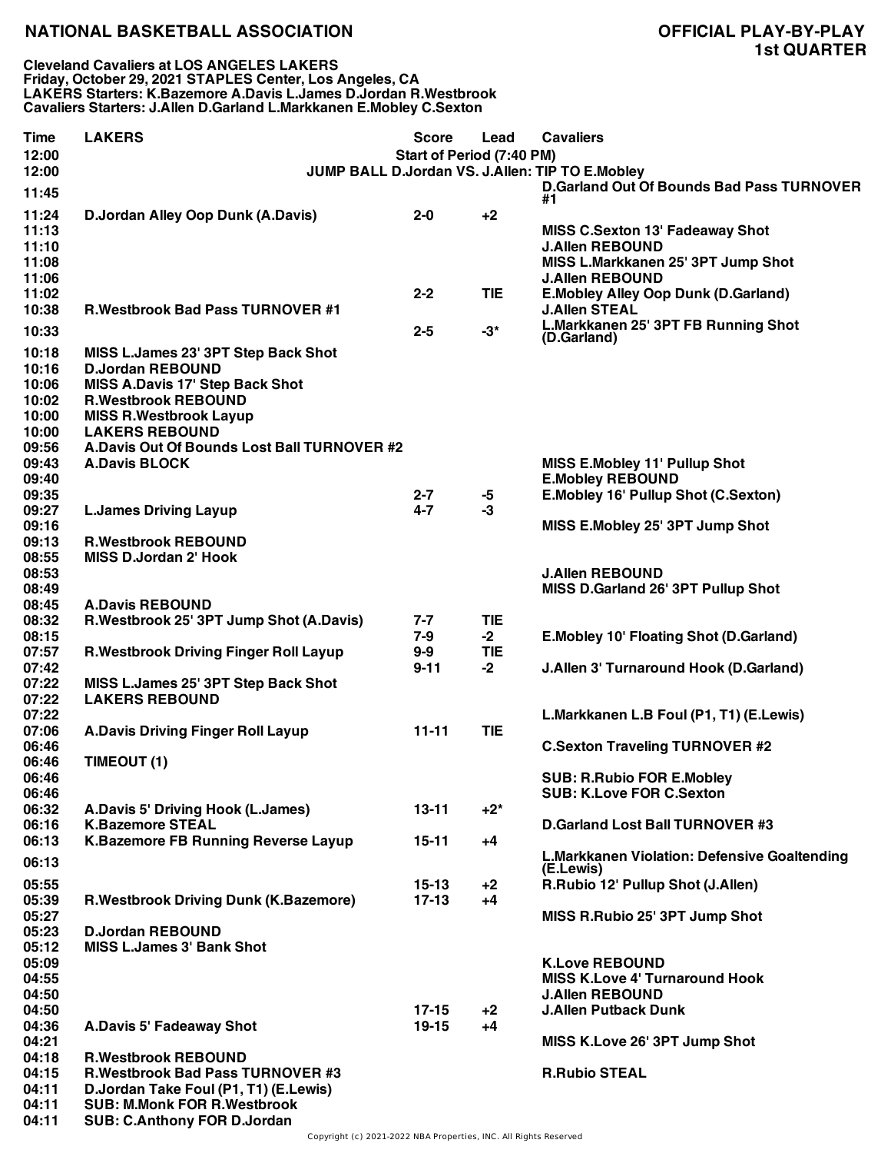**Cleveland Cavaliers at LOS ANGELES LAKERS Friday, October 29, 2021 STAPLES Center, Los Angeles, CA LAKERS Starters: K.Bazemore A.Davis L.James D.Jordan R.Westbrook Cavaliers Starters: J.Allen D.Garland L.Markkanen E.Mobley C.Sexton**

| <b>Time</b><br>12:00                                        | <b>LAKERS</b>                                                                                                                                                                                                                                   | <b>Score</b><br>Start of Period (7:40 PM) | Lead               | <b>Cavaliers</b>                                                                                                          |
|-------------------------------------------------------------|-------------------------------------------------------------------------------------------------------------------------------------------------------------------------------------------------------------------------------------------------|-------------------------------------------|--------------------|---------------------------------------------------------------------------------------------------------------------------|
| 12:00<br>11:45                                              |                                                                                                                                                                                                                                                 |                                           |                    | JUMP BALL D.Jordan VS. J.Allen: TIP TO E.Mobley<br><b>D.Garland Out Of Bounds Bad Pass TURNOVER</b><br>#1                 |
| 11:24<br>11:13<br>11:10<br>11:08<br>11:06                   | D.Jordan Alley Oop Dunk (A.Davis)                                                                                                                                                                                                               | $2 - 0$                                   | $+2$               | MISS C.Sexton 13' Fadeaway Shot<br><b>J.Allen REBOUND</b><br>MISS L.Markkanen 25' 3PT Jump Shot<br><b>J.Allen REBOUND</b> |
| 11:02<br>10:38                                              | <b>R.Westbrook Bad Pass TURNOVER #1</b>                                                                                                                                                                                                         | $2 - 2$                                   | <b>TIE</b>         | E. Mobley Alley Oop Dunk (D. Garland)<br><b>J.Allen STEAL</b>                                                             |
| 10:33                                                       |                                                                                                                                                                                                                                                 | $2 - 5$                                   | $-3*$              | L.Markkanen 25' 3PT FB Running Shot<br>(D.Garland)                                                                        |
| 10:18<br>10:16<br>10:06<br>10:02<br>10:00<br>10:00<br>09:56 | MISS L.James 23' 3PT Step Back Shot<br><b>D.Jordan REBOUND</b><br><b>MISS A.Davis 17' Step Back Shot</b><br><b>R.Westbrook REBOUND</b><br><b>MISS R.Westbrook Layup</b><br><b>LAKERS REBOUND</b><br>A.Davis Out Of Bounds Lost Ball TURNOVER #2 |                                           |                    |                                                                                                                           |
| 09:43                                                       | <b>A.Davis BLOCK</b>                                                                                                                                                                                                                            |                                           |                    | <b>MISS E.Mobley 11' Pullup Shot</b>                                                                                      |
| 09:40<br>09:35                                              |                                                                                                                                                                                                                                                 | $2 - 7$                                   |                    | <b>E.Mobley REBOUND</b><br>E.Mobley 16' Pullup Shot (C.Sexton)                                                            |
| 09:27                                                       | <b>L.James Driving Layup</b>                                                                                                                                                                                                                    | $4 - 7$                                   | -5<br>$-3$         |                                                                                                                           |
| 09:16                                                       |                                                                                                                                                                                                                                                 |                                           |                    | MISS E.Mobley 25' 3PT Jump Shot                                                                                           |
| 09:13<br>08:55                                              | <b>R.Westbrook REBOUND</b><br><b>MISS D.Jordan 2' Hook</b>                                                                                                                                                                                      |                                           |                    |                                                                                                                           |
| 08:53                                                       |                                                                                                                                                                                                                                                 |                                           |                    | <b>J.Allen REBOUND</b>                                                                                                    |
| 08:49<br>08:45                                              | <b>A.Davis REBOUND</b>                                                                                                                                                                                                                          |                                           |                    | MISS D.Garland 26' 3PT Pullup Shot                                                                                        |
| 08:32                                                       | R.Westbrook 25' 3PT Jump Shot (A.Davis)                                                                                                                                                                                                         | $7 - 7$                                   | <b>TIE</b>         |                                                                                                                           |
| 08:15<br>07:57                                              | R. Westbrook Driving Finger Roll Layup                                                                                                                                                                                                          | $7 - 9$<br>$9 - 9$                        | $-2$<br><b>TIE</b> | <b>E.Mobley 10' Floating Shot (D.Garland)</b>                                                                             |
| 07:42                                                       |                                                                                                                                                                                                                                                 | $9 - 11$                                  | $-2$               | J.Allen 3' Turnaround Hook (D.Garland)                                                                                    |
| 07:22<br>07:22                                              | MISS L.James 25' 3PT Step Back Shot<br><b>LAKERS REBOUND</b>                                                                                                                                                                                    |                                           |                    |                                                                                                                           |
| 07:22<br>07:06                                              | <b>A.Davis Driving Finger Roll Layup</b>                                                                                                                                                                                                        | $11 - 11$                                 | <b>TIE</b>         | L.Markkanen L.B Foul (P1, T1) (E.Lewis)                                                                                   |
| 06:46                                                       |                                                                                                                                                                                                                                                 |                                           |                    | <b>C.Sexton Traveling TURNOVER #2</b>                                                                                     |
| 06:46<br>06:46                                              | TIMEOUT (1)                                                                                                                                                                                                                                     |                                           |                    | <b>SUB: R.Rubio FOR E.Mobley</b>                                                                                          |
| 06:46                                                       |                                                                                                                                                                                                                                                 |                                           |                    | <b>SUB: K.Love FOR C.Sexton</b>                                                                                           |
| 06:32                                                       | A.Davis 5' Driving Hook (L.James)                                                                                                                                                                                                               | $13 - 11$                                 | $+2^*$             |                                                                                                                           |
| 06:16<br>06:13                                              | <b>K.Bazemore STEAL</b><br><b>K.Bazemore FB Running Reverse Layup</b>                                                                                                                                                                           | $15 - 11$                                 | $+4$               | D.Garland Lost Ball TURNOVER #3                                                                                           |
| 06:13                                                       |                                                                                                                                                                                                                                                 |                                           |                    | L.Markkanen Violation: Defensive Goaltending<br>(E.Lewis)                                                                 |
| 05:55                                                       |                                                                                                                                                                                                                                                 | 15-13                                     | $+2$               | R.Rubio 12' Pullup Shot (J.Allen)                                                                                         |
| 05:39<br>05:27                                              | <b>R.Westbrook Driving Dunk (K.Bazemore)</b>                                                                                                                                                                                                    | $17-13$                                   | $+4$               | MISS R.Rubio 25' 3PT Jump Shot                                                                                            |
| 05:23<br>05:12                                              | <b>D.Jordan REBOUND</b><br><b>MISS L.James 3' Bank Shot</b>                                                                                                                                                                                     |                                           |                    |                                                                                                                           |
| 05:09<br>04:55<br>04:50                                     |                                                                                                                                                                                                                                                 |                                           |                    | <b>K.Love REBOUND</b><br><b>MISS K.Love 4' Turnaround Hook</b><br><b>J.Allen REBOUND</b>                                  |
| 04:50<br>04:36                                              | A.Davis 5' Fadeaway Shot                                                                                                                                                                                                                        | $17 - 15$<br>$19 - 15$                    | $+2$<br>+4         | <b>J.Allen Putback Dunk</b>                                                                                               |
| 04:21                                                       |                                                                                                                                                                                                                                                 |                                           |                    | MISS K.Love 26' 3PT Jump Shot                                                                                             |
| 04:18                                                       | <b>R.Westbrook REBOUND</b>                                                                                                                                                                                                                      |                                           |                    |                                                                                                                           |
| 04:15<br>04:11<br>04:11                                     | <b>R.Westbrook Bad Pass TURNOVER #3</b><br>D.Jordan Take Foul (P1, T1) (E.Lewis)<br><b>SUB: M.Monk FOR R.Westbrook</b>                                                                                                                          |                                           |                    | <b>R.Rubio STEAL</b>                                                                                                      |
| 04:11                                                       | <b>SUB: C.Anthony FOR D.Jordan</b>                                                                                                                                                                                                              |                                           |                    |                                                                                                                           |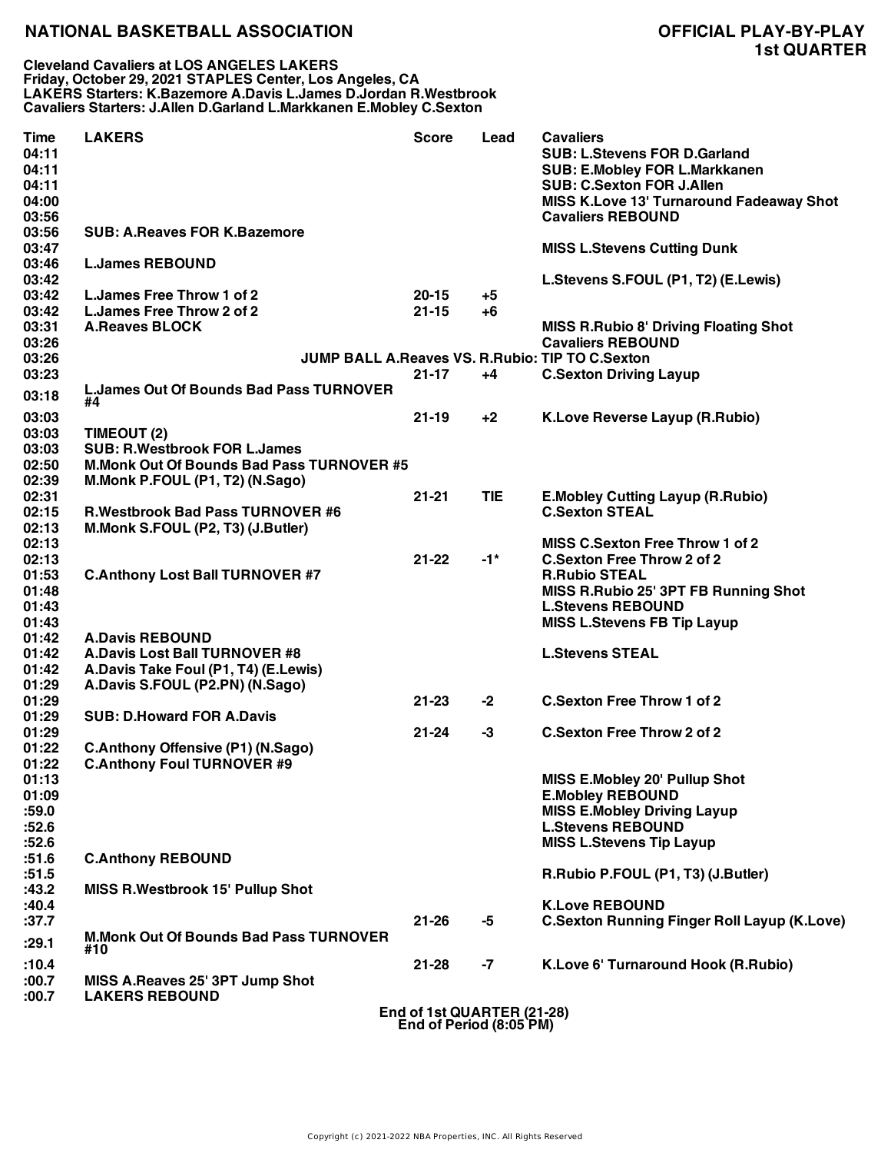**Cleveland Cavaliers at LOS ANGELES LAKERS Friday, October 29, 2021 STAPLES Center, Los Angeles, CA LAKERS Starters: K.Bazemore A.Davis L.James D.Jordan R.Westbrook Cavaliers Starters: J.Allen D.Garland L.Markkanen E.Mobley C.Sexton**

| <b>Time</b><br>04:11<br>04:11<br>04:11<br>04:00<br>03:56 | <b>LAKERS</b>                                        | <b>Score</b>                                          | Lead              | <b>Cavaliers</b><br><b>SUB: L.Stevens FOR D.Garland</b><br><b>SUB: E.Mobley FOR L.Markkanen</b><br><b>SUB: C.Sexton FOR J.Allen</b><br>MISS K.Love 13' Turnaround Fadeaway Shot<br><b>Cavaliers REBOUND</b> |
|----------------------------------------------------------|------------------------------------------------------|-------------------------------------------------------|-------------------|-------------------------------------------------------------------------------------------------------------------------------------------------------------------------------------------------------------|
| 03:56<br>03:47                                           | <b>SUB: A.Reaves FOR K.Bazemore</b>                  |                                                       |                   | <b>MISS L.Stevens Cutting Dunk</b>                                                                                                                                                                          |
| 03:46<br>03:42                                           | <b>L.James REBOUND</b>                               |                                                       |                   | L.Stevens S.FOUL (P1, T2) (E.Lewis)                                                                                                                                                                         |
| 03:42                                                    | L. James Free Throw 1 of 2                           | $20 - 15$                                             | $+5$              |                                                                                                                                                                                                             |
| 03:42                                                    | L. James Free Throw 2 of 2                           | $21 - 15$                                             | +6                |                                                                                                                                                                                                             |
| 03:31<br>03:26                                           | <b>A.Reaves BLOCK</b>                                |                                                       |                   | <b>MISS R.Rubio 8' Driving Floating Shot</b><br><b>Cavaliers REBOUND</b>                                                                                                                                    |
| 03:26                                                    |                                                      |                                                       |                   | <b>JUMP BALL A.Reaves VS. R.Rubio: TIP TO C.Sexton</b>                                                                                                                                                      |
| 03:23                                                    |                                                      | $21 - 17$                                             | +4                | <b>C.Sexton Driving Layup</b>                                                                                                                                                                               |
| 03:18                                                    | <b>L.James Out Of Bounds Bad Pass TURNOVER</b><br>#4 |                                                       |                   |                                                                                                                                                                                                             |
| 03:03                                                    |                                                      | $21 - 19$                                             | $+2$              | <b>K.Love Reverse Layup (R.Rubio)</b>                                                                                                                                                                       |
| 03:03                                                    | TIMEOUT (2)                                          |                                                       |                   |                                                                                                                                                                                                             |
| 03:03                                                    | <b>SUB: R.Westbrook FOR L.James</b>                  |                                                       |                   |                                                                                                                                                                                                             |
| 02:50                                                    | <b>M.Monk Out Of Bounds Bad Pass TURNOVER #5</b>     |                                                       |                   |                                                                                                                                                                                                             |
| 02:39                                                    | M.Monk P.FOUL (P1, T2) (N.Sago)                      |                                                       |                   |                                                                                                                                                                                                             |
| 02:31                                                    |                                                      | $21 - 21$                                             | <b>TIE</b>        | <b>E.Mobley Cutting Layup (R.Rubio)</b>                                                                                                                                                                     |
| 02:15                                                    | <b>R.Westbrook Bad Pass TURNOVER #6</b>              |                                                       |                   | <b>C.Sexton STEAL</b>                                                                                                                                                                                       |
| 02:13                                                    | M.Monk S.FOUL (P2, T3) (J.Butler)                    |                                                       |                   |                                                                                                                                                                                                             |
| 02:13                                                    |                                                      |                                                       |                   | <b>MISS C.Sexton Free Throw 1 of 2</b>                                                                                                                                                                      |
| 02:13                                                    |                                                      | $21 - 22$                                             | $-1$ <sup>*</sup> | <b>C.Sexton Free Throw 2 of 2</b>                                                                                                                                                                           |
| 01:53                                                    | <b>C.Anthony Lost Ball TURNOVER #7</b>               |                                                       |                   | <b>R.Rubio STEAL</b>                                                                                                                                                                                        |
| 01:48                                                    |                                                      |                                                       |                   | MISS R.Rubio 25' 3PT FB Running Shot                                                                                                                                                                        |
| 01:43                                                    |                                                      |                                                       |                   | <b>L.Stevens REBOUND</b>                                                                                                                                                                                    |
| 01:43                                                    |                                                      |                                                       |                   | <b>MISS L.Stevens FB Tip Layup</b>                                                                                                                                                                          |
| 01:42                                                    | <b>A.Davis REBOUND</b>                               |                                                       |                   |                                                                                                                                                                                                             |
| 01:42                                                    | <b>A.Davis Lost Ball TURNOVER #8</b>                 |                                                       |                   | <b>L.Stevens STEAL</b>                                                                                                                                                                                      |
| 01:42                                                    | A.Davis Take Foul (P1, T4) (E.Lewis)                 |                                                       |                   |                                                                                                                                                                                                             |
| 01:29                                                    | A.Davis S.FOUL (P2.PN) (N.Sago)                      |                                                       |                   |                                                                                                                                                                                                             |
| 01:29                                                    |                                                      | $21 - 23$                                             | $-2$              | <b>C.Sexton Free Throw 1 of 2</b>                                                                                                                                                                           |
| 01:29                                                    | <b>SUB: D.Howard FOR A.Davis</b>                     |                                                       |                   |                                                                                                                                                                                                             |
| 01:29                                                    |                                                      | $21 - 24$                                             | $-3$              | <b>C.Sexton Free Throw 2 of 2</b>                                                                                                                                                                           |
| 01:22                                                    | <b>C.Anthony Offensive (P1) (N.Sago)</b>             |                                                       |                   |                                                                                                                                                                                                             |
| 01:22                                                    | <b>C.Anthony Foul TURNOVER #9</b>                    |                                                       |                   |                                                                                                                                                                                                             |
| 01:13                                                    |                                                      |                                                       |                   | MISS E.Mobley 20' Pullup Shot                                                                                                                                                                               |
| 01:09                                                    |                                                      |                                                       |                   | <b>E.Mobley REBOUND</b>                                                                                                                                                                                     |
| :59.0                                                    |                                                      |                                                       |                   | <b>MISS E.Mobley Driving Layup</b>                                                                                                                                                                          |
| :52.6                                                    |                                                      |                                                       |                   | <b>L.Stevens REBOUND</b>                                                                                                                                                                                    |
| :52.6                                                    |                                                      |                                                       |                   | <b>MISS L.Stevens Tip Layup</b>                                                                                                                                                                             |
| :51.6                                                    | <b>C.Anthony REBOUND</b>                             |                                                       |                   |                                                                                                                                                                                                             |
| :51.5                                                    |                                                      |                                                       |                   | R.Rubio P.FOUL (P1, T3) (J.Butler)                                                                                                                                                                          |
| :43.2                                                    | <b>MISS R.Westbrook 15' Pullup Shot</b>              |                                                       |                   |                                                                                                                                                                                                             |
| :40.4                                                    |                                                      |                                                       |                   | <b>K.Love REBOUND</b>                                                                                                                                                                                       |
| :37.7                                                    |                                                      | $21 - 26$                                             | -5                | <b>C.Sexton Running Finger Roll Layup (K.Love)</b>                                                                                                                                                          |
| :29.1                                                    | <b>M.Monk Out Of Bounds Bad Pass TURNOVER</b>        |                                                       |                   |                                                                                                                                                                                                             |
|                                                          | #10                                                  |                                                       |                   |                                                                                                                                                                                                             |
| :10.4                                                    |                                                      | $21 - 28$                                             | -7                | K.Love 6' Turnaround Hook (R.Rubio)                                                                                                                                                                         |
| :00.7                                                    | MISS A.Reaves 25' 3PT Jump Shot                      |                                                       |                   |                                                                                                                                                                                                             |
| :00.7                                                    | <b>LAKERS REBOUND</b>                                |                                                       |                   |                                                                                                                                                                                                             |
|                                                          |                                                      | End of 1st QUARTER (21-28)<br>End of Period (8:05 PM) |                   |                                                                                                                                                                                                             |

Copyright (c) 2021-2022 NBA Properties, INC. All Rights Reserved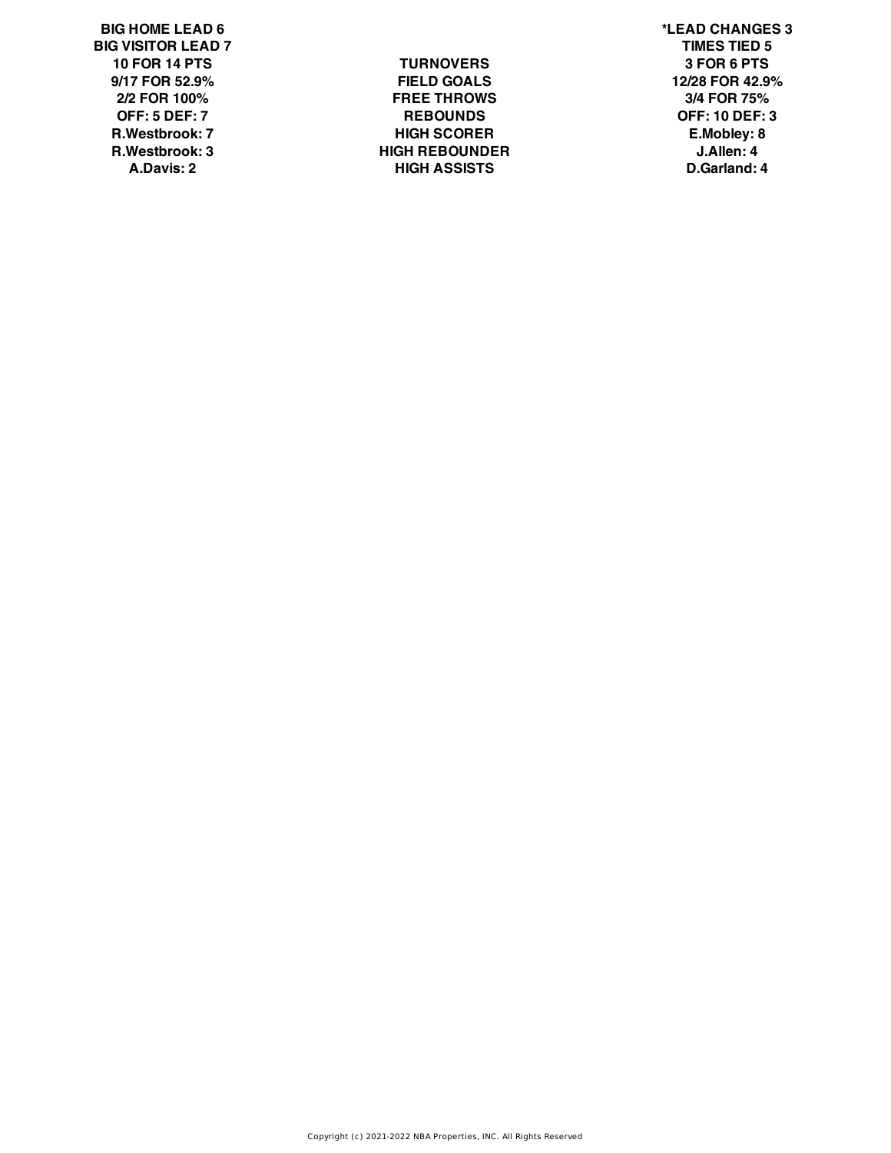**BIG HOME LEAD 6 \*LEAD CHANGES 3 BIG VISITOR LEAD 7 TIMES TIED 5**

**10 FOR 14 PTS TURNOVERS 3 FOR 6 PTS 9/17 FOR 52.9% FIELD GOALS 12/28 FOR 42.9% 2/2 FOR 100% FREE THROWS 3/4 FOR 75% OFF: 5 DEF: 7 REBOUNDS OFF: 10 DEF: 3 R.Westbrook: 7 HIGH SCORER E.Mobley: 8 R.Westbrook: 3 HIGH REBOUNDER J.Allen: 4 A.Davis: 2 HIGH ASSISTS D.Garland: 4**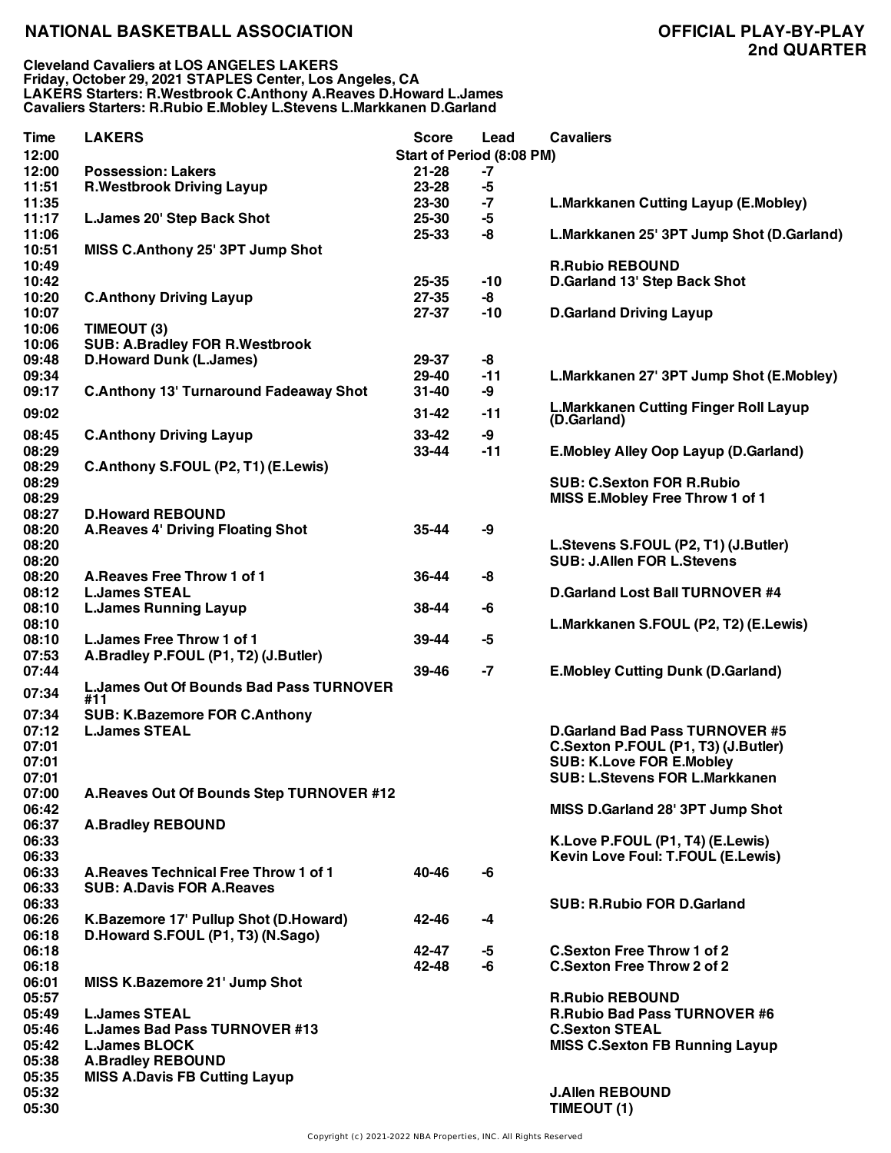| <b>Time</b>    | <b>LAKERS</b>                                  | <b>Score</b> | Lead                      | <b>Cavaliers</b>                             |
|----------------|------------------------------------------------|--------------|---------------------------|----------------------------------------------|
| 12:00          |                                                |              | Start of Period (8:08 PM) |                                              |
| 12:00          | <b>Possession: Lakers</b>                      | $21 - 28$    | -7                        |                                              |
| 11:51          | <b>R.Westbrook Driving Layup</b>               | 23-28        | -5                        |                                              |
| 11:35          |                                                | 23-30        | $-7$                      | L.Markkanen Cutting Layup (E.Mobley)         |
| 11:17          | L.James 20' Step Back Shot                     | 25-30        | -5                        |                                              |
| 11:06          |                                                | 25-33        | -8                        | L.Markkanen 25' 3PT Jump Shot (D.Garland)    |
| 10:51          | MISS C.Anthony 25' 3PT Jump Shot               |              |                           |                                              |
| 10:49          |                                                |              |                           | <b>R.Rubio REBOUND</b>                       |
| 10:42          |                                                | $25 - 35$    | -10                       | D.Garland 13' Step Back Shot                 |
| 10:20          | <b>C.Anthony Driving Layup</b>                 | 27-35        | -8                        |                                              |
| 10:07          |                                                | 27-37        | -10                       | <b>D.Garland Driving Layup</b>               |
| 10:06          | TIMEOUT (3)                                    |              |                           |                                              |
| 10:06          | <b>SUB: A.Bradley FOR R.Westbrook</b>          |              |                           |                                              |
| 09:48          | <b>D.Howard Dunk (L.James)</b>                 | 29-37        | -8                        |                                              |
| 09:34          |                                                | 29-40        | $-11$                     | L.Markkanen 27' 3PT Jump Shot (E.Mobley)     |
| 09:17          | <b>C.Anthony 13' Turnaround Fadeaway Shot</b>  | 31-40        | -9                        |                                              |
| 09:02          |                                                | $31 - 42$    | -11                       | <b>L.Markkanen Cutting Finger Roll Layup</b> |
|                |                                                |              |                           | (D.Garland)                                  |
| 08:45          | <b>C.Anthony Driving Layup</b>                 | $33 - 42$    | -9                        |                                              |
| 08:29          |                                                | 33-44        | $-11$                     | E. Mobley Alley Oop Layup (D. Garland)       |
| 08:29          | C.Anthony S.FOUL (P2, T1) (E.Lewis)            |              |                           |                                              |
| 08:29          |                                                |              |                           | <b>SUB: C.Sexton FOR R.Rubio</b>             |
| 08:29          |                                                |              |                           | MISS E.Mobley Free Throw 1 of 1              |
| 08:27          | <b>D.Howard REBOUND</b>                        |              |                           |                                              |
| 08:20          | <b>A.Reaves 4' Driving Floating Shot</b>       | 35-44        | -9                        |                                              |
| 08:20          |                                                |              |                           | L.Stevens S.FOUL (P2, T1) (J.Butler)         |
| 08:20          |                                                |              |                           | <b>SUB: J.Allen FOR L.Stevens</b>            |
| 08:20          | A. Reaves Free Throw 1 of 1                    | 36-44        | -8                        |                                              |
| 08:12          | <b>L.James STEAL</b>                           |              |                           | <b>D.Garland Lost Ball TURNOVER #4</b>       |
| 08:10          | <b>L.James Running Layup</b>                   | 38-44        | -6                        |                                              |
| 08:10          |                                                |              |                           | L.Markkanen S.FOUL (P2, T2) (E.Lewis)        |
| 08:10          | L. James Free Throw 1 of 1                     | 39-44        | -5                        |                                              |
| 07:53<br>07:44 | A.Bradley P.FOUL (P1, T2) (J.Butler)           | 39-46        | $-7$                      |                                              |
|                | <b>L.James Out Of Bounds Bad Pass TURNOVER</b> |              |                           | <b>E.Mobley Cutting Dunk (D.Garland)</b>     |
| 07:34          | #11                                            |              |                           |                                              |
| 07:34          | <b>SUB: K.Bazemore FOR C.Anthony</b>           |              |                           |                                              |
| 07:12          | <b>L.James STEAL</b>                           |              |                           | <b>D.Garland Bad Pass TURNOVER #5</b>        |
| 07:01          |                                                |              |                           | C.Sexton P.FOUL (P1, T3) (J.Butler)          |
| 07:01          |                                                |              |                           | <b>SUB: K.Love FOR E.Mobley</b>              |
| 07:01          |                                                |              |                           | <b>SUB: L.Stevens FOR L.Markkanen</b>        |
| 07:00          | A.Reaves Out Of Bounds Step TURNOVER #12       |              |                           |                                              |
| 06:42          |                                                |              |                           | MISS D.Garland 28' 3PT Jump Shot             |
| 06:37          | <b>A.Bradley REBOUND</b>                       |              |                           |                                              |
| 06:33          |                                                |              |                           | K.Love P.FOUL (P1, T4) (E.Lewis)             |
| 06:33          |                                                |              |                           | Kevin Love Foul: T.FOUL (E.Lewis)            |
| 06:33          | A. Reaves Technical Free Throw 1 of 1          | 40-46        | -6                        |                                              |
| 06:33          | <b>SUB: A.Davis FOR A.Reaves</b>               |              |                           |                                              |
| 06:33          |                                                |              |                           | <b>SUB: R.Rubio FOR D.Garland</b>            |
| 06:26          | K.Bazemore 17' Pullup Shot (D.Howard)          | 42-46        | -4                        |                                              |
| 06:18          | D.Howard S.FOUL (P1, T3) (N.Sago)              |              |                           |                                              |
| 06:18          |                                                | 42-47        | -5                        | <b>C.Sexton Free Throw 1 of 2</b>            |
| 06:18          |                                                | 42-48        | -6                        | <b>C.Sexton Free Throw 2 of 2</b>            |
| 06:01          | MISS K.Bazemore 21' Jump Shot                  |              |                           |                                              |
| 05:57          |                                                |              |                           | <b>R.Rubio REBOUND</b>                       |
| 05:49          | <b>L.James STEAL</b>                           |              |                           | <b>R.Rubio Bad Pass TURNOVER #6</b>          |
| 05:46          | <b>L.James Bad Pass TURNOVER #13</b>           |              |                           | <b>C.Sexton STEAL</b>                        |
| 05:42          | <b>L.James BLOCK</b>                           |              |                           | <b>MISS C.Sexton FB Running Layup</b>        |
| 05:38          | <b>A.Bradley REBOUND</b>                       |              |                           |                                              |
| 05:35          | <b>MISS A.Davis FB Cutting Layup</b>           |              |                           |                                              |
| 05:32          |                                                |              |                           | <b>J.Allen REBOUND</b>                       |
| 05:30          |                                                |              |                           | TIMEOUT (1)                                  |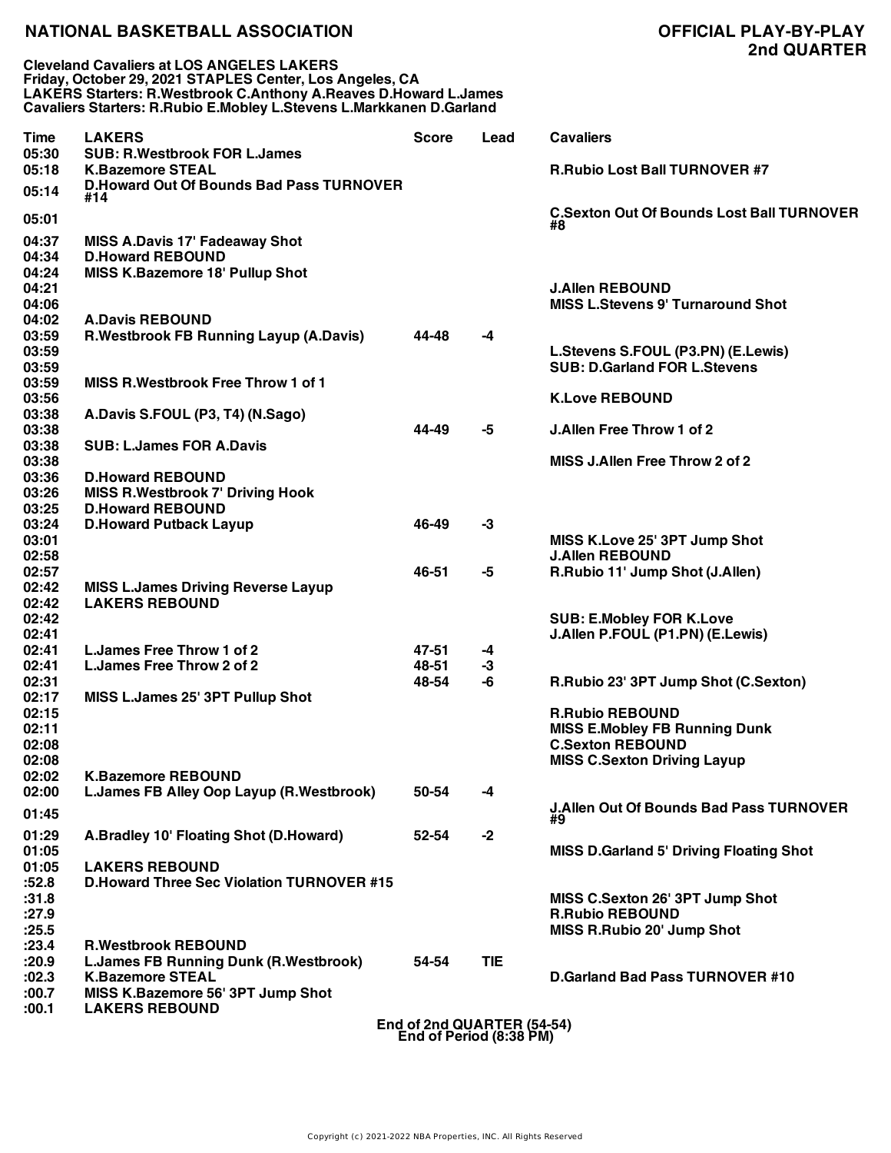**Cleveland Cavaliers at LOS ANGELES LAKERS Friday, October 29, 2021 STAPLES Center, Los Angeles, CA LAKERS Starters: R.Westbrook C.Anthony A.Reaves D.Howard L.James Cavaliers Starters: R.Rubio E.Mobley L.Stevens L.Markkanen D.Garland**

# **2nd QUARTER**

| Time           | <b>LAKERS</b>                                                  | <b>Score</b>               | Lead | <b>Cavaliers</b>                                          |
|----------------|----------------------------------------------------------------|----------------------------|------|-----------------------------------------------------------|
| 05:30<br>05:18 | <b>SUB: R.Westbrook FOR L.James</b><br><b>K.Bazemore STEAL</b> |                            |      | <b>R.Rubio Lost Ball TURNOVER #7</b>                      |
| 05:14          | <b>D.Howard Out Of Bounds Bad Pass TURNOVER</b><br>#14         |                            |      |                                                           |
| 05:01          |                                                                |                            |      | <b>C.Sexton Out Of Bounds Lost Ball TURNOVER</b><br>#8    |
| 04:37          | <b>MISS A.Davis 17' Fadeaway Shot</b>                          |                            |      |                                                           |
| 04:34          | <b>D.Howard REBOUND</b>                                        |                            |      |                                                           |
| 04:24          | <b>MISS K.Bazemore 18' Pullup Shot</b>                         |                            |      |                                                           |
| 04:21          |                                                                |                            |      | <b>J.Allen REBOUND</b>                                    |
| 04:06<br>04:02 | <b>A.Davis REBOUND</b>                                         |                            |      | <b>MISS L.Stevens 9' Turnaround Shot</b>                  |
| 03:59          | R.Westbrook FB Running Layup (A.Davis)                         | 44-48                      | $-4$ |                                                           |
| 03:59          |                                                                |                            |      | L.Stevens S.FOUL (P3.PN) (E.Lewis)                        |
| 03:59          |                                                                |                            |      | <b>SUB: D.Garland FOR L.Stevens</b>                       |
| 03:59          | <b>MISS R. Westbrook Free Throw 1 of 1</b>                     |                            |      |                                                           |
| 03:56          |                                                                |                            |      | <b>K.Love REBOUND</b>                                     |
| 03:38          | A.Davis S.FOUL (P3, T4) (N.Sago)                               |                            |      |                                                           |
| 03:38          |                                                                | 44-49                      | -5   | J.Allen Free Throw 1 of 2                                 |
| 03:38          | <b>SUB: L.James FOR A.Davis</b>                                |                            |      |                                                           |
| 03:38          |                                                                |                            |      | MISS J.Allen Free Throw 2 of 2                            |
| 03:36          | <b>D.Howard REBOUND</b>                                        |                            |      |                                                           |
| 03:26          | <b>MISS R.Westbrook 7' Driving Hook</b>                        |                            |      |                                                           |
| 03:25          | <b>D.Howard REBOUND</b>                                        |                            |      |                                                           |
| 03:24          | <b>D.Howard Putback Layup</b>                                  | 46-49                      | $-3$ |                                                           |
| 03:01          |                                                                |                            |      | MISS K.Love 25' 3PT Jump Shot                             |
| 02:58          |                                                                |                            |      | <b>J.Allen REBOUND</b>                                    |
| 02:57          |                                                                | 46-51                      | -5   | R.Rubio 11' Jump Shot (J.Allen)                           |
| 02:42          | <b>MISS L.James Driving Reverse Layup</b>                      |                            |      |                                                           |
| 02:42<br>02:42 | <b>LAKERS REBOUND</b>                                          |                            |      | <b>SUB: E.Mobley FOR K.Love</b>                           |
| 02:41          |                                                                |                            |      | J.Allen P.FOUL (P1.PN) (E.Lewis)                          |
| 02:41          | L. James Free Throw 1 of 2                                     | 47-51                      | $-4$ |                                                           |
| 02:41          | L.James Free Throw 2 of 2                                      | 48-51                      | $-3$ |                                                           |
| 02:31          |                                                                | 48-54                      | -6   | R.Rubio 23' 3PT Jump Shot (C.Sexton)                      |
| 02:17          | MISS L.James 25' 3PT Pullup Shot                               |                            |      |                                                           |
| 02:15          |                                                                |                            |      | <b>R.Rubio REBOUND</b>                                    |
| 02:11          |                                                                |                            |      | <b>MISS E.Mobley FB Running Dunk</b>                      |
| 02:08          |                                                                |                            |      | <b>C.Sexton REBOUND</b>                                   |
| 02:08          |                                                                |                            |      | <b>MISS C.Sexton Driving Layup</b>                        |
| 02:02          | <b>K.Bazemore REBOUND</b>                                      |                            |      |                                                           |
| 02:00          | L.James FB Alley Oop Layup (R.Westbrook)                       | 50-54                      | -4   |                                                           |
| 01:45          |                                                                |                            |      | <b>J.Allen Out Of Bounds Bad Pass TURNOVER</b><br>#9      |
| 01:29          | A.Bradley 10' Floating Shot (D.Howard)                         | 52-54                      | $-2$ |                                                           |
| 01:05          |                                                                |                            |      | <b>MISS D.Garland 5' Driving Floating Shot</b>            |
| 01:05          | <b>LAKERS REBOUND</b>                                          |                            |      |                                                           |
| :52.8          | <b>D.Howard Three Sec Violation TURNOVER #15</b>               |                            |      |                                                           |
| :31.8          |                                                                |                            |      | MISS C.Sexton 26' 3PT Jump Shot<br><b>R.Rubio REBOUND</b> |
| :27.9<br>:25.5 |                                                                |                            |      | <b>MISS R.Rubio 20' Jump Shot</b>                         |
| : 23.4         | <b>R.Westbrook REBOUND</b>                                     |                            |      |                                                           |
| :20.9          | <b>L.James FB Running Dunk (R.Westbrook)</b>                   | 54-54                      | TIE. |                                                           |
| :02.3          | <b>K.Bazemore STEAL</b>                                        |                            |      | <b>D.Garland Bad Pass TURNOVER #10</b>                    |
| :00.7          | MISS K.Bazemore 56' 3PT Jump Shot                              |                            |      |                                                           |
| :00.1          | <b>LAKERS REBOUND</b>                                          |                            |      |                                                           |
|                |                                                                | End of 2nd QUARTER (54-54) |      |                                                           |

**End of 2nd QUARTER (54-54) End of Period (8:38 PM)**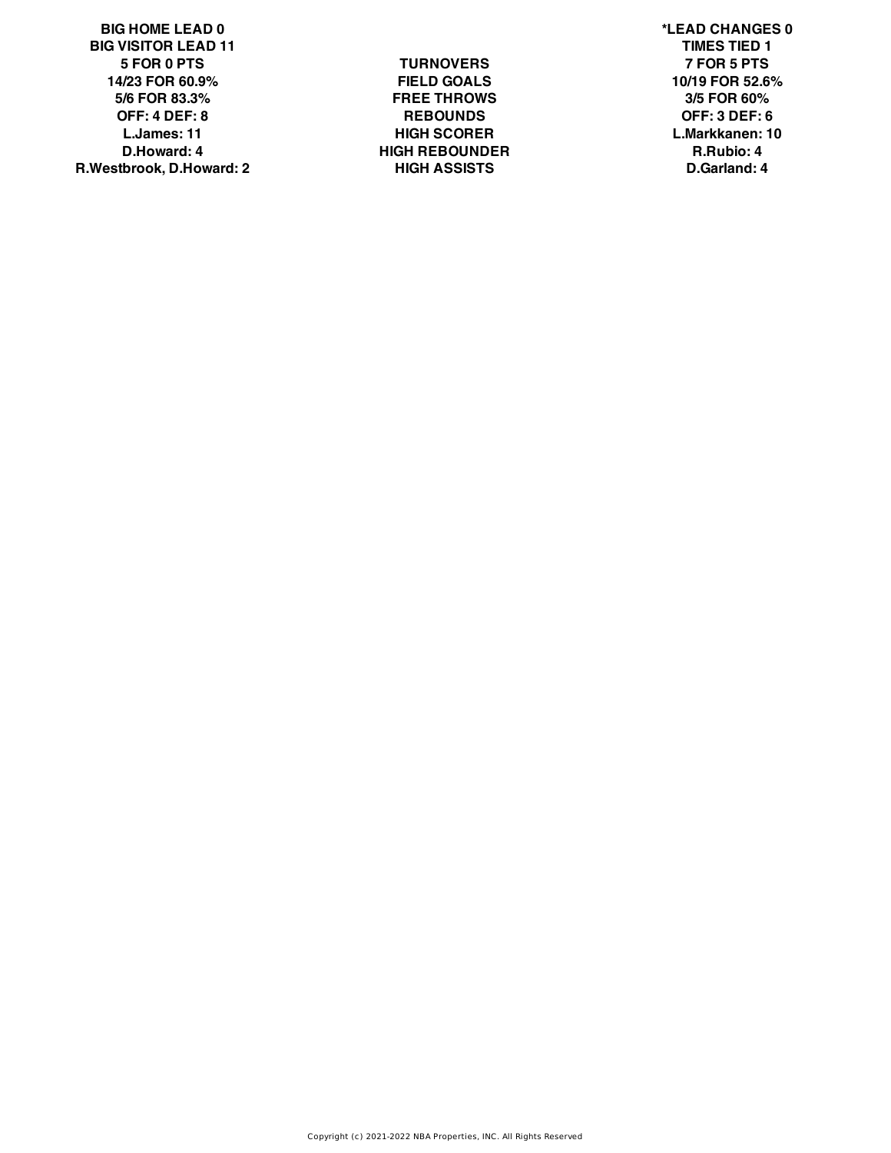**BIG HOME LEAD 0 \*LEAD CHANGES 0 BIG VISITOR LEAD 11 TIMES TIED 1 5 FOR 0 PTS TURNOVERS 7 FOR 5 PTS 14/23 FOR 60.9% FIELD GOALS 10/19 FOR 52.6% 5/6 FOR 83.3% FREE THROWS 3/5 FOR 60% OFF: 4 DEF: 8 REBOUNDS OFF: 3 DEF: 6 L.James: 11 HIGH SCORER L.Markkanen: 10 D.Howard: 4 HIGH REBOUNDER R.Rubio: 4 R.Westbrook, D.Howard: 2 HIGH ASSISTS D.Garland: 4**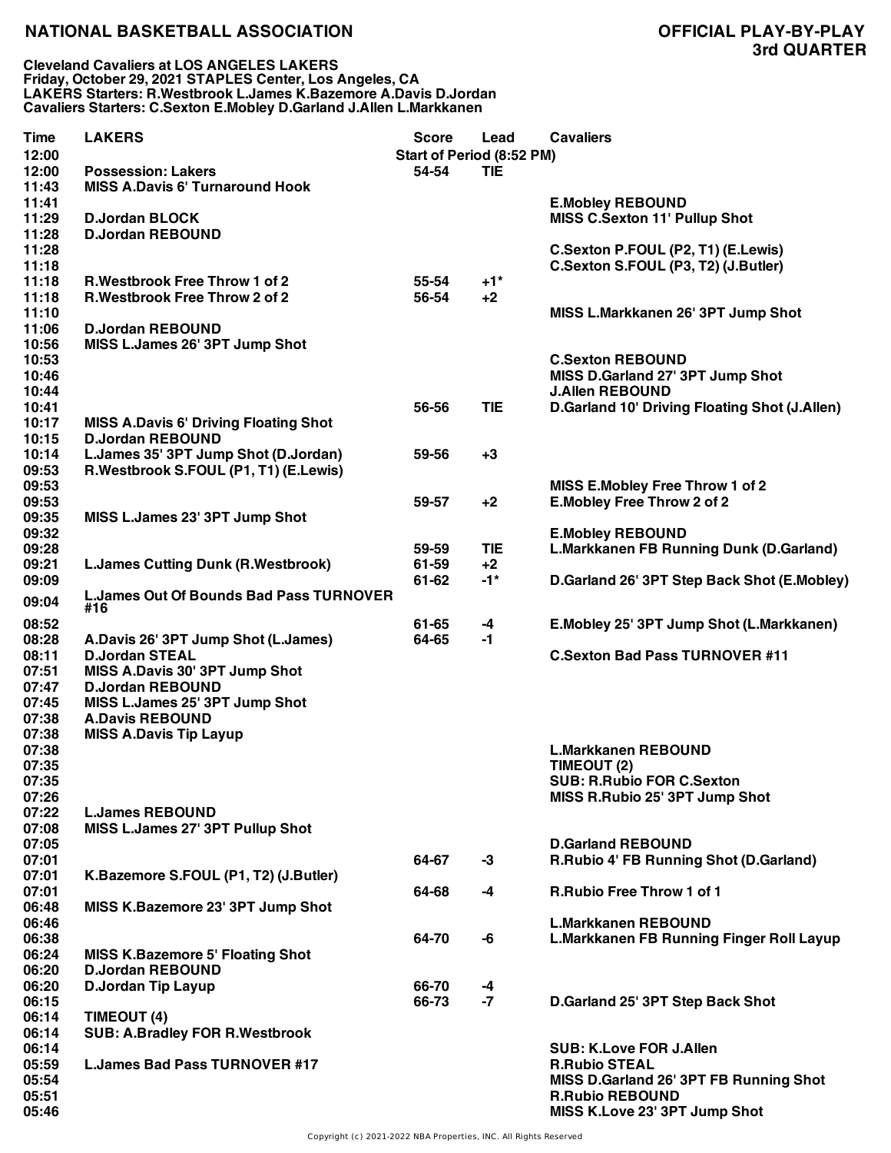**Cleveland Cavaliers at LOS ANGELES LAKERS Friday, October 29, 2021 STAPLES Center, Los Angeles, CA LAKERS Starters: R.Westbrook L.James K.Bazemore A.Davis D.Jordan Cavaliers Starters: C.Sexton E.Mobley D.Garland J.Allen L.Markkanen**

| Time  | <b>LAKERS</b>                                         | <b>Score</b>              | Lead       | <b>Cavaliers</b>                                |
|-------|-------------------------------------------------------|---------------------------|------------|-------------------------------------------------|
| 12:00 |                                                       | Start of Period (8:52 PM) |            |                                                 |
| 12:00 | <b>Possession: Lakers</b>                             | 54-54                     | <b>TIE</b> |                                                 |
| 11:43 | <b>MISS A.Davis 6' Turnaround Hook</b>                |                           |            |                                                 |
| 11:41 |                                                       |                           |            | <b>E.Mobley REBOUND</b>                         |
| 11:29 | <b>D.Jordan BLOCK</b>                                 |                           |            | <b>MISS C.Sexton 11' Pullup Shot</b>            |
|       |                                                       |                           |            |                                                 |
| 11:28 | <b>D.Jordan REBOUND</b>                               |                           |            |                                                 |
| 11:28 |                                                       |                           |            | C.Sexton P.FOUL (P2, T1) (E.Lewis)              |
| 11:18 |                                                       |                           |            | C.Sexton S.FOUL (P3, T2) (J.Butler)             |
| 11:18 | <b>R.Westbrook Free Throw 1 of 2</b>                  | 55-54                     | $+1*$      |                                                 |
| 11:18 | <b>R.Westbrook Free Throw 2 of 2</b>                  | 56-54                     | $+2$       |                                                 |
| 11:10 |                                                       |                           |            | MISS L.Markkanen 26' 3PT Jump Shot              |
| 11:06 | <b>D.Jordan REBOUND</b>                               |                           |            |                                                 |
| 10:56 | MISS L.James 26' 3PT Jump Shot                        |                           |            |                                                 |
| 10:53 |                                                       |                           |            | <b>C.Sexton REBOUND</b>                         |
| 10:46 |                                                       |                           |            | MISS D.Garland 27' 3PT Jump Shot                |
| 10:44 |                                                       |                           |            | <b>J.Allen REBOUND</b>                          |
| 10:41 |                                                       | 56-56                     | <b>TIE</b> | D.Garland 10' Driving Floating Shot (J.Allen)   |
|       |                                                       |                           |            |                                                 |
| 10:17 | <b>MISS A.Davis 6' Driving Floating Shot</b>          |                           |            |                                                 |
| 10:15 | <b>D.Jordan REBOUND</b>                               |                           |            |                                                 |
| 10:14 | L.James 35' 3PT Jump Shot (D.Jordan)                  | 59-56                     | $+3$       |                                                 |
| 09:53 | R.Westbrook S.FOUL (P1, T1) (E.Lewis)                 |                           |            |                                                 |
| 09:53 |                                                       |                           |            | MISS E.Mobley Free Throw 1 of 2                 |
| 09:53 |                                                       | 59-57                     | $+2$       | E.Mobley Free Throw 2 of 2                      |
| 09:35 | MISS L.James 23' 3PT Jump Shot                        |                           |            |                                                 |
| 09:32 |                                                       |                           |            | <b>E.Mobley REBOUND</b>                         |
| 09:28 |                                                       | 59-59                     | <b>TIE</b> | <b>L.Markkanen FB Running Dunk (D.Garland)</b>  |
| 09:21 | <b>L.James Cutting Dunk (R.Westbrook)</b>             | 61-59                     | $+2$       |                                                 |
| 09:09 |                                                       | 61-62                     | $-1*$      | D.Garland 26' 3PT Step Back Shot (E.Mobley)     |
|       |                                                       |                           |            |                                                 |
| 09:04 | <b>L.James Out Of Bounds Bad Pass TURNOVER</b><br>#16 |                           |            |                                                 |
| 08:52 |                                                       | 61-65                     | $-4$       | E.Mobley 25' 3PT Jump Shot (L.Markkanen)        |
| 08:28 | A.Davis 26' 3PT Jump Shot (L.James)                   | 64-65                     | $-1$       |                                                 |
|       |                                                       |                           |            |                                                 |
| 08:11 | <b>D.Jordan STEAL</b>                                 |                           |            | <b>C.Sexton Bad Pass TURNOVER #11</b>           |
| 07:51 | MISS A.Davis 30' 3PT Jump Shot                        |                           |            |                                                 |
| 07:47 | <b>D.Jordan REBOUND</b>                               |                           |            |                                                 |
| 07:45 | MISS L.James 25' 3PT Jump Shot                        |                           |            |                                                 |
| 07:38 | <b>A.Davis REBOUND</b>                                |                           |            |                                                 |
| 07:38 | <b>MISS A.Davis Tip Layup</b>                         |                           |            |                                                 |
| 07:38 |                                                       |                           |            | <b>L.Markkanen REBOUND</b>                      |
| 07:35 |                                                       |                           |            | TIMEOUT (2)                                     |
| 07:35 |                                                       |                           |            | <b>SUB: R.Rubio FOR C.Sexton</b>                |
| 07:26 |                                                       |                           |            | MISS R.Rubio 25' 3PT Jump Shot                  |
| 07:22 | <b>L.James REBOUND</b>                                |                           |            |                                                 |
| 07:08 | MISS L.James 27' 3PT Pullup Shot                      |                           |            |                                                 |
|       |                                                       |                           |            |                                                 |
| 07:05 |                                                       |                           |            | <b>D.Garland REBOUND</b>                        |
| 07:01 |                                                       | 64-67                     | $-3$       | R.Rubio 4' FB Running Shot (D.Garland)          |
| 07:01 | K.Bazemore S.FOUL (P1, T2) (J.Butler)                 |                           |            |                                                 |
| 07:01 |                                                       | 64-68                     | $-4$       | <b>R.Rubio Free Throw 1 of 1</b>                |
| 06:48 | MISS K.Bazemore 23' 3PT Jump Shot                     |                           |            |                                                 |
| 06:46 |                                                       |                           |            | <b>L.Markkanen REBOUND</b>                      |
| 06:38 |                                                       | 64-70                     | -6         | <b>L.Markkanen FB Running Finger Roll Layup</b> |
| 06:24 | <b>MISS K.Bazemore 5' Floating Shot</b>               |                           |            |                                                 |
| 06:20 | <b>D.Jordan REBOUND</b>                               |                           |            |                                                 |
| 06:20 | D.Jordan Tip Layup                                    | 66-70                     | -4         |                                                 |
| 06:15 |                                                       | 66-73                     | $-7$       | D.Garland 25' 3PT Step Back Shot                |
|       |                                                       |                           |            |                                                 |
| 06:14 | TIMEOUT (4)                                           |                           |            |                                                 |
| 06:14 | <b>SUB: A.Bradley FOR R.Westbrook</b>                 |                           |            |                                                 |
| 06:14 |                                                       |                           |            | <b>SUB: K.Love FOR J.Allen</b>                  |
| 05:59 | <b>L.James Bad Pass TURNOVER #17</b>                  |                           |            | <b>R.Rubio STEAL</b>                            |
| 05:54 |                                                       |                           |            | MISS D.Garland 26' 3PT FB Running Shot          |
| 05:51 |                                                       |                           |            | <b>R.Rubio REBOUND</b>                          |
| 05:46 |                                                       |                           |            | MISS K.Love 23' 3PT Jump Shot                   |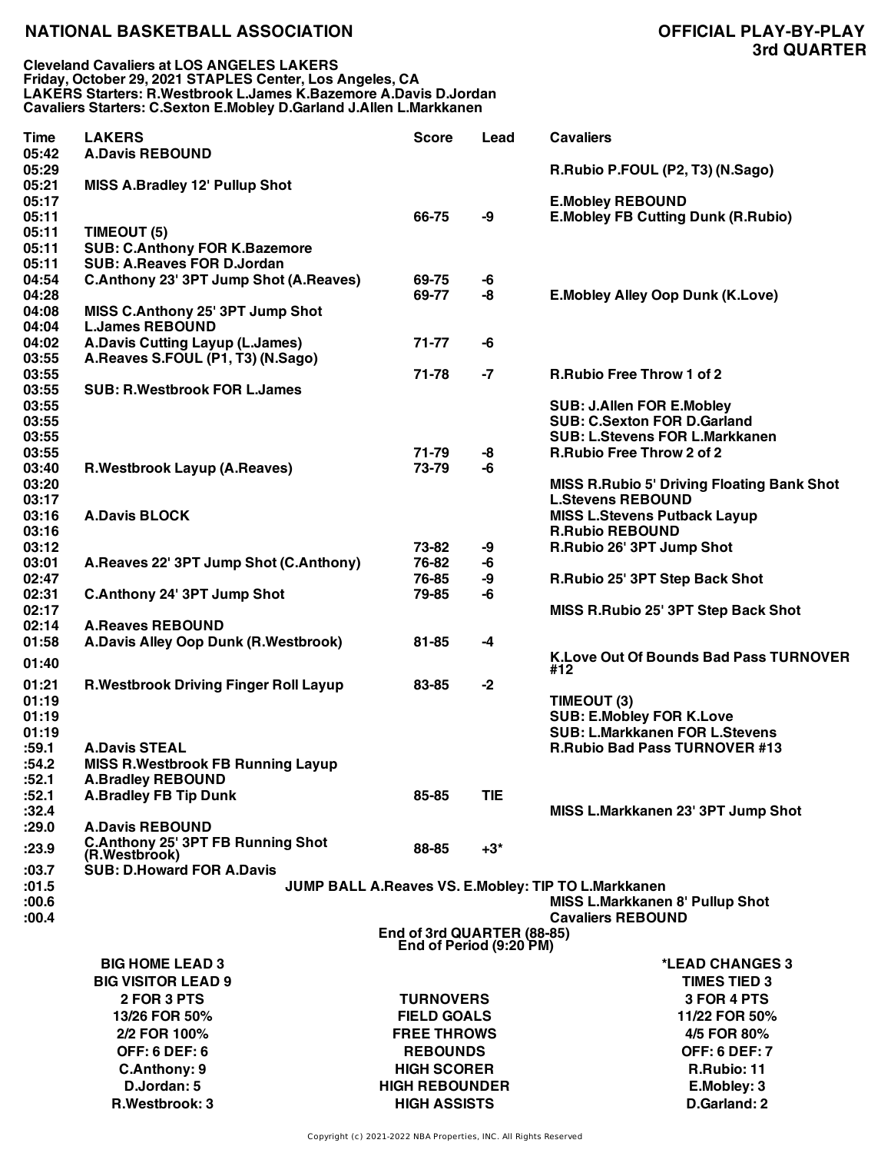**Cleveland Cavaliers at LOS ANGELES LAKERS Friday, October 29, 2021 STAPLES Center, Los Angeles, CA LAKERS Starters: R.Westbrook L.James K.Bazemore A.Davis D.Jordan Cavaliers Starters: C.Sexton E.Mobley D.Garland J.Allen L.Markkanen**

| Time           | <b>LAKERS</b>                                                   | <b>Score</b>                                          | Lead       | <b>Cavaliers</b>                                                       |
|----------------|-----------------------------------------------------------------|-------------------------------------------------------|------------|------------------------------------------------------------------------|
| 05:42          | <b>A.Davis REBOUND</b>                                          |                                                       |            |                                                                        |
| 05:29          |                                                                 |                                                       |            | R.Rubio P.FOUL (P2, T3) (N.Sago)                                       |
| 05:21          | <b>MISS A.Bradley 12' Pullup Shot</b>                           |                                                       |            |                                                                        |
| 05:17<br>05:11 |                                                                 | 66-75                                                 | -9         | <b>E.Mobley REBOUND</b><br><b>E.Mobley FB Cutting Dunk (R.Rubio)</b>   |
| 05:11          | TIMEOUT (5)                                                     |                                                       |            |                                                                        |
| 05:11          | <b>SUB: C.Anthony FOR K.Bazemore</b>                            |                                                       |            |                                                                        |
| 05:11          | <b>SUB: A.Reaves FOR D.Jordan</b>                               |                                                       |            |                                                                        |
| 04:54          | C.Anthony 23' 3PT Jump Shot (A.Reaves)                          | 69-75                                                 | -6         |                                                                        |
| 04:28          |                                                                 | 69-77                                                 | -8         | <b>E.Mobley Alley Oop Dunk (K.Love)</b>                                |
| 04:08          | MISS C.Anthony 25' 3PT Jump Shot                                |                                                       |            |                                                                        |
| 04:04          | <b>L.James REBOUND</b>                                          |                                                       |            |                                                                        |
| 04:02          | <b>A.Davis Cutting Layup (L.James)</b>                          | 71-77                                                 | -6         |                                                                        |
| 03:55          | A.Reaves S.FOUL (P1, T3) (N.Sago)                               |                                                       |            |                                                                        |
| 03:55          |                                                                 | 71-78                                                 | $-7$       | <b>R.Rubio Free Throw 1 of 2</b>                                       |
| 03:55          | <b>SUB: R.Westbrook FOR L.James</b>                             |                                                       |            |                                                                        |
| 03:55<br>03:55 |                                                                 |                                                       |            | <b>SUB: J.Allen FOR E.Mobley</b><br><b>SUB: C.Sexton FOR D.Garland</b> |
| 03:55          |                                                                 |                                                       |            | <b>SUB: L.Stevens FOR L.Markkanen</b>                                  |
| 03:55          |                                                                 | 71-79                                                 | -8         | R.Rubio Free Throw 2 of 2                                              |
| 03:40          | <b>R.Westbrook Layup (A.Reaves)</b>                             | 73-79                                                 | -6         |                                                                        |
| 03:20          |                                                                 |                                                       |            | <b>MISS R.Rubio 5' Driving Floating Bank Shot</b>                      |
| 03:17          |                                                                 |                                                       |            | <b>L.Stevens REBOUND</b>                                               |
| 03:16          | <b>A.Davis BLOCK</b>                                            |                                                       |            | <b>MISS L.Stevens Putback Layup</b>                                    |
| 03:16          |                                                                 |                                                       |            | <b>R.Rubio REBOUND</b>                                                 |
| 03:12          |                                                                 | 73-82                                                 | -9         | R.Rubio 26' 3PT Jump Shot                                              |
| 03:01          | A.Reaves 22' 3PT Jump Shot (C.Anthony)                          | 76-82                                                 | -6         |                                                                        |
| 02:47          |                                                                 | 76-85                                                 | -9         | R.Rubio 25' 3PT Step Back Shot                                         |
| 02:31          | <b>C.Anthony 24' 3PT Jump Shot</b>                              | 79-85                                                 | -6         |                                                                        |
| 02:17          |                                                                 |                                                       |            | MISS R.Rubio 25' 3PT Step Back Shot                                    |
| 02:14<br>01:58 | <b>A.Reaves REBOUND</b><br>A.Davis Alley Oop Dunk (R.Westbrook) | $81 - 85$                                             | -4         |                                                                        |
|                |                                                                 |                                                       |            | K.Love Out Of Bounds Bad Pass TURNOVER                                 |
| 01:40          |                                                                 |                                                       |            | #12                                                                    |
| 01:21          | <b>R.Westbrook Driving Finger Roll Layup</b>                    | 83-85                                                 | $-2$       |                                                                        |
| 01:19          |                                                                 |                                                       |            | TIMEOUT (3)                                                            |
| 01:19          |                                                                 |                                                       |            | <b>SUB: E.Mobley FOR K.Love</b>                                        |
| 01:19          |                                                                 |                                                       |            | <b>SUB: L.Markkanen FOR L.Stevens</b>                                  |
| :59.1          | <b>A.Davis STEAL</b>                                            |                                                       |            | <b>R.Rubio Bad Pass TURNOVER #13</b>                                   |
| :54.2<br>:52.1 | <b>MISS R.Westbrook FB Running Layup</b>                        |                                                       |            |                                                                        |
| :52.1          | <b>A.Bradley REBOUND</b><br><b>A.Bradley FB Tip Dunk</b>        | 85-85                                                 | <b>TIE</b> |                                                                        |
| :32.4          |                                                                 |                                                       |            | MISS L.Markkanen 23' 3PT Jump Shot                                     |
| :29.0          | <b>A.Davis REBOUND</b>                                          |                                                       |            |                                                                        |
|                | C.Anthony 25' 3PT FB Running Shot                               |                                                       |            |                                                                        |
| :23.9          | (R.Westbrook)                                                   | 88-85                                                 | $+3*$      |                                                                        |
| :03.7          | <b>SUB: D.Howard FOR A.Davis</b>                                |                                                       |            |                                                                        |
| :01.5          |                                                                 |                                                       |            | JUMP BALL A.Reaves VS. E.Mobley: TIP TO L.Markkanen                    |
| :00.6          |                                                                 |                                                       |            | <b>MISS L.Markkanen 8' Pullup Shot</b>                                 |
| :00.4          |                                                                 |                                                       |            | <b>Cavaliers REBOUND</b>                                               |
|                |                                                                 | End of 3rd QUARTER (88-85)<br>End of Period (9:20 PM) |            |                                                                        |
|                | <b>BIG HOME LEAD 3</b>                                          |                                                       |            | *LEAD CHANGES 3                                                        |
|                | <b>BIG VISITOR LEAD 9</b>                                       |                                                       |            | <b>TIMES TIED 3</b>                                                    |
|                | 2 FOR 3 PTS                                                     | <b>TURNOVERS</b>                                      |            | 3 FOR 4 PTS                                                            |
|                | 13/26 FOR 50%                                                   | <b>FIELD GOALS</b>                                    |            | 11/22 FOR 50%                                                          |
|                | 2/2 FOR 100%                                                    | <b>FREE THROWS</b>                                    |            | 4/5 FOR 80%                                                            |
|                | <b>OFF: 6 DEF: 6</b>                                            | <b>REBOUNDS</b>                                       |            | <b>OFF: 6 DEF: 7</b>                                                   |
|                | C.Anthony: 9                                                    | <b>HIGH SCORER</b>                                    |            | R.Rubio: 11                                                            |
|                | D.Jordan: 5                                                     | <b>HIGH REBOUNDER</b>                                 |            | E.Mobley: 3                                                            |
|                | R.Westbrook: 3                                                  | <b>HIGH ASSISTS</b>                                   |            | D.Garland: 2                                                           |
|                |                                                                 |                                                       |            |                                                                        |

Copyright (c) 2021-2022 NBA Properties, INC. All Rights Reserved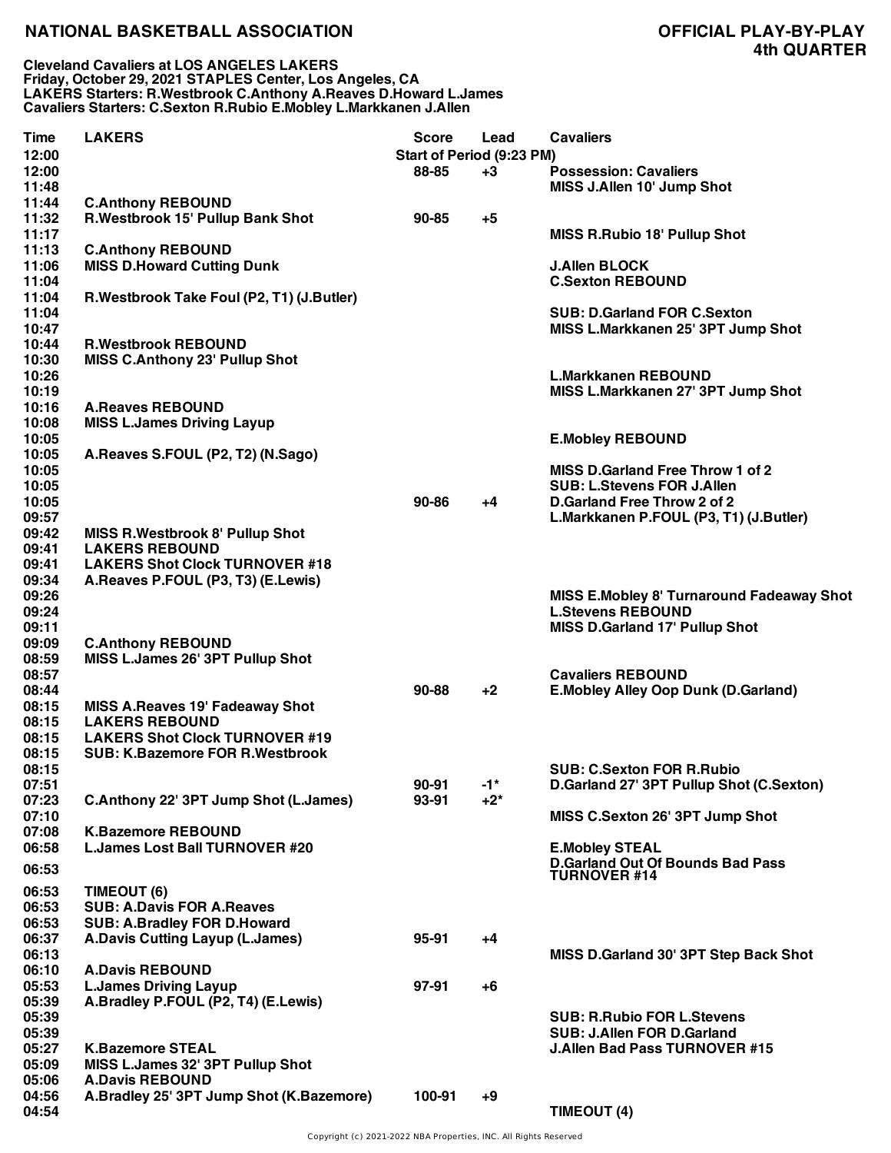**Cleveland Cavaliers at LOS ANGELES LAKERS Friday, October 29, 2021 STAPLES Center, Los Angeles, CA LAKERS Starters: R.Westbrook C.Anthony A.Reaves D.Howard L.James Cavaliers Starters: C.Sexton R.Rubio E.Mobley L.Markkanen J.Allen**

| <b>Time</b><br>12:00<br>12:00    | <b>LAKERS</b>                                                                                                                                  | <b>Score</b><br>Start of Period (9:23 PM)<br>88-85 | Lead<br>+3       | <b>Cavaliers</b><br><b>Possession: Cavaliers</b>                                                                                                      |
|----------------------------------|------------------------------------------------------------------------------------------------------------------------------------------------|----------------------------------------------------|------------------|-------------------------------------------------------------------------------------------------------------------------------------------------------|
| 11:48                            |                                                                                                                                                |                                                    |                  | MISS J.Allen 10' Jump Shot                                                                                                                            |
| 11:44<br>11:32<br>11:17          | <b>C.Anthony REBOUND</b><br>R.Westbrook 15' Pullup Bank Shot                                                                                   | $90 - 85$                                          | +5               | <b>MISS R.Rubio 18' Pullup Shot</b>                                                                                                                   |
| 11:13<br>11:06<br>11:04          | <b>C.Anthony REBOUND</b><br><b>MISS D.Howard Cutting Dunk</b>                                                                                  |                                                    |                  | <b>J.Allen BLOCK</b><br><b>C.Sexton REBOUND</b>                                                                                                       |
| 11:04<br>11:04                   | R.Westbrook Take Foul (P2, T1) (J.Butler)                                                                                                      |                                                    |                  | <b>SUB: D.Garland FOR C.Sexton</b>                                                                                                                    |
| 10:47<br>10:44<br>10:30          | <b>R.Westbrook REBOUND</b><br><b>MISS C.Anthony 23' Pullup Shot</b>                                                                            |                                                    |                  | MISS L.Markkanen 25' 3PT Jump Shot                                                                                                                    |
| 10:26<br>10:19<br>10:16          | <b>A.Reaves REBOUND</b>                                                                                                                        |                                                    |                  | <b>L.Markkanen REBOUND</b><br>MISS L.Markkanen 27' 3PT Jump Shot                                                                                      |
| 10:08<br>10:05<br>10:05          | <b>MISS L.James Driving Layup</b><br>A.Reaves S.FOUL (P2, T2) (N.Sago)                                                                         |                                                    |                  | <b>E.Mobley REBOUND</b>                                                                                                                               |
| 10:05<br>10:05<br>10:05<br>09:57 |                                                                                                                                                | $90 - 86$                                          | +4               | <b>MISS D.Garland Free Throw 1 of 2</b><br><b>SUB: L.Stevens FOR J.Allen</b><br>D.Garland Free Throw 2 of 2<br>L.Markkanen P.FOUL (P3, T1) (J.Butler) |
| 09:42<br>09:41<br>09:41<br>09:34 | <b>MISS R.Westbrook 8' Pullup Shot</b><br><b>LAKERS REBOUND</b><br><b>LAKERS Shot Clock TURNOVER #18</b><br>A.Reaves P.FOUL (P3, T3) (E.Lewis) |                                                    |                  |                                                                                                                                                       |
| 09:26<br>09:24<br>09:11          |                                                                                                                                                |                                                    |                  | MISS E.Mobley 8' Turnaround Fadeaway Shot<br><b>L.Stevens REBOUND</b><br>MISS D.Garland 17' Pullup Shot                                               |
| 09:09<br>08:59<br>08:57          | <b>C.Anthony REBOUND</b><br>MISS L.James 26' 3PT Pullup Shot                                                                                   |                                                    |                  | <b>Cavaliers REBOUND</b>                                                                                                                              |
| 08:44<br>08:15<br>08:15<br>08:15 | <b>MISS A.Reaves 19' Fadeaway Shot</b><br><b>LAKERS REBOUND</b><br><b>LAKERS Shot Clock TURNOVER #19</b>                                       | $90 - 88$                                          | $+2$             | <b>E.Mobley Alley Oop Dunk (D.Garland)</b>                                                                                                            |
| 08:15<br>08:15<br>07:51<br>07:23 | <b>SUB: K.Bazemore FOR R.Westbrook</b><br>C.Anthony 22' 3PT Jump Shot (L.James)                                                                | 90-91<br>93-91                                     | $-1$ *<br>$+2^*$ | <b>SUB: C.Sexton FOR R.Rubio</b><br>D.Garland 27' 3PT Pullup Shot (C.Sexton)                                                                          |
| 07:10<br>07:08                   | <b>K.Bazemore REBOUND</b>                                                                                                                      |                                                    |                  | MISS C.Sexton 26' 3PT Jump Shot                                                                                                                       |
| 06:58<br>06:53                   | <b>L.James Lost Ball TURNOVER #20</b>                                                                                                          |                                                    |                  | <b>E.Mobley STEAL</b><br><b>D.Garland Out Of Bounds Bad Pass</b><br><b>TURNOVER #14</b>                                                               |
| 06:53<br>06:53<br>06:53          | TIMEOUT (6)<br><b>SUB: A.Davis FOR A.Reaves</b><br><b>SUB: A.Bradley FOR D.Howard</b>                                                          |                                                    |                  |                                                                                                                                                       |
| 06:37<br>06:13<br>06:10          | <b>A.Davis Cutting Layup (L.James)</b><br><b>A.Davis REBOUND</b>                                                                               | 95-91                                              | +4               | MISS D.Garland 30' 3PT Step Back Shot                                                                                                                 |
| 05:53<br>05:39<br>05:39          | <b>L.James Driving Layup</b><br>A.Bradley P.FOUL (P2, T4) (E.Lewis)                                                                            | $97-91$                                            | $+6$             | <b>SUB: R.Rubio FOR L.Stevens</b>                                                                                                                     |
| 05:39<br>05:27<br>05:09          | <b>K.Bazemore STEAL</b><br>MISS L.James 32' 3PT Pullup Shot                                                                                    |                                                    |                  | <b>SUB: J.Allen FOR D.Garland</b><br><b>J.Allen Bad Pass TURNOVER #15</b>                                                                             |
| 05:06<br>04:56<br>04:54          | <b>A.Davis REBOUND</b><br>A.Bradley 25' 3PT Jump Shot (K.Bazemore)                                                                             | 100-91                                             | $+9$             | TIMEOUT (4)                                                                                                                                           |